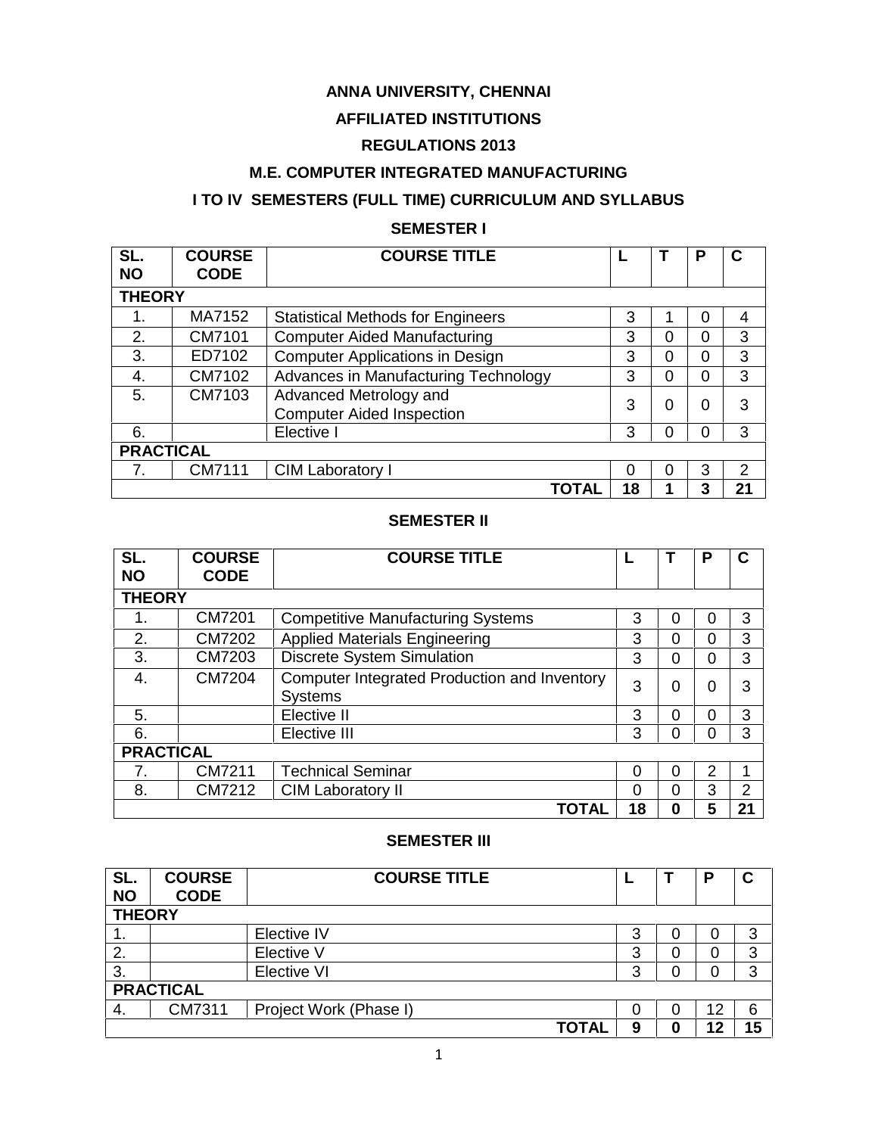# **ANNA UNIVERSITY, CHENNAI**

# **AFFILIATED INSTITUTIONS**

# **REGULATIONS 2013**

# **M.E. COMPUTER INTEGRATED MANUFACTURING**

# **I TO IV SEMESTERS (FULL TIME) CURRICULUM AND SYLLABUS**

# **SEMESTER I**

| SL.<br><b>NO</b> | <b>COURSE</b><br><b>CODE</b> | <b>COURSE TITLE</b>                                        |          |          | Р | С  |  |  |
|------------------|------------------------------|------------------------------------------------------------|----------|----------|---|----|--|--|
| <b>THEORY</b>    |                              |                                                            |          |          |   |    |  |  |
|                  | MA7152                       | <b>Statistical Methods for Engineers</b>                   | 3        |          | 0 | 4  |  |  |
| 2.               | CM7101                       | <b>Computer Aided Manufacturing</b>                        | 3        | 0        | 0 | 3  |  |  |
| 3.               | ED7102                       | <b>Computer Applications in Design</b>                     | 3        | 0        | 0 | 3  |  |  |
| 4.               | CM7102                       | Advances in Manufacturing Technology                       | 3        | 0        | 0 | 3  |  |  |
| 5.               | CM7103                       | Advanced Metrology and<br><b>Computer Aided Inspection</b> | 3        | 0        | 0 | 3  |  |  |
| 6.               |                              | Elective I                                                 | 3        | 0        | 0 | 3  |  |  |
| <b>PRACTICAL</b> |                              |                                                            |          |          |   |    |  |  |
| 7.               | CM7111                       | CIM Laboratory I                                           | $\Omega$ | $\Omega$ | 3 | 2  |  |  |
|                  |                              | ΤΟΤΑΙ                                                      | 18       |          | 3 | 21 |  |  |

# **SEMESTER II**

| SL.<br><b>NO</b> | <b>COURSE</b><br><b>CODE</b> | <b>COURSE TITLE</b>                                     |    |          | P              | C              |
|------------------|------------------------------|---------------------------------------------------------|----|----------|----------------|----------------|
| <b>THEORY</b>    |                              |                                                         |    |          |                |                |
| 1.               | CM7201                       | <b>Competitive Manufacturing Systems</b>                | 3  | 0        | 0              | 3              |
| 2.               | CM7202                       | <b>Applied Materials Engineering</b>                    | 3  | 0        | 0              | 3              |
| 3.               | CM7203                       | <b>Discrete System Simulation</b>                       | 3  | 0        | 0              | 3              |
| 4.               | <b>CM7204</b>                | Computer Integrated Production and Inventory<br>Systems | 3  | 0        | 0              | 3              |
| 5.               |                              | Elective II                                             | 3  | $\Omega$ | $\Omega$       | 3              |
| 6.               |                              | Elective III                                            | 3  | 0        | $\overline{0}$ | 3              |
| <b>PRACTICAL</b> |                              |                                                         |    |          |                |                |
| 7.               | CM7211                       | <b>Technical Seminar</b>                                | 0  | 0        | 2              |                |
| 8.               | CM7212                       | <b>CIM Laboratory II</b>                                | 0  | $\Omega$ | 3              | $\overline{2}$ |
|                  |                              | <b>TOTAL</b>                                            | 18 | 0        | 5              | 21             |

### **SEMESTER III**

| SL.<br><b>NO</b> | <b>COURSE</b><br><b>CODE</b> | <b>COURSE TITLE</b>    |   |   | Р  | С  |  |
|------------------|------------------------------|------------------------|---|---|----|----|--|
| <b>THEORY</b>    |                              |                        |   |   |    |    |  |
| 1.               |                              | Elective IV            | 3 | 0 | 0  | 3  |  |
| 2.               |                              | Elective V             | 3 |   | 0  | 3  |  |
| 3.               |                              | Elective VI            | 3 | 0 | 0  | 3  |  |
| <b>PRACTICAL</b> |                              |                        |   |   |    |    |  |
| 4.               | CM7311                       | Project Work (Phase I) | 0 | 0 | 12 | 6  |  |
|                  |                              | <b>TOTAL</b>           | 9 | 0 | 12 | 15 |  |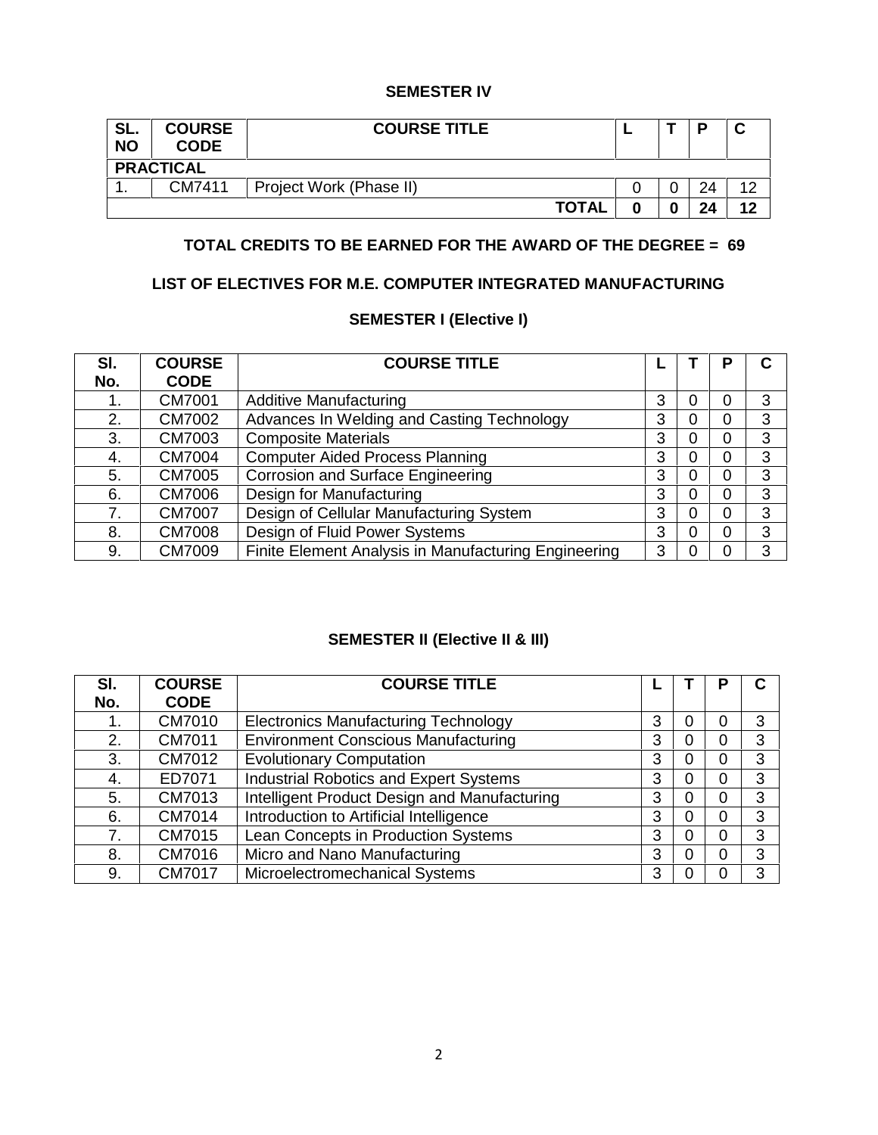# **SEMESTER IV**

| SL.<br><b>NO</b> | <b>COURSE</b><br><b>CODE</b> | <b>COURSE TITLE</b>     |  |  |  | Ð  | ັ  |
|------------------|------------------------------|-------------------------|--|--|--|----|----|
| <b>PRACTICAL</b> |                              |                         |  |  |  |    |    |
| . .              | CM7411                       | Project Work (Phase II) |  |  |  | 24 | 12 |
|                  |                              | <b>TOTAL</b>            |  |  |  | 24 | 12 |

# **TOTAL CREDITS TO BE EARNED FOR THE AWARD OF THE DEGREE = 69**

# **LIST OF ELECTIVES FOR M.E. COMPUTER INTEGRATED MANUFACTURING**

# **SEMESTER I (Elective I)**

| SI. | <b>COURSE</b> | <b>COURSE TITLE</b>                                  |   |   | Р | С |
|-----|---------------|------------------------------------------------------|---|---|---|---|
| No. | <b>CODE</b>   |                                                      |   |   |   |   |
|     | CM7001        | <b>Additive Manufacturing</b>                        | 3 | 0 | 0 | 3 |
| 2.  | CM7002        | Advances In Welding and Casting Technology           | 3 | 0 | 0 | 3 |
| 3.  | CM7003        | <b>Composite Materials</b>                           | 3 | 0 | 0 | 3 |
| 4.  | <b>CM7004</b> | <b>Computer Aided Process Planning</b>               | 3 | 0 | 0 | 3 |
| 5.  | <b>CM7005</b> | <b>Corrosion and Surface Engineering</b>             | 3 | 0 | 0 | 3 |
| 6.  | CM7006        | Design for Manufacturing                             | 3 | 0 | 0 | 3 |
| 7.  | <b>CM7007</b> | Design of Cellular Manufacturing System              | 3 | 0 | 0 | 3 |
| 8.  | <b>CM7008</b> | Design of Fluid Power Systems                        | 3 | 0 | 0 | 3 |
| 9.  | <b>CM7009</b> | Finite Element Analysis in Manufacturing Engineering | 3 |   | 0 | 3 |

# **SEMESTER II (Elective II & III)**

| SI. | <b>COURSE</b> | <b>COURSE TITLE</b>                          |   |   | Р | C |
|-----|---------------|----------------------------------------------|---|---|---|---|
| No. | <b>CODE</b>   |                                              |   |   |   |   |
|     | CM7010        | <b>Electronics Manufacturing Technology</b>  | 3 | 0 | 0 | 3 |
| 2.  | CM7011        | <b>Environment Conscious Manufacturing</b>   | 3 | 0 | 0 | 3 |
| 3.  | CM7012        | <b>Evolutionary Computation</b>              | 3 | 0 | 0 | 3 |
| 4.  | ED7071        | Industrial Robotics and Expert Systems       | 3 | 0 | 0 | 3 |
| 5.  | CM7013        | Intelligent Product Design and Manufacturing | 3 | 0 | 0 | 3 |
| 6.  | CM7014        | Introduction to Artificial Intelligence      | 3 | 0 | 0 | 3 |
| 7.  | CM7015        | Lean Concepts in Production Systems          | 3 | 0 | 0 | 3 |
| 8.  | CM7016        | Micro and Nano Manufacturing                 | 3 | 0 | 0 | 3 |
| 9.  | <b>CM7017</b> | Microelectromechanical Systems               | 3 |   | 0 | 3 |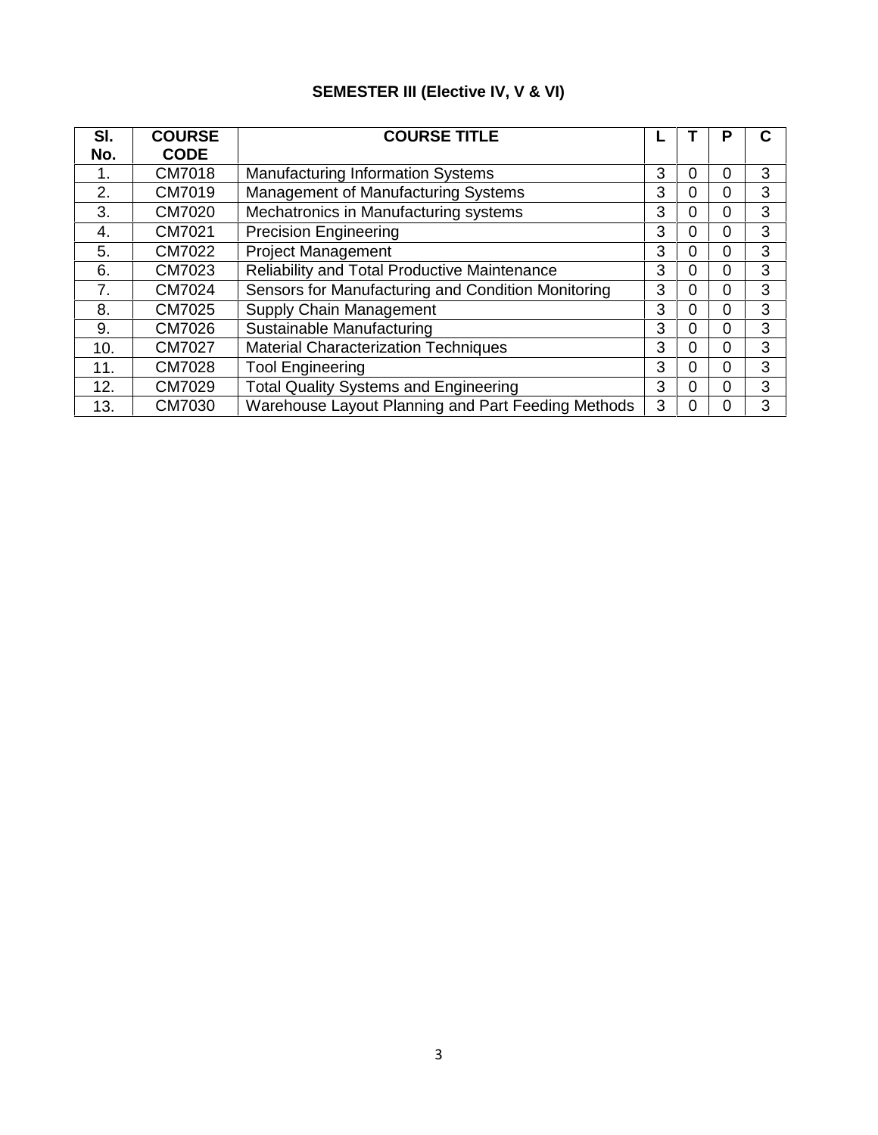# **SEMESTER III (Elective IV, V & VI)**

| SI.<br>No. | <b>COURSE</b><br><b>CODE</b> | <b>COURSE TITLE</b>                                |   |   | Р | C |
|------------|------------------------------|----------------------------------------------------|---|---|---|---|
| 1.         | CM7018                       | <b>Manufacturing Information Systems</b>           | 3 | 0 | 0 | 3 |
| 2.         | CM7019                       | Management of Manufacturing Systems                | 3 | 0 | 0 | 3 |
| 3.         | CM7020                       | Mechatronics in Manufacturing systems              | 3 | 0 | 0 | 3 |
| 4.         | CM7021                       | <b>Precision Engineering</b>                       | 3 | 0 | 0 | 3 |
| 5.         | CM7022                       | <b>Project Management</b>                          | 3 | 0 | 0 | 3 |
| 6.         | CM7023                       | Reliability and Total Productive Maintenance       | 3 | 0 | 0 | 3 |
| 7.         | CM7024                       | Sensors for Manufacturing and Condition Monitoring | 3 | 0 | 0 | 3 |
| 8.         | CM7025                       | <b>Supply Chain Management</b>                     | 3 | 0 | 0 | 3 |
| 9.         | CM7026                       | Sustainable Manufacturing                          | 3 | 0 | 0 | 3 |
| 10.        | CM7027                       | <b>Material Characterization Techniques</b>        | 3 | 0 | 0 | 3 |
| 11.        | CM7028                       | <b>Tool Engineering</b>                            | 3 | 0 | 0 | 3 |
| 12.        | CM7029                       | <b>Total Quality Systems and Engineering</b>       | 3 | 0 | 0 | 3 |
| 13.        | CM7030                       | Warehouse Layout Planning and Part Feeding Methods | 3 | 0 | 0 | 3 |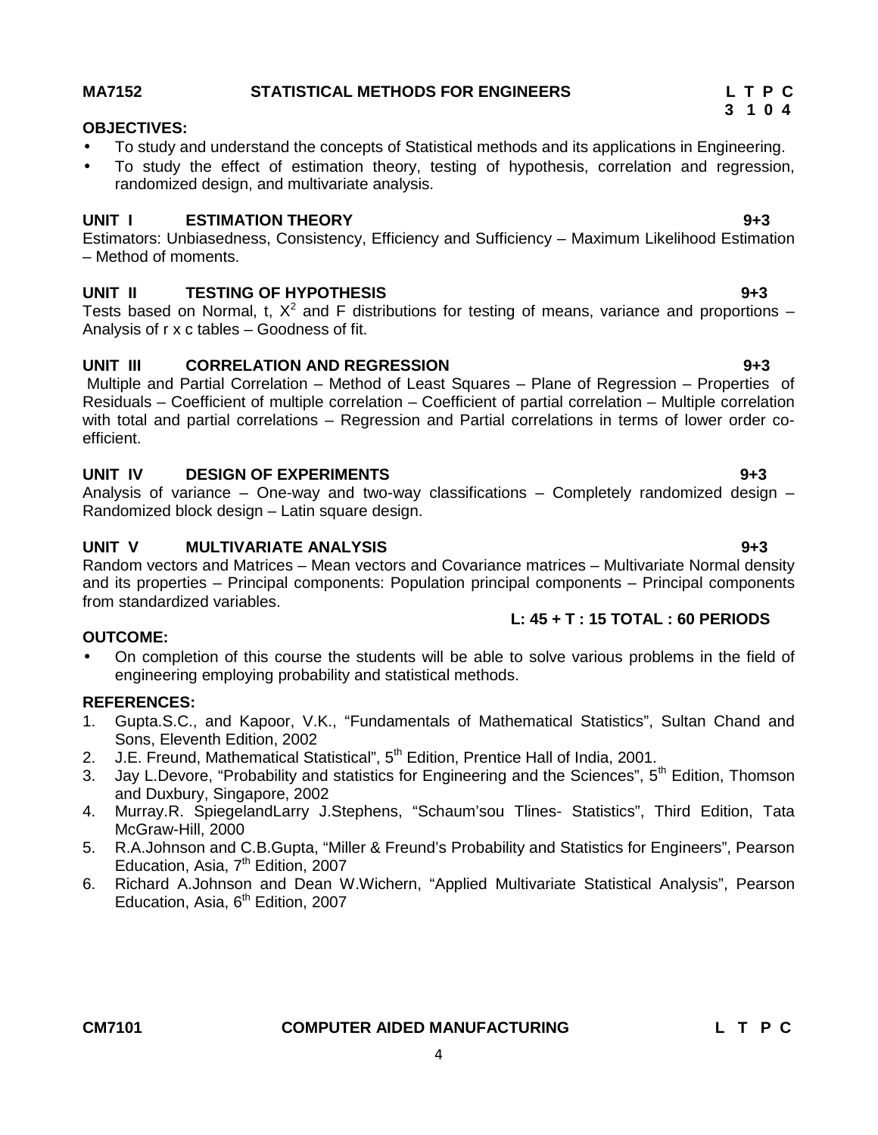# **CM7101 COMPUTER AIDED MANUFACTURING L T P C**

# 4

# **MA7152 STATISTICAL METHODS FOR ENGINEERS L T P C**

# **OBJECTIVES:**

- To study and understand the concepts of Statistical methods and its applications in Engineering.
- To study the effect of estimation theory, testing of hypothesis, correlation and regression, randomized design, and multivariate analysis.

# **UNIT I ESTIMATION THEORY 9+3**

Estimators: Unbiasedness, Consistency, Efficiency and Sufficiency – Maximum Likelihood Estimation – Method of moments.

# **UNIT II TESTING OF HYPOTHESIS 9+3**

Tests based on Normal, t,  $X^2$  and F distributions for testing of means, variance and proportions – Analysis of r x c tables – Goodness of fit.

# **UNIT III CORRELATION AND REGRESSION 9+3**

Multiple and Partial Correlation – Method of Least Squares – Plane of Regression – Properties of Residuals – Coefficient of multiple correlation – Coefficient of partial correlation – Multiple correlation with total and partial correlations – Regression and Partial correlations in terms of lower order co efficient.

# **UNIT IV DESIGN OF EXPERIMENTS 9+3**

Analysis of variance – One-way and two-way classifications – Completely randomized design – Randomized block design – Latin square design.

# **UNIT V MULTIVARIATE ANALYSIS 9+3**

Random vectors and Matrices – Mean vectors and Covariance matrices – Multivariate Normal density and its properties – Principal components: Population principal components – Principal components from standardized variables.

# **L: 45 + T : 15 TOTAL : 60 PERIODS**

# **OUTCOME:**

 On completion of this course the students will be able to solve various problems in the field of engineering employing probability and statistical methods.

# **REFERENCES:**

- 1. Gupta.S.C., and Kapoor, V.K., "Fundamentals of Mathematical Statistics", Sultan Chand and Sons, Eleventh Edition, 2002
- 2. J.E. Freund, Mathematical Statistical", 5<sup>th</sup> Edition, Prentice Hall of India, 2001.
- 3. Jay L.Devore, "Probability and statistics for Engineering and the Sciences", 5<sup>th</sup> Edition, Thomson and Duxbury, Singapore, 2002
- 4. Murray.R. SpiegelandLarry J.Stephens, "Schaum'sou Tlines- Statistics", Third Edition, Tata McGraw-Hill, 2000
- 5. R.A.Johnson and C.B.Gupta, "Miller & Freund's Probability and Statistics for Engineers", Pearson Education, Asia,  $7<sup>th</sup>$  Edition, 2007
- 6. Richard A.Johnson and Dean W.Wichern, "Applied Multivariate Statistical Analysis", Pearson Education, Asia, 6<sup>th</sup> Edition, 2007

# **3 1 0 4**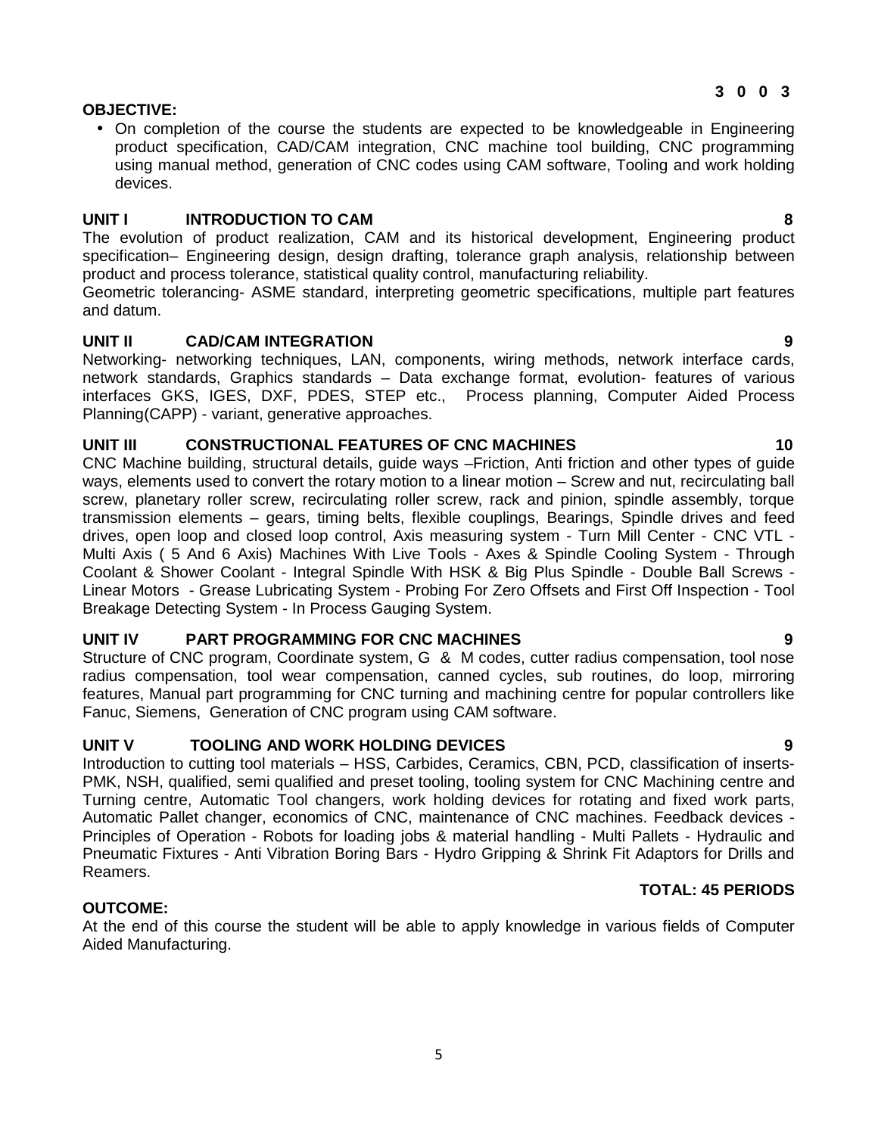# **OBJECTIVE:**

 On completion of the course the students are expected to be knowledgeable in Engineering product specification, CAD/CAM integration, CNC machine tool building, CNC programming using manual method, generation of CNC codes using CAM software, Tooling and work holding devices.

### **UNIT I INTRODUCTION TO CAM 8**

The evolution of product realization, CAM and its historical development, Engineering product specification– Engineering design, design drafting, tolerance graph analysis, relationship between product and process tolerance, statistical quality control, manufacturing reliability.

Geometric tolerancing- ASME standard, interpreting geometric specifications, multiple part features and datum.

### **UNIT II CAD/CAM INTEGRATION 9**

Networking- networking techniques, LAN, components, wiring methods, network interface cards, network standards, Graphics standards – Data exchange format, evolution- features of various interfaces GKS, IGES, DXF, PDES, STEP etc., Process planning, Computer Aided Process Planning(CAPP) - variant, generative approaches.

### **UNIT III CONSTRUCTIONAL FEATURES OF CNC MACHINES 10**

CNC Machine building, structural details, guide ways –Friction, Anti friction and other types of guide ways, elements used to convert the rotary motion to a linear motion – Screw and nut, recirculating ball screw, planetary roller screw, recirculating roller screw, rack and pinion, spindle assembly, torque transmission elements – gears, timing belts, flexible couplings, Bearings, Spindle drives and feed drives, open loop and closed loop control, Axis measuring system - Turn Mill Center - CNC VTL - Multi Axis ( 5 And 6 Axis) Machines With Live Tools - Axes & Spindle Cooling System - Through Coolant & Shower Coolant - Integral Spindle With HSK & Big Plus Spindle - Double Ball Screws - Linear Motors - Grease Lubricating System - Probing For Zero Offsets and First Off Inspection - Tool Breakage Detecting System - In Process Gauging System.

# **UNIT IV PART PROGRAMMING FOR CNC MACHINES 9**

Structure of CNC program, Coordinate system, G & M codes, cutter radius compensation, tool nose radius compensation, tool wear compensation, canned cycles, sub routines, do loop, mirroring features, Manual part programming for CNC turning and machining centre for popular controllers like Fanuc, Siemens, Generation of CNC program using CAM software.

# **UNIT V TOOLING AND WORK HOLDING DEVICES 9**

Introduction to cutting tool materials – HSS, Carbides, Ceramics, CBN, PCD, classification of inserts- PMK, NSH, qualified, semi qualified and preset tooling, tooling system for CNC Machining centre and Turning centre, Automatic Tool changers, work holding devices for rotating and fixed work parts, Automatic Pallet changer, economics of CNC, maintenance of CNC machines. Feedback devices - Principles of Operation - Robots for loading jobs & material handling - Multi Pallets - Hydraulic and Pneumatic Fixtures - Anti Vibration Boring Bars - Hydro Gripping & Shrink Fit Adaptors for Drills and Reamers. **TOTAL: 45 PERIODS**

# **OUTCOME:**

At the end of this course the student will be able to apply knowledge in various fields of Computer Aided Manufacturing.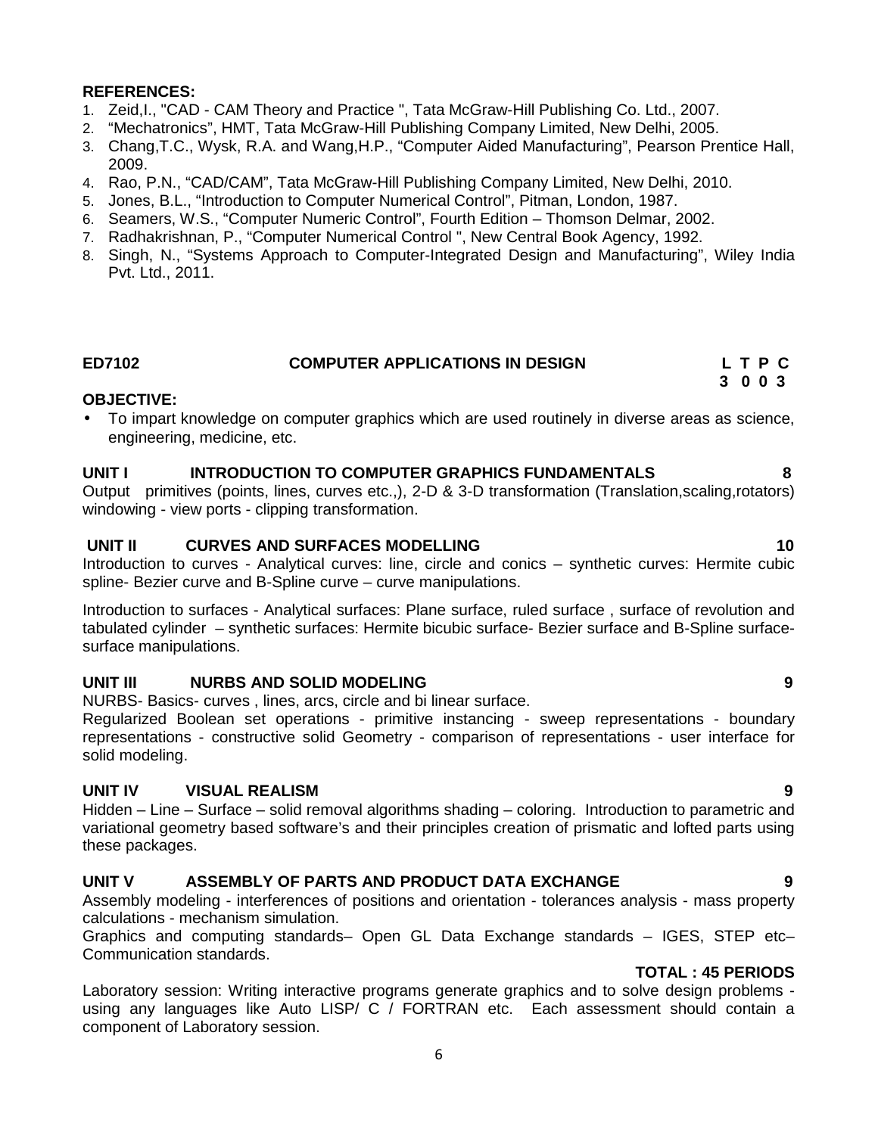### **REFERENCES:**

- 1. Zeid,I., "CAD CAM Theory and Practice ", Tata McGraw-Hill Publishing Co. Ltd., 2007.
- 2. "Mechatronics", HMT, Tata McGraw-Hill Publishing Company Limited, New Delhi, 2005.
- 3. Chang,T.C., Wysk, R.A. and Wang,H.P., "Computer Aided Manufacturing", Pearson Prentice Hall, 2009.
- 4. Rao, P.N., "CAD/CAM", Tata McGraw-Hill Publishing Company Limited, New Delhi, 2010.
- 5. Jones, B.L., "Introduction to Computer Numerical Control", Pitman, London, 1987.
- 6. Seamers, W.S., "Computer Numeric Control", Fourth Edition Thomson Delmar, 2002.
- 7. Radhakrishnan, P., "Computer Numerical Control ", New Central Book Agency, 1992.
- 8. Singh, N., "Systems Approach to Computer-Integrated Design and Manufacturing", Wiley India Pvt. Ltd., 2011.

### **ED7102 COMPUTER APPLICATIONS IN DESIGN L T P C 3 0 0 3**

### **OBJECTIVE:**

 To impart knowledge on computer graphics which are used routinely in diverse areas as science, engineering, medicine, etc.

### **UNIT I INTRODUCTION TO COMPUTER GRAPHICS FUNDAMENTALS 8**

Output primitives (points, lines, curves etc.,), 2-D & 3-D transformation (Translation,scaling,rotators) windowing - view ports - clipping transformation.

# **UNIT II CURVES AND SURFACES MODELLING 10**

Introduction to curves - Analytical curves: line, circle and conics – synthetic curves: Hermite cubic spline- Bezier curve and B-Spline curve – curve manipulations.

Introduction to surfaces - Analytical surfaces: Plane surface, ruled surface , surface of revolution and tabulated cylinder – synthetic surfaces: Hermite bicubic surface- Bezier surface and B-Spline surface surface manipulations.

# **UNIT III NURBS AND SOLID MODELING 9**

NURBS- Basics- curves , lines, arcs, circle and bi linear surface.

Regularized Boolean set operations - primitive instancing - sweep representations - boundary representations - constructive solid Geometry - comparison of representations - user interface for solid modeling.

### **UNIT IV VISUAL REALISM 9**

Hidden – Line – Surface – solid removal algorithms shading – coloring. Introduction to parametric and variational geometry based software's and their principles creation of prismatic and lofted parts using these packages.

# **UNIT V ASSEMBLY OF PARTS AND PRODUCT DATA EXCHANGE 9**

Assembly modeling - interferences of positions and orientation - tolerances analysis - mass property calculations - mechanism simulation.

Graphics and computing standards– Open GL Data Exchange standards – IGES, STEP etc– Communication standards.

# **TOTAL : 45 PERIODS**

Laboratory session: Writing interactive programs generate graphics and to solve design problems using any languages like Auto LISP/ C / FORTRAN etc. Each assessment should contain a component of Laboratory session.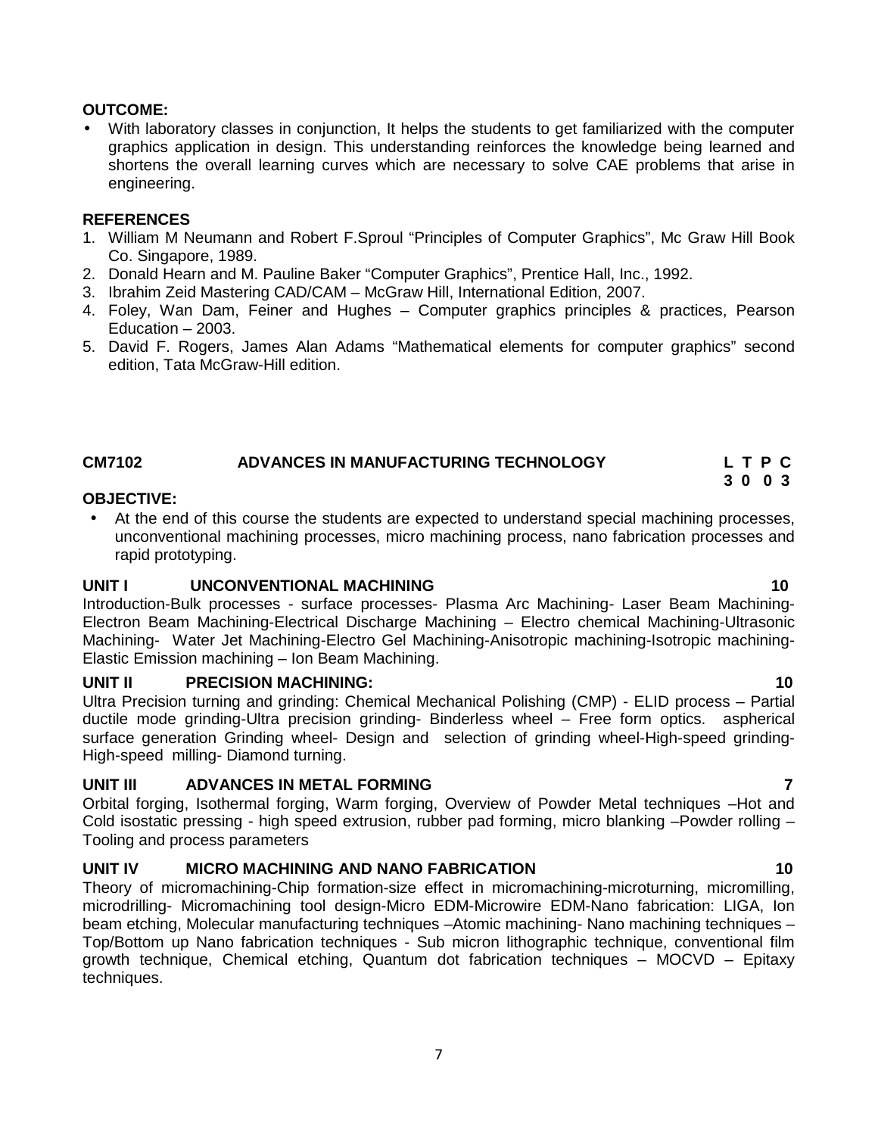# **OUTCOME:**

 With laboratory classes in conjunction, It helps the students to get familiarized with the computer graphics application in design. This understanding reinforces the knowledge being learned and shortens the overall learning curves which are necessary to solve CAE problems that arise in engineering.

#### **REFERENCES**

- 1. William M Neumann and Robert F.Sproul "Principles of Computer Graphics", Mc Graw Hill Book Co. Singapore, 1989.
- 2. Donald Hearn and M. Pauline Baker "Computer Graphics", Prentice Hall, Inc., 1992.
- 3. Ibrahim Zeid Mastering CAD/CAM McGraw Hill, International Edition, 2007.
- 4. Foley, Wan Dam, Feiner and Hughes Computer graphics principles & practices, Pearson Education – 2003.
- 5. David F. Rogers, James Alan Adams "Mathematical elements for computer graphics" second edition, Tata McGraw-Hill edition.

# **CM7102 ADVANCES IN MANUFACTURING TECHNOLOGY L T P C**

### **OBJECTIVE:**

 At the end of this course the students are expected to understand special machining processes, unconventional machining processes, micro machining process, nano fabrication processes and rapid prototyping.

### **UNIT I UNCONVENTIONAL MACHINING 10**

Introduction-Bulk processes - surface processes- Plasma Arc Machining- Laser Beam Machining- Electron Beam Machining-Electrical Discharge Machining – Electro chemical Machining-Ultrasonic Machining- Water Jet Machining-Electro Gel Machining-Anisotropic machining-Isotropic machining- Elastic Emission machining – Ion Beam Machining.

### **UNIT II PRECISION MACHINING: 10**

Ultra Precision turning and grinding: Chemical Mechanical Polishing (CMP) - ELID process – Partial ductile mode grinding-Ultra precision grinding- Binderless wheel – Free form optics. aspherical surface generation Grinding wheel- Design and selection of grinding wheel-High-speed grinding- High-speed milling- Diamond turning.

### **UNIT III ADVANCES IN METAL FORMING 7**

Orbital forging, Isothermal forging, Warm forging, Overview of Powder Metal techniques –Hot and Cold isostatic pressing - high speed extrusion, rubber pad forming, micro blanking –Powder rolling – Tooling and process parameters

# **UNIT IV MICRO MACHINING AND NANO FABRICATION 10**

Theory of micromachining-Chip formation-size effect in micromachining-microturning, micromilling, microdrilling- Micromachining tool design-Micro EDM-Microwire EDM-Nano fabrication: LIGA, Ion beam etching, Molecular manufacturing techniques –Atomic machining- Nano machining techniques – Top/Bottom up Nano fabrication techniques - Sub micron lithographic technique, conventional film growth technique, Chemical etching, Quantum dot fabrication techniques  $-$  MOCVD  $-$  Epitaxy techniques.

7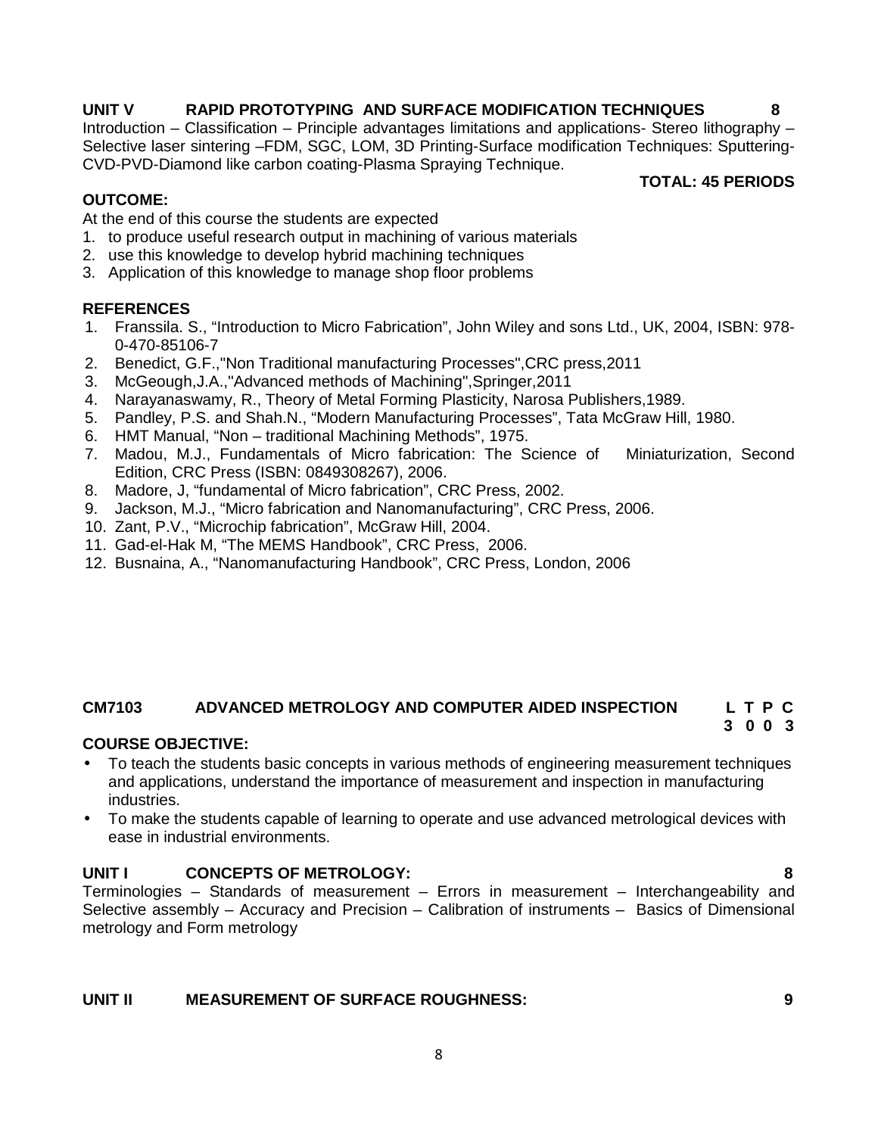# **UNIT V RAPID PROTOTYPING AND SURFACE MODIFICATION TECHNIQUES 8**

Introduction – Classification – Principle advantages limitations and applications- Stereo lithography – Selective laser sintering –FDM, SGC, LOM, 3D Printing-Surface modification Techniques: Sputtering- CVD-PVD-Diamond like carbon coating-Plasma Spraying Technique.

### **OUTCOME:**

**TOTAL: 45 PERIODS**

At the end of this course the students are expected

- 1. to produce useful research output in machining of various materials
- 2. use this knowledge to develop hybrid machining techniques
- 3. Application of this knowledge to manage shop floor problems

### **REFERENCES**

- 1. Franssila. S., "Introduction to Micro Fabrication", John Wiley and sons Ltd., UK, 2004, ISBN: 978- 0-470-85106-7
- 2. Benedict, G.F.,"Non Traditional manufacturing Processes",CRC press,2011
- 3. McGeough,J.A.,"Advanced methods of Machining",Springer,2011
- 4. Narayanaswamy, R., Theory of Metal Forming Plasticity, Narosa Publishers,1989.
- 5. Pandley, P.S. and Shah.N., "Modern Manufacturing Processes", Tata McGraw Hill, 1980.
- 6. HMT Manual, "Non traditional Machining Methods", 1975.
- 7. Madou, M.J., Fundamentals of Micro fabrication: The Science of Miniaturization, Second Edition, CRC Press (ISBN: 0849308267), 2006.
- 8. Madore, J, "fundamental of Micro fabrication", CRC Press, 2002.
- 9. Jackson, M.J., "Micro fabrication and Nanomanufacturing", CRC Press, 2006.
- 10. Zant, P.V., "Microchip fabrication", McGraw Hill, 2004.
- 11. Gad-el-Hak M, "The MEMS Handbook", CRC Press, 2006.
- 12. Busnaina, A., "Nanomanufacturing Handbook", CRC Press, London, 2006

# **CM7103 ADVANCED METROLOGY AND COMPUTER AIDED INSPECTION L T P C**

# **3 0 0 3**

# **COURSE OBJECTIVE:**

- To teach the students basic concepts in various methods of engineering measurement techniques and applications, understand the importance of measurement and inspection in manufacturing industries.
- To make the students capable of learning to operate and use advanced metrological devices with ease in industrial environments.

# **UNIT I CONCEPTS OF METROLOGY: 8**

Terminologies – Standards of measurement – Errors in measurement – Interchangeability and Selective assembly – Accuracy and Precision – Calibration of instruments – Basics of Dimensional metrology and Form metrology

# **UNIT II MEASUREMENT OF SURFACE ROUGHNESS: 9**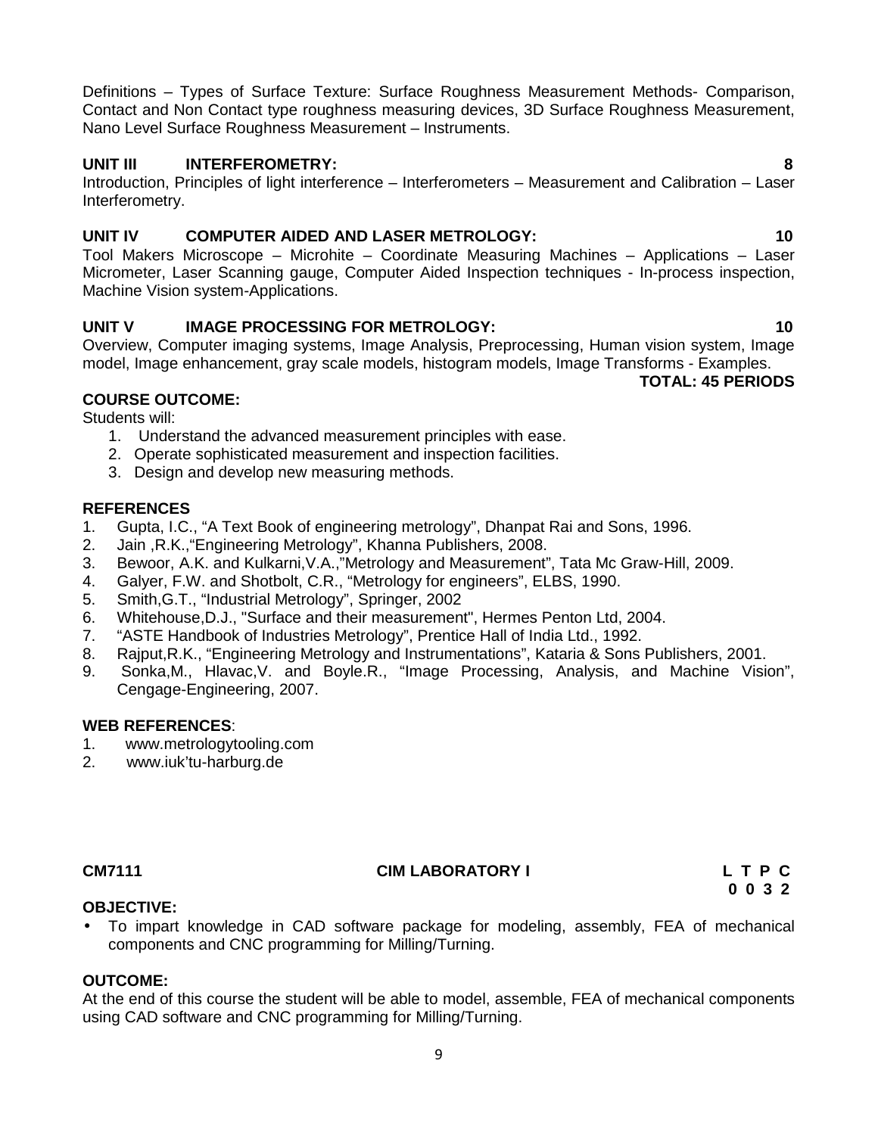Definitions – Types of Surface Texture: Surface Roughness Measurement Methods- Comparison, Contact and Non Contact type roughness measuring devices, 3D Surface Roughness Measurement, Nano Level Surface Roughness Measurement – Instruments.

# **UNIT III INTERFEROMETRY: 8**

Introduction, Principles of light interference – Interferometers – Measurement and Calibration – Laser Interferometry.

# **UNIT IV COMPUTER AIDED AND LASER METROLOGY: 10**

Tool Makers Microscope – Microhite – Coordinate Measuring Machines – Applications – Laser Micrometer, Laser Scanning gauge, Computer Aided Inspection techniques - In-process inspection, Machine Vision system-Applications.

# **UNIT V IMAGE PROCESSING FOR METROLOGY: 10**

Overview, Computer imaging systems, Image Analysis, Preprocessing, Human vision system, Image model, Image enhancement, gray scale models, histogram models, Image Transforms - Examples.

**TOTAL: 45 PERIODS**

# **COURSE OUTCOME:**

Students will:

- 1. Understand the advanced measurement principles with ease.
- 2. Operate sophisticated measurement and inspection facilities.
- 3. Design and develop new measuring methods.

# **REFERENCES**

- 1. Gupta, I.C., "A Text Book of engineering metrology", Dhanpat Rai and Sons, 1996.
- 2. Jain ,R.K.,"Engineering Metrology", Khanna Publishers, 2008.
- 3. Bewoor, A.K. and Kulkarni,V.A.,"Metrology and Measurement", Tata Mc Graw-Hill, 2009.
- 4. Galyer, F.W. and Shotbolt, C.R., "Metrology for engineers", ELBS, 1990.
- 5. Smith,G.T., "Industrial Metrology", Springer, 2002
- 6. Whitehouse,D.J., "Surface and their measurement", Hermes Penton Ltd, 2004.
- 7. "ASTE Handbook of Industries Metrology", Prentice Hall of India Ltd., 1992.
- 8. Rajput,R.K., "Engineering Metrology and Instrumentations", Kataria & Sons Publishers, 2001.
- 9. Sonka,M., Hlavac,V. and Boyle.R., "Image Processing, Analysis, and Machine Vision", Cengage-Engineering, 2007.

# **WEB REFERENCES**:

- 1. www.metrologytooling.com<br>2. www.iuk'tu-harburg.de
- 2. www.iuk'tu-harburg.de

# **CM7111 CIM LABORATORY I L T P C**

**0 0 3 2**

# **OBJECTIVE:**

 To impart knowledge in CAD software package for modeling, assembly, FEA of mechanical components and CNC programming for Milling/Turning.

# **OUTCOME:**

At the end of this course the student will be able to model, assemble, FEA of mechanical components using CAD software and CNC programming for Milling/Turning.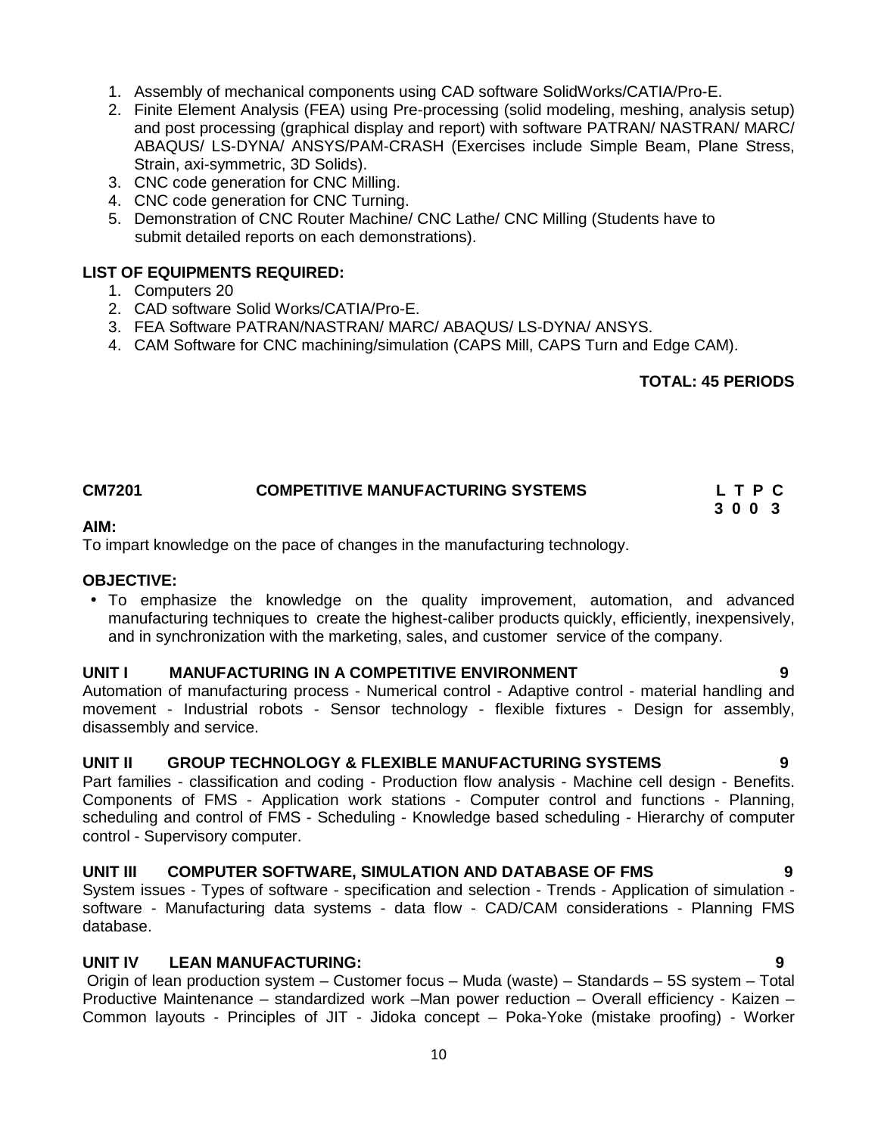- 1. Assembly of mechanical components using CAD software SolidWorks/CATIA/Pro-E.
- 2. Finite Element Analysis (FEA) using Pre-processing (solid modeling, meshing, analysis setup) and post processing (graphical display and report) with software PATRAN/ NASTRAN/ MARC/ ABAQUS/ LS-DYNA/ ANSYS/PAM-CRASH (Exercises include Simple Beam, Plane Stress, Strain, axi-symmetric, 3D Solids).
- 3. CNC code generation for CNC Milling.
- 4. CNC code generation for CNC Turning.
- 5. Demonstration of CNC Router Machine/ CNC Lathe/ CNC Milling (Students have to submit detailed reports on each demonstrations).

### **LIST OF EQUIPMENTS REQUIRED:**

- 1. Computers 20
- 2. CAD software Solid Works/CATIA/Pro-E.
- 3. FEA Software PATRAN/NASTRAN/ MARC/ ABAQUS/ LS-DYNA/ ANSYS.
- 4. CAM Software for CNC machining/simulation (CAPS Mill, CAPS Turn and Edge CAM).

# **TOTAL: 45 PERIODS**

# **CM7201 COMPETITIVE MANUFACTURING SYSTEMS L T P C**

**3 0 0 3**

#### **AIM:**

To impart knowledge on the pace of changes in the manufacturing technology.

### **OBJECTIVE:**

• To emphasize the knowledge on the quality improvement, automation, and advanced manufacturing techniques to create the highest-caliber products quickly, efficiently, inexpensively, and in synchronization with the marketing, sales, and customer service of the company.

### **UNIT I MANUFACTURING IN A COMPETITIVE ENVIRONMENT 9**

Automation of manufacturing process - Numerical control - Adaptive control - material handling and movement - Industrial robots - Sensor technology - flexible fixtures - Design for assembly, disassembly and service.

### **UNIT II GROUP TECHNOLOGY & FLEXIBLE MANUFACTURING SYSTEMS 9**

Part families - classification and coding - Production flow analysis - Machine cell design - Benefits. Components of FMS - Application work stations - Computer control and functions - Planning, scheduling and control of FMS - Scheduling - Knowledge based scheduling - Hierarchy of computer control - Supervisory computer.

### **UNIT III COMPUTER SOFTWARE, SIMULATION AND DATABASE OF FMS 9**

System issues - Types of software - specification and selection - Trends - Application of simulation software - Manufacturing data systems - data flow - CAD/CAM considerations - Planning FMS database.

# **UNIT IV LEAN MANUFACTURING: 9**

Origin of lean production system – Customer focus – Muda (waste) – Standards – 5S system – Total Productive Maintenance – standardized work –Man power reduction – Overall efficiency - Kaizen – Common layouts - Principles of JIT - Jidoka concept – Poka-Yoke (mistake proofing) - Worker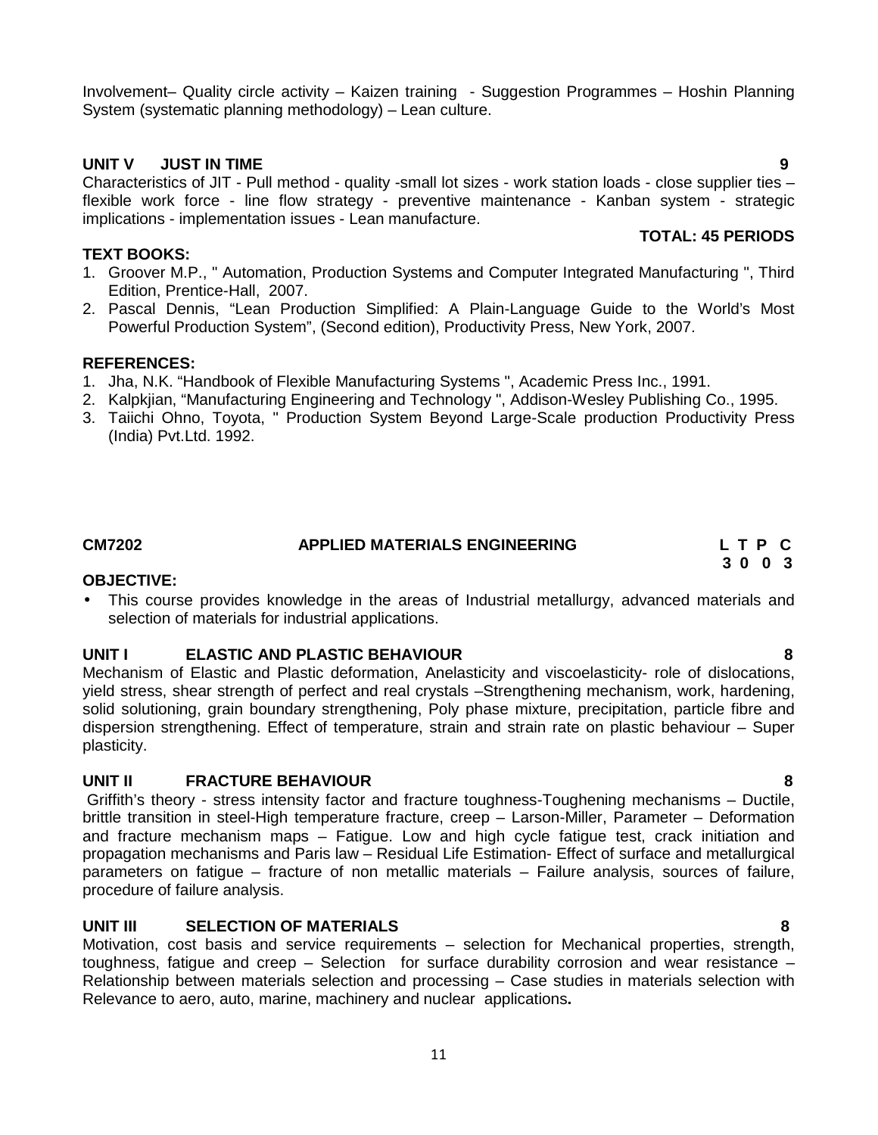Involvement– Quality circle activity – Kaizen training - Suggestion Programmes – Hoshin Planning System (systematic planning methodology) – Lean culture.

# **UNIT V JUST IN TIME 9**

Characteristics of JIT - Pull method - quality -small lot sizes - work station loads - close supplier ties – flexible work force - line flow strategy - preventive maintenance - Kanban system - strategic implications - implementation issues - Lean manufacture. **TOTAL: 45 PERIODS**

# **TEXT BOOKS:**

- 1. Groover M.P., " Automation, Production Systems and Computer Integrated Manufacturing ", Third Edition, Prentice-Hall, 2007.
- 2. Pascal Dennis, "Lean Production Simplified: A Plain-Language Guide to the World's Most Powerful Production System", (Second edition), Productivity Press, New York, 2007.

# **REFERENCES:**

- 1. Jha, N.K. "Handbook of Flexible Manufacturing Systems ", Academic Press Inc., 1991.
- 2. Kalpkjian, "Manufacturing Engineering and Technology ", Addison-Wesley Publishing Co., 1995.
- 3. Taiichi Ohno, Toyota, " Production System Beyond Large-Scale production Productivity Press (India) Pvt.Ltd. 1992.

# **CM7202 APPLIED MATERIALS ENGINEERING L T P C**

**OBJECTIVE:**

 This course provides knowledge in the areas of Industrial metallurgy, advanced materials and selection of materials for industrial applications.

# **UNIT I ELASTIC AND PLASTIC BEHAVIOUR 8**

Mechanism of Elastic and Plastic deformation, Anelasticity and viscoelasticity- role of dislocations, yield stress, shear strength of perfect and real crystals –Strengthening mechanism, work, hardening, solid solutioning, grain boundary strengthening, Poly phase mixture, precipitation, particle fibre and dispersion strengthening. Effect of temperature, strain and strain rate on plastic behaviour – Super plasticity.

# **UNIT II FRACTURE BEHAVIOUR 8**

Griffith's theory - stress intensity factor and fracture toughness-Toughening mechanisms – Ductile, brittle transition in steel-High temperature fracture, creep – Larson-Miller, Parameter – Deformation and fracture mechanism maps – Fatigue. Low and high cycle fatigue test, crack initiation and propagation mechanisms and Paris law – Residual Life Estimation- Effect of surface and metallurgical parameters on fatigue – fracture of non metallic materials – Failure analysis, sources of failure, procedure of failure analysis.

# **UNIT III SELECTION OF MATERIALS 8**

Motivation, cost basis and service requirements – selection for Mechanical properties, strength, toughness, fatigue and creep – Selection for surface durability corrosion and wear resistance – Relationship between materials selection and processing – Case studies in materials selection with Relevance to aero, auto, marine, machinery and nuclear applications**.**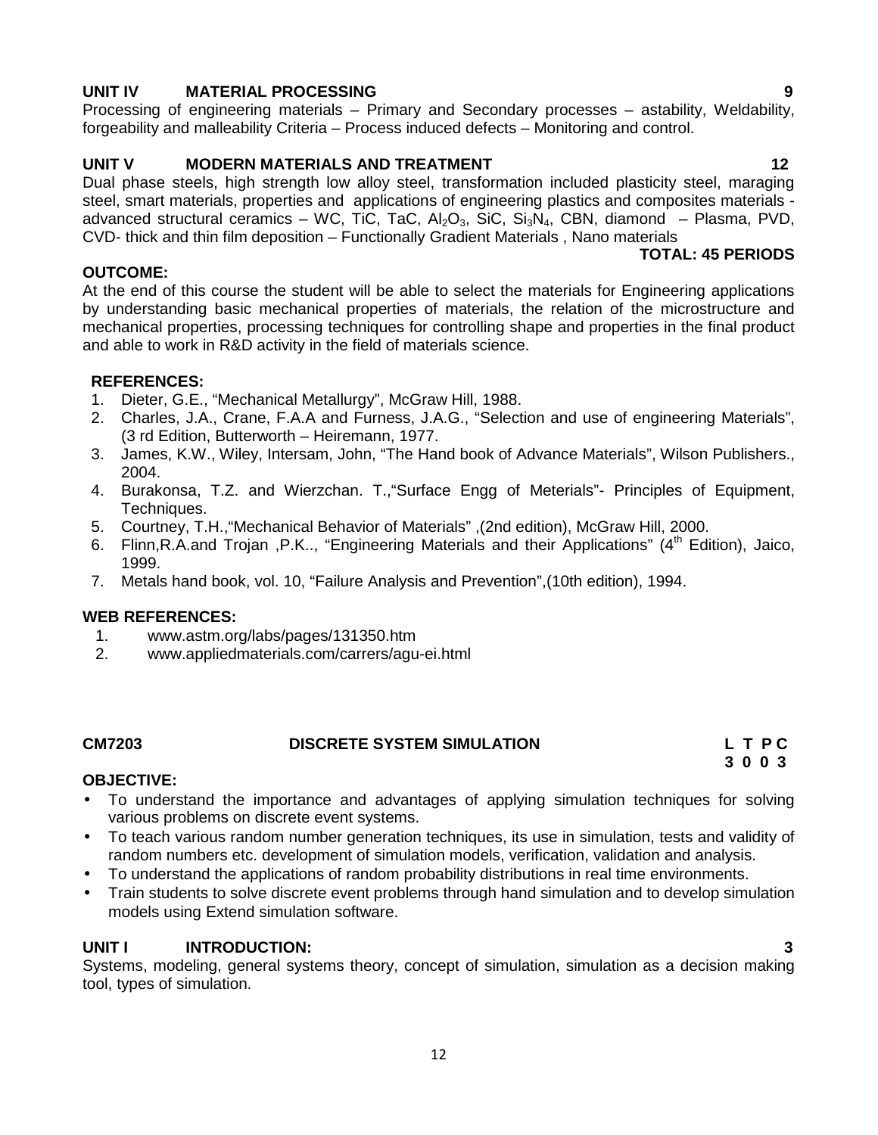# **UNIT IV MATERIAL PROCESSING 9**

Processing of engineering materials – Primary and Secondary processes – astability, Weldability, forgeability and malleability Criteria – Process induced defects – Monitoring and control.

# **UNIT V MODERN MATERIALS AND TREATMENT 12**

Dual phase steels, high strength low alloy steel, transformation included plasticity steel, maraging steel, smart materials, properties and applications of engineering plastics and composites materials advanced structural ceramics – WC, TiC, TaC,  $Al_2O_3$ , SiC,  $Si_3N_4$ , CBN, diamond – Plasma, PVD, CVD- thick and thin film deposition – Functionally Gradient Materials , Nano materials

# **TOTAL: 45 PERIODS**

### **OUTCOME:**

At the end of this course the student will be able to select the materials for Engineering applications by understanding basic mechanical properties of materials, the relation of the microstructure and mechanical properties, processing techniques for controlling shape and properties in the final product and able to work in R&D activity in the field of materials science.

# **REFERENCES:**

- 1. Dieter, G.E., "Mechanical Metallurgy", McGraw Hill, 1988.
- 2. Charles, J.A., Crane, F.A.A and Furness, J.A.G., "Selection and use of engineering Materials", (3 rd Edition, Butterworth – Heiremann, 1977.
- 3. James, K.W., Wiley, Intersam, John, "The Hand book of Advance Materials", Wilson Publishers., 2004.
- 4. Burakonsa, T.Z. and Wierzchan. T.,"Surface Engg of Meterials"- Principles of Equipment, Techniques.
- 5. Courtney, T.H.,"Mechanical Behavior of Materials" ,(2nd edition), McGraw Hill, 2000.
- 6. Flinn, R.A.and Trojan, P.K.., "Engineering Materials and their Applications" (4<sup>th</sup> Edition), Jaico, 1999.
- 7. Metals hand book, vol. 10, "Failure Analysis and Prevention",(10th edition), 1994.

### **WEB REFERENCES:**

- 1. www.astm.org/labs/pages/131350.htm
- 2. www.appliedmaterials.com/carrers/agu-ei.html

### **CM7203 DISCRETE SYSTEM SIMULATION L T P C**

**3 0 0 3**

# **OBJECTIVE:**

- To understand the importance and advantages of applying simulation techniques for solving various problems on discrete event systems.
- To teach various random number generation techniques, its use in simulation, tests and validity of random numbers etc. development of simulation models, verification, validation and analysis.
- To understand the applications of random probability distributions in real time environments.
- Train students to solve discrete event problems through hand simulation and to develop simulation models using Extend simulation software.

# **UNIT I INTRODUCTION: 3**

Systems, modeling, general systems theory, concept of simulation, simulation as a decision making tool, types of simulation.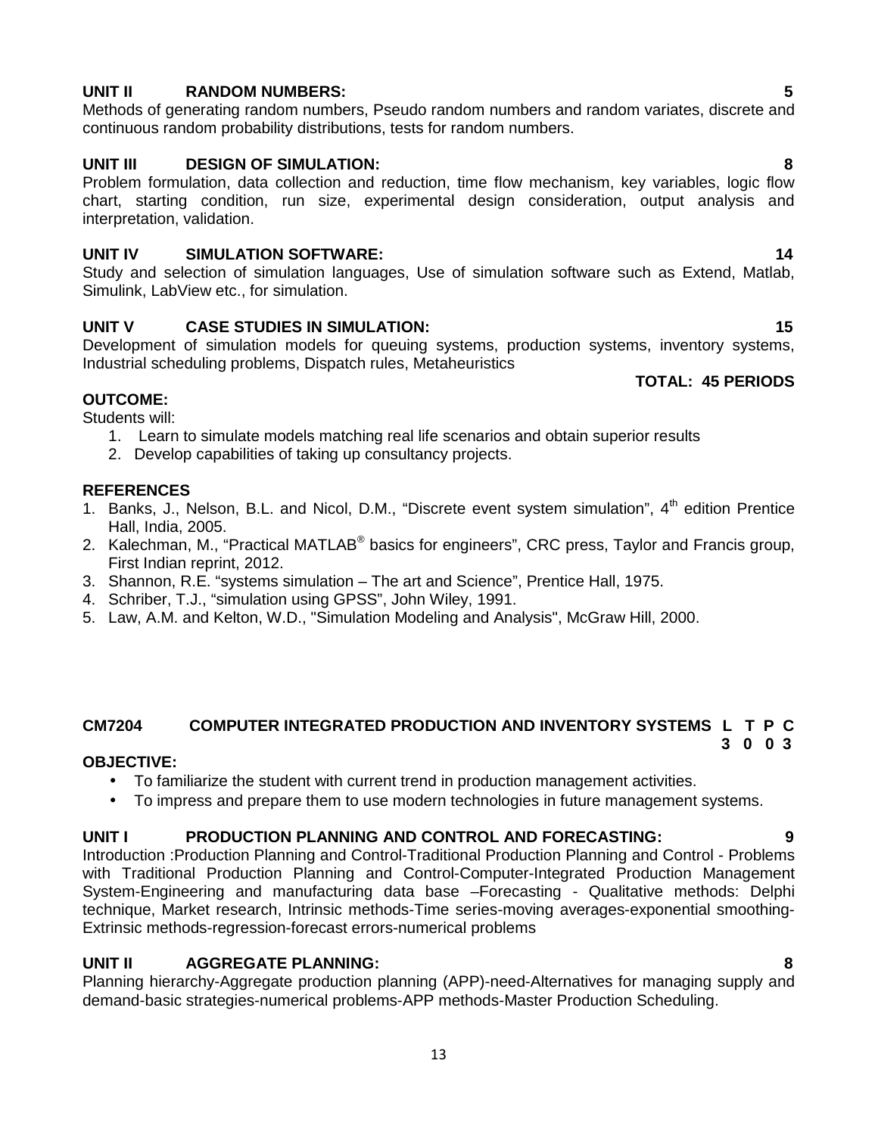#### Development of simulation models for queuing systems, production systems, inventory systems, Industrial scheduling problems, Dispatch rules, Metaheuristics

**OUTCOME:**

Students will:

- 1. Learn to simulate models matching real life scenarios and obtain superior results
- 2. Develop capabilities of taking up consultancy projects.

### **REFERENCES**

- 1. Banks, J., Nelson, B.L. and Nicol, D.M., "Discrete event system simulation", 4<sup>th</sup> edition Prentice Hall, India, 2005.
- 2. Kalechman, M., "Practical MATLAB® basics for engineers", CRC press, Taylor and Francis group, First Indian reprint, 2012.
- 3. Shannon, R.E. "systems simulation The art and Science", Prentice Hall, 1975.
- 4. Schriber, T.J., "simulation using GPSS", John Wiley, 1991.
- 5. Law, A.M. and Kelton, W.D., "Simulation Modeling and Analysis", McGraw Hill, 2000.

#### **CM7204 COMPUTER INTEGRATED PRODUCTION AND INVENTORY SYSTEMS L T P C 3 0 0 3**

### **OBJECTIVE:**

- To familiarize the student with current trend in production management activities.
- To impress and prepare them to use modern technologies in future management systems.

### **UNIT I PRODUCTION PLANNING AND CONTROL AND FORECASTING: 9**

Introduction :Production Planning and Control-Traditional Production Planning and Control - Problems with Traditional Production Planning and Control-Computer-Integrated Production Management System-Engineering and manufacturing data base –Forecasting - Qualitative methods: Delphi technique, Market research, Intrinsic methods-Time series-moving averages-exponential smoothing- Extrinsic methods-regression-forecast errors-numerical problems

# **UNIT II AGGREGATE PLANNING: 8**

Planning hierarchy-Aggregate production planning (APP)-need-Alternatives for managing supply and demand-basic strategies-numerical problems-APP methods-Master Production Scheduling.

# 13

# **UNIT II RANDOM NUMBERS: 5**

Methods of generating random numbers, Pseudo random numbers and random variates, discrete and continuous random probability distributions, tests for random numbers.

# **UNIT III DESIGN OF SIMULATION: 8**

Problem formulation, data collection and reduction, time flow mechanism, key variables, logic flow chart, starting condition, run size, experimental design consideration, output analysis and interpretation, validation.

### **UNIT IV SIMULATION SOFTWARE: 14**

Study and selection of simulation languages, Use of simulation software such as Extend, Matlab, Simulink, LabView etc., for simulation.

# **UNIT V CASE STUDIES IN SIMULATION: 15**

### **TOTAL: 45 PERIODS**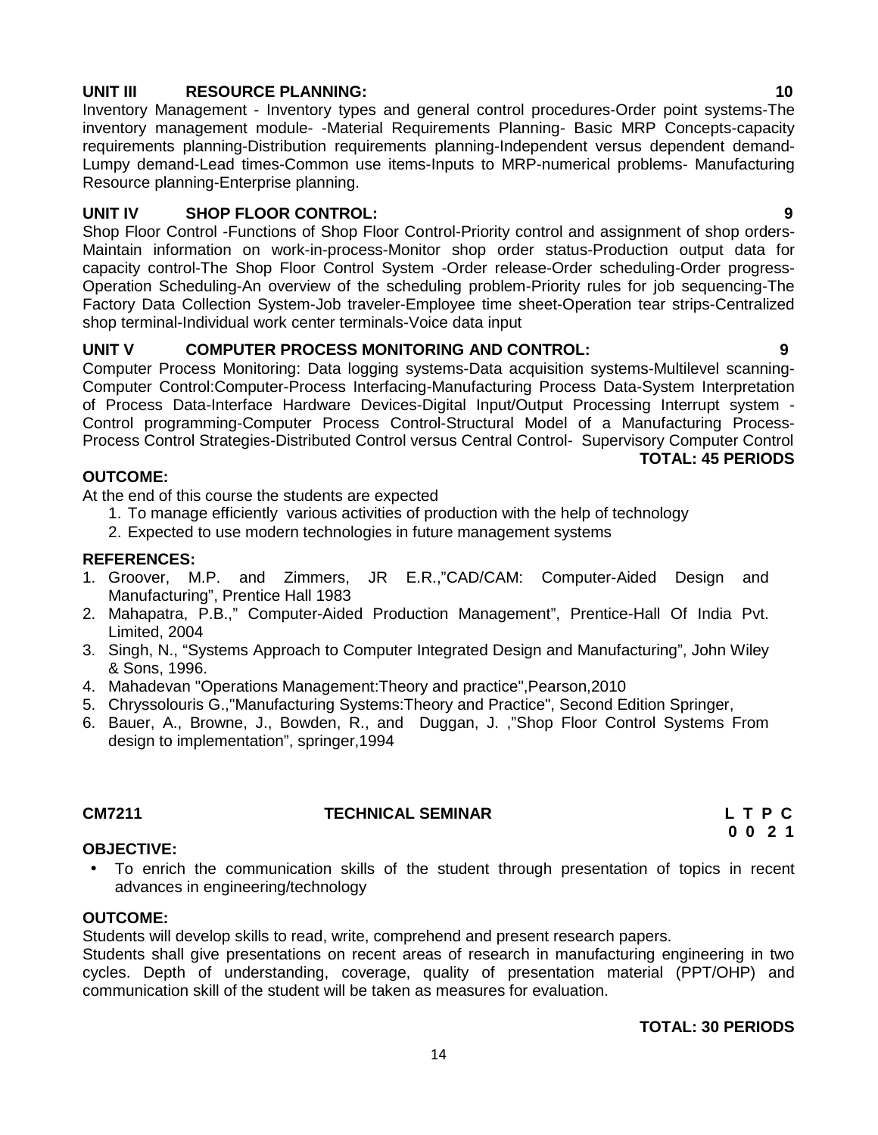# **UNIT III RESOURCE PLANNING: 10**

Inventory Management - Inventory types and general control procedures-Order point systems-The inventory management module- -Material Requirements Planning- Basic MRP Concepts-capacity requirements planning-Distribution requirements planning-Independent versus dependent demand- Lumpy demand-Lead times-Common use items-Inputs to MRP-numerical problems- Manufacturing Resource planning-Enterprise planning.

# **UNIT IV SHOP FLOOR CONTROL: 9**

Shop Floor Control -Functions of Shop Floor Control-Priority control and assignment of shop orders- Maintain information on work-in-process-Monitor shop order status-Production output data for capacity control-The Shop Floor Control System -Order release-Order scheduling-Order progress- Operation Scheduling-An overview of the scheduling problem-Priority rules for job sequencing-The Factory Data Collection System-Job traveler-Employee time sheet-Operation tear strips-Centralized shop terminal-Individual work center terminals-Voice data input

# **UNIT V COMPUTER PROCESS MONITORING AND CONTROL: 9**

Computer Process Monitoring: Data logging systems-Data acquisition systems-Multilevel scanning- Computer Control:Computer-Process Interfacing-Manufacturing Process Data-System Interpretation of Process Data-Interface Hardware Devices-Digital Input/Output Processing Interrupt system - Control programming-Computer Process Control-Structural Model of a Manufacturing Process- Process Control Strategies-Distributed Control versus Central Control- Supervisory Computer Control

**TOTAL: 45 PERIODS**

# **OUTCOME:**

At the end of this course the students are expected

- 1. To manage efficiently various activities of production with the help of technology
- 2. Expected to use modern technologies in future management systems

# **REFERENCES:**

- 1. Groover, M.P. and Zimmers, JR E.R.,"CAD/CAM: Computer-Aided Design and Manufacturing", Prentice Hall 1983
- 2. Mahapatra, P.B.," Computer-Aided Production Management", Prentice-Hall Of India Pvt. Limited, 2004
- 3. Singh, N., "Systems Approach to Computer Integrated Design and Manufacturing", John Wiley & Sons, 1996.
- 4. Mahadevan "Operations Management:Theory and practice",Pearson,2010
- 5. Chryssolouris G.,"Manufacturing Systems:Theory and Practice", Second Edition Springer,
- 6. Bauer, A., Browne, J., Bowden, R., and Duggan, J. ,"Shop Floor Control Systems From design to implementation", springer,1994

# **CM7211 TECHNICAL SEMINAR L T P C**

**0 0 2 1**

# **OBJECTIVE:**

 To enrich the communication skills of the student through presentation of topics in recent advances in engineering/technology

# **OUTCOME:**

Students will develop skills to read, write, comprehend and present research papers.

Students shall give presentations on recent areas of research in manufacturing engineering in two cycles. Depth of understanding, coverage, quality of presentation material (PPT/OHP) and communication skill of the student will be taken as measures for evaluation.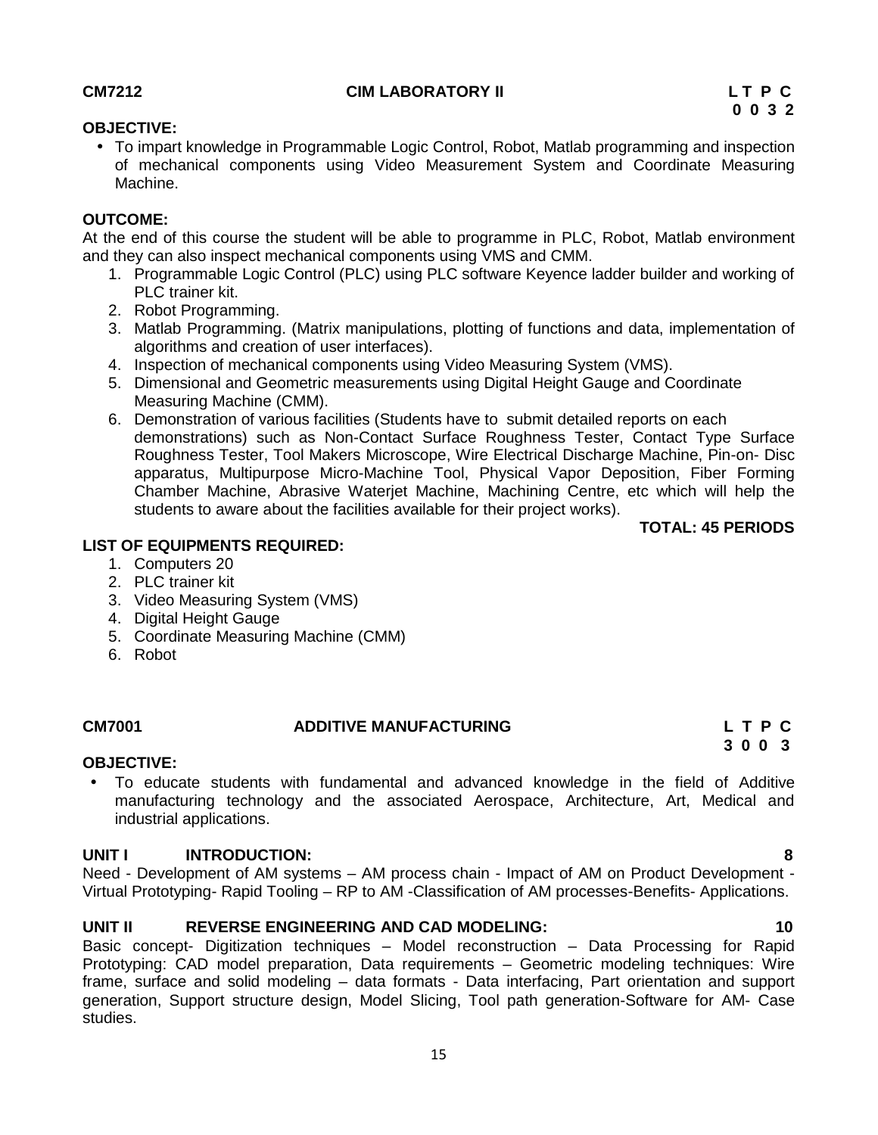# At the end of this course the student will be able to programme in PLC, Robot, Matlab environment

 To impart knowledge in Programmable Logic Control, Robot, Matlab programming and inspection of mechanical components using Video Measurement System and Coordinate Measuring

- and they can also inspect mechanical components using VMS and CMM. 1. Programmable Logic Control (PLC) using PLC software Keyence ladder builder and working of PLC trainer kit.
	- 2. Robot Programming.
	- 3. Matlab Programming. (Matrix manipulations, plotting of functions and data, implementation of algorithms and creation of user interfaces).
	- 4. Inspection of mechanical components using Video Measuring System (VMS).
	- 5. Dimensional and Geometric measurements using Digital Height Gauge and Coordinate Measuring Machine (CMM).
	- 6. Demonstration of various facilities (Students have to submit detailed reports on each demonstrations) such as Non-Contact Surface Roughness Tester, Contact Type Surface Roughness Tester, Tool Makers Microscope, Wire Electrical Discharge Machine, Pin-on- Disc apparatus, Multipurpose Micro-Machine Tool, Physical Vapor Deposition, Fiber Forming Chamber Machine, Abrasive Waterjet Machine, Machining Centre, etc which will help the students to aware about the facilities available for their project works).

### **TOTAL: 45 PERIODS**

### **LIST OF EQUIPMENTS REQUIRED:**

- 1. Computers 20
- 2. PLC trainer kit
- 3. Video Measuring System (VMS)
- 4. Digital Height Gauge
- 5. Coordinate Measuring Machine (CMM)
- 6. Robot

### **CM7001 ADDITIVE MANUFACTURING L T P C**

# **OBJECTIVE:**

 To educate students with fundamental and advanced knowledge in the field of Additive manufacturing technology and the associated Aerospace, Architecture, Art, Medical and industrial applications.

### **UNIT I INTRODUCTION: 8**

Need - Development of AM systems – AM process chain - Impact of AM on Product Development - Virtual Prototyping- Rapid Tooling – RP to AM -Classification of AM processes-Benefits- Applications.

### **UNIT II REVERSE ENGINEERING AND CAD MODELING: 10**

Basic concept- Digitization techniques – Model reconstruction – Data Processing for Rapid Prototyping: CAD model preparation, Data requirements – Geometric modeling techniques: Wire frame, surface and solid modeling – data formats - Data interfacing, Part orientation and support generation, Support structure design, Model Slicing, Tool path generation-Software for AM- Case studies.

**OBJECTIVE:**

**OUTCOME:**

Machine.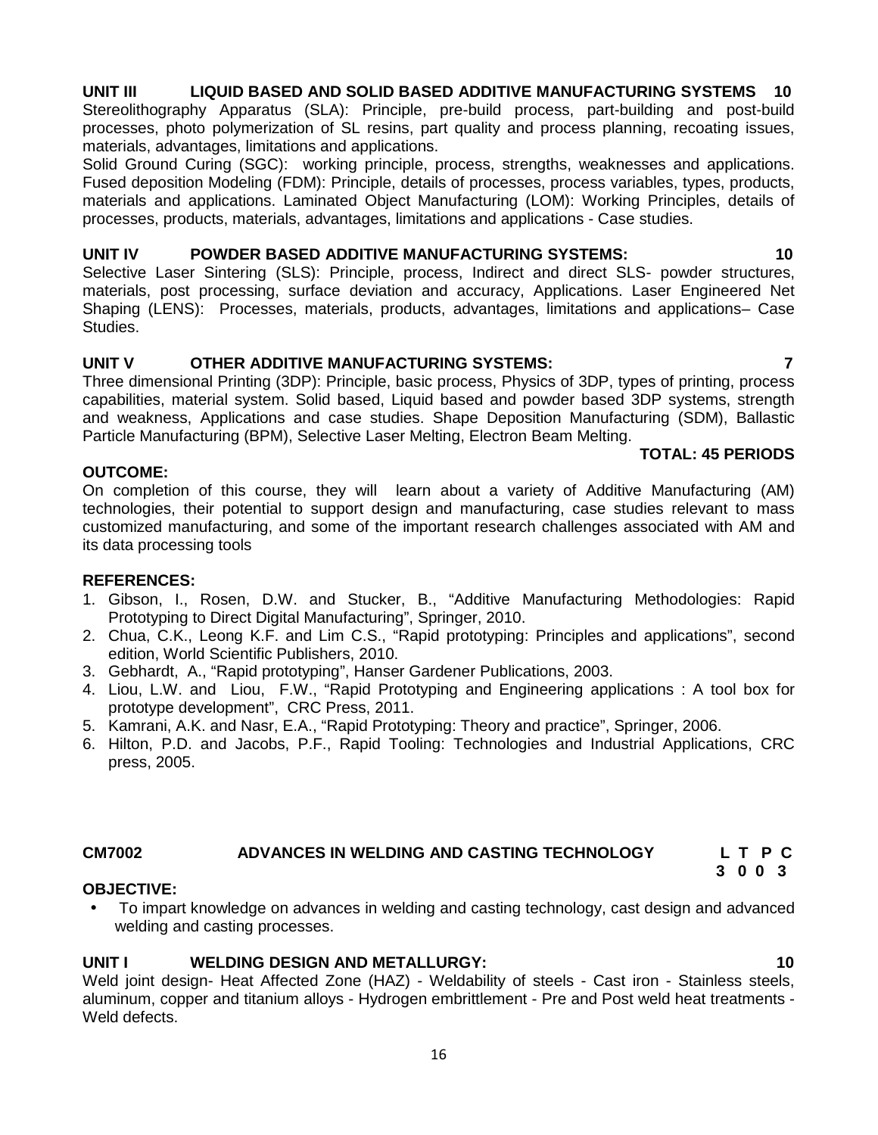# **UNIT III LIQUID BASED AND SOLID BASED ADDITIVE MANUFACTURING SYSTEMS 10**

Stereolithography Apparatus (SLA): Principle, pre-build process, part-building and post-build processes, photo polymerization of SL resins, part quality and process planning, recoating issues, materials, advantages, limitations and applications.

Solid Ground Curing (SGC): working principle, process, strengths, weaknesses and applications. Fused deposition Modeling (FDM): Principle, details of processes, process variables, types, products, materials and applications. Laminated Object Manufacturing (LOM): Working Principles, details of processes, products, materials, advantages, limitations and applications - Case studies.

# **UNIT IV POWDER BASED ADDITIVE MANUFACTURING SYSTEMS: 10**

Selective Laser Sintering (SLS): Principle, process, Indirect and direct SLS- powder structures, materials, post processing, surface deviation and accuracy, Applications. Laser Engineered Net Shaping (LENS): Processes, materials, products, advantages, limitations and applications– Case Studies.

# **UNIT V OTHER ADDITIVE MANUFACTURING SYSTEMS: 7**

Three dimensional Printing (3DP): Principle, basic process, Physics of 3DP, types of printing, process capabilities, material system. Solid based, Liquid based and powder based 3DP systems, strength and weakness, Applications and case studies. Shape Deposition Manufacturing (SDM), Ballastic Particle Manufacturing (BPM), Selective Laser Melting, Electron Beam Melting.

# **OUTCOME:**

On completion of this course, they will learn about a variety of Additive Manufacturing (AM) technologies, their potential to support design and manufacturing, case studies relevant to mass customized manufacturing, and some of the important research challenges associated with AM and its data processing tools

# **REFERENCES:**

- 1. Gibson, I., Rosen, D.W. and Stucker, B., "Additive Manufacturing Methodologies: Rapid Prototyping to Direct Digital Manufacturing", Springer, 2010.
- 2. Chua, C.K., Leong K.F. and Lim C.S., "Rapid prototyping: Principles and applications", second edition, World Scientific Publishers, 2010.
- 3. Gebhardt, A., "Rapid prototyping", Hanser Gardener Publications, 2003.
- 4. Liou, L.W. and Liou, F.W., "Rapid Prototyping and Engineering applications : A tool box for prototype development", CRC Press, 2011.
- 5. Kamrani, A.K. and Nasr, E.A., "Rapid Prototyping: Theory and practice", Springer, 2006.
- 6. Hilton, P.D. and Jacobs, P.F., Rapid Tooling: Technologies and Industrial Applications, CRC press, 2005.

# **CM7002 ADVANCES IN WELDING AND CASTING TECHNOLOGY L T P C**

# **OBJECTIVE:**

 To impart knowledge on advances in welding and casting technology, cast design and advanced welding and casting processes.

# **UNIT I WELDING DESIGN AND METALLURGY: 10**

Weld joint design- Heat Affected Zone (HAZ) - Weldability of steels - Cast iron - Stainless steels, aluminum, copper and titanium alloys - Hydrogen embrittlement - Pre and Post weld heat treatments - Weld defects.

# **TOTAL: 45 PERIODS**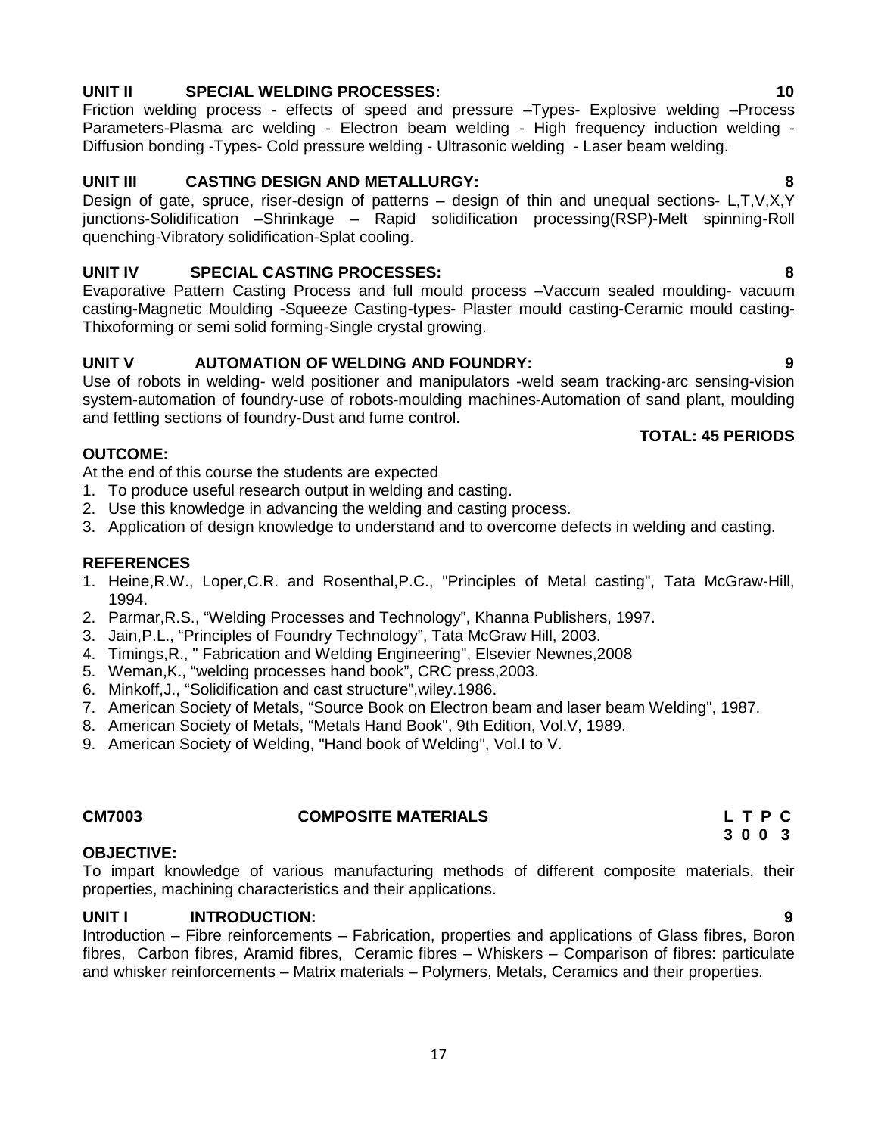# **UNIT II SPECIAL WELDING PROCESSES: 10**

Friction welding process - effects of speed and pressure –Types- Explosive welding –Process Parameters-Plasma arc welding - Electron beam welding - High frequency induction welding - Diffusion bonding -Types- Cold pressure welding - Ultrasonic welding - Laser beam welding.

# **UNIT III CASTING DESIGN AND METALLURGY: 8**

Design of gate, spruce, riser-design of patterns – design of thin and unequal sections- L,T,V,X,Y junctions-Solidification –Shrinkage – Rapid solidification processing(RSP)-Melt spinning-Roll quenching-Vibratory solidification-Splat cooling.

# **UNIT IV SPECIAL CASTING PROCESSES: 8**

Evaporative Pattern Casting Process and full mould process –Vaccum sealed moulding- vacuum casting-Magnetic Moulding -Squeeze Casting-types- Plaster mould casting-Ceramic mould casting- Thixoforming or semi solid forming-Single crystal growing.

# **UNIT V AUTOMATION OF WELDING AND FOUNDRY: 9**

Use of robots in welding- weld positioner and manipulators -weld seam tracking-arc sensing-vision system-automation of foundry-use of robots-moulding machines-Automation of sand plant, moulding and fettling sections of foundry-Dust and fume control.

### **TOTAL: 45 PERIODS**

# **OUTCOME:**

At the end of this course the students are expected

- 1. To produce useful research output in welding and casting.
- 2. Use this knowledge in advancing the welding and casting process.
- 3. Application of design knowledge to understand and to overcome defects in welding and casting.

### **REFERENCES**

- 1. Heine,R.W., Loper,C.R. and Rosenthal,P.C., "Principles of Metal casting", Tata McGraw-Hill, 1994.
- 2. Parmar,R.S., "Welding Processes and Technology", Khanna Publishers, 1997.
- 3. Jain,P.L., "Principles of Foundry Technology", Tata McGraw Hill, 2003.
- 4. Timings,R., " Fabrication and Welding Engineering", Elsevier Newnes,2008
- 5. Weman,K., "welding processes hand book", CRC press,2003.
- 6. Minkoff,J., "Solidification and cast structure",wiley.1986.
- 7. American Society of Metals, "Source Book on Electron beam and laser beam Welding", 1987.
- 8. American Society of Metals, "Metals Hand Book", 9th Edition, Vol.V, 1989.
- 9. American Society of Welding, "Hand book of Welding", Vol.I to V.

### **CM7003 COMPOSITE MATERIALS L T P C**

# **3 0 0 3**

# **OBJECTIVE:**

To impart knowledge of various manufacturing methods of different composite materials, their properties, machining characteristics and their applications.

# **UNIT I INTRODUCTION: 9**

Introduction – Fibre reinforcements – Fabrication, properties and applications of Glass fibres, Boron fibres, Carbon fibres, Aramid fibres, Ceramic fibres – Whiskers – Comparison of fibres: particulate and whisker reinforcements – Matrix materials – Polymers, Metals, Ceramics and their properties.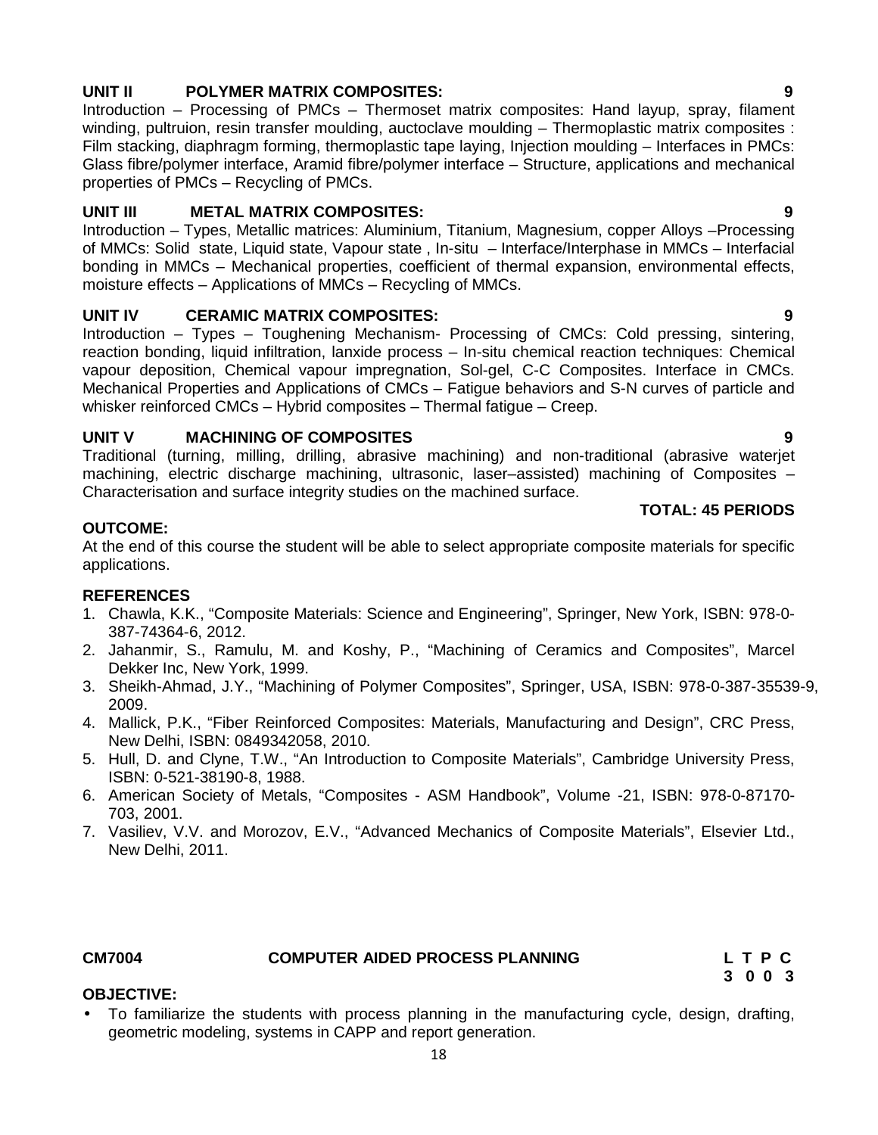# **UNIT II POLYMER MATRIX COMPOSITES: 9**

Introduction – Processing of PMCs – Thermoset matrix composites: Hand layup, spray, filament winding, pultruion, resin transfer moulding, auctoclave moulding – Thermoplastic matrix composites : Film stacking, diaphragm forming, thermoplastic tape laying, Injection moulding – Interfaces in PMCs: Glass fibre/polymer interface, Aramid fibre/polymer interface – Structure, applications and mechanical properties of PMCs – Recycling of PMCs.

# **UNIT III METAL MATRIX COMPOSITES: 9**

Introduction – Types, Metallic matrices: Aluminium, Titanium, Magnesium, copper Alloys –Processing of MMCs: Solid state, Liquid state, Vapour state , In-situ – Interface/Interphase in MMCs – Interfacial bonding in MMCs – Mechanical properties, coefficient of thermal expansion, environmental effects, moisture effects – Applications of MMCs – Recycling of MMCs.

# **UNIT IV CERAMIC MATRIX COMPOSITES: 9**

Introduction – Types – Toughening Mechanism- Processing of CMCs: Cold pressing, sintering, reaction bonding, liquid infiltration, lanxide process – In-situ chemical reaction techniques: Chemical vapour deposition, Chemical vapour impregnation, Sol-gel, C-C Composites. Interface in CMCs. Mechanical Properties and Applications of CMCs – Fatigue behaviors and S-N curves of particle and whisker reinforced CMCs – Hybrid composites – Thermal fatigue – Creep.

# **UNIT V MACHINING OF COMPOSITES 9**

Traditional (turning, milling, drilling, abrasive machining) and non-traditional (abrasive waterjet machining, electric discharge machining, ultrasonic, laser–assisted) machining of Composites – Characterisation and surface integrity studies on the machined surface.

### **TOTAL: 45 PERIODS**

# **OUTCOME:**

At the end of this course the student will be able to select appropriate composite materials for specific applications.

# **REFERENCES**

- 1. Chawla, K.K., "Composite Materials: Science and Engineering", Springer, New York, ISBN: 978-0- 387-74364-6, 2012.
- 2. Jahanmir, S., Ramulu, M. and Koshy, P., "Machining of Ceramics and Composites", Marcel Dekker Inc, New York, 1999.
- 3. Sheikh-Ahmad, J.Y., "Machining of Polymer Composites", Springer, USA, ISBN: 978-0-387-35539-9, 2009.
- 4. Mallick, P.K., "Fiber Reinforced Composites: Materials, Manufacturing and Design", CRC Press, New Delhi, ISBN: 0849342058, 2010.
- 5. Hull, D. and Clyne, T.W., "An Introduction to Composite Materials", Cambridge University Press, ISBN: 0-521-38190-8, 1988.
- 6. American Society of Metals, "Composites ASM Handbook", Volume -21, ISBN: 978-0-87170- 703, 2001.
- 7. Vasiliev, V.V. and Morozov, E.V., "Advanced Mechanics of Composite Materials", Elsevier Ltd., New Delhi, 2011.

# **CM7004 COMPUTER AIDED PROCESS PLANNING L T P C**

**3 0 0 3**

# **OBJECTIVE:**

 To familiarize the students with process planning in the manufacturing cycle, design, drafting, geometric modeling, systems in CAPP and report generation.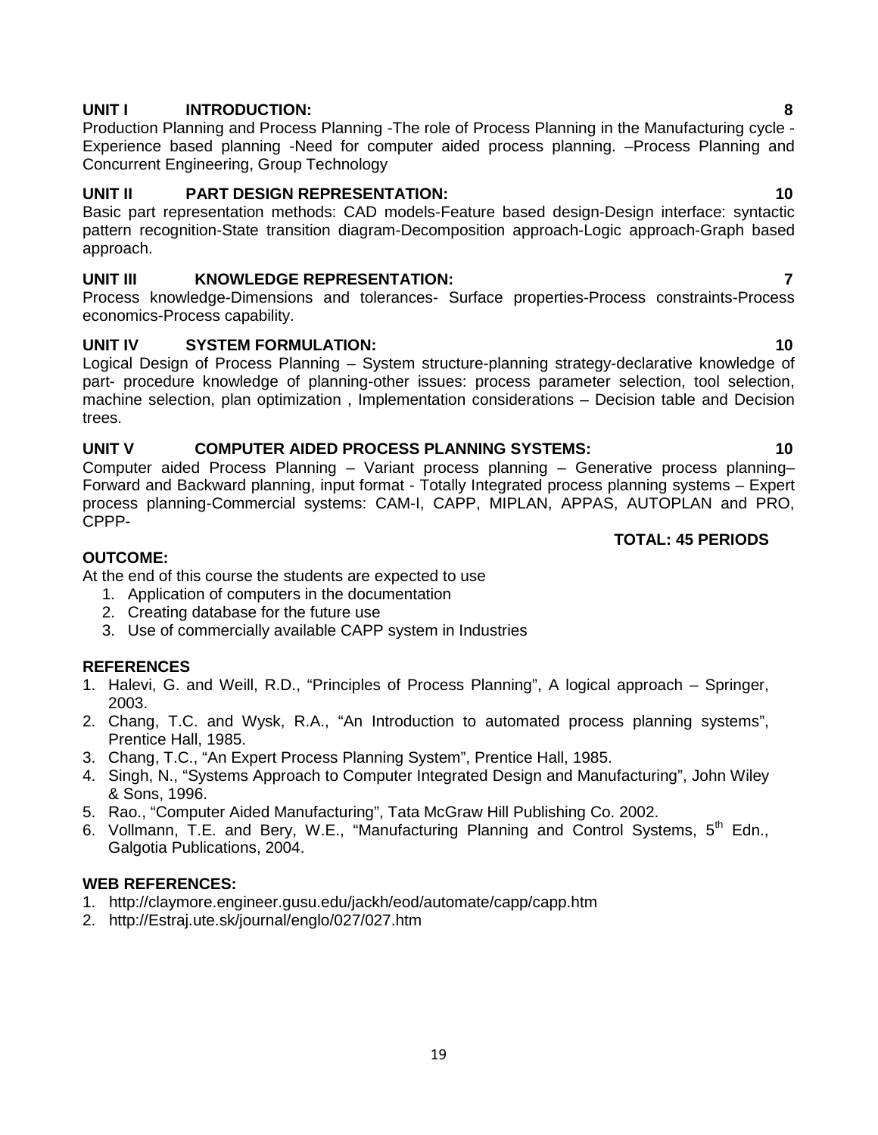# **UNIT I INTRODUCTION: 8**

Production Planning and Process Planning -The role of Process Planning in the Manufacturing cycle - Experience based planning -Need for computer aided process planning. –Process Planning and Concurrent Engineering, Group Technology

# **UNIT II PART DESIGN REPRESENTATION: 10**

Basic part representation methods: CAD models-Feature based design-Design interface: syntactic pattern recognition-State transition diagram-Decomposition approach-Logic approach-Graph based approach.

# **UNIT III KNOWLEDGE REPRESENTATION: 7**

Process knowledge-Dimensions and tolerances- Surface properties-Process constraints-Process economics-Process capability.

# **UNIT IV SYSTEM FORMULATION: 10**

Logical Design of Process Planning – System structure-planning strategy-declarative knowledge of part- procedure knowledge of planning-other issues: process parameter selection, tool selection, machine selection, plan optimization , Implementation considerations – Decision table and Decision trees.

# **UNIT V COMPUTER AIDED PROCESS PLANNING SYSTEMS: 10**

Computer aided Process Planning – Variant process planning – Generative process planning– Forward and Backward planning, input format - Totally Integrated process planning systems – Expert process planning-Commercial systems: CAM-I, CAPP, MIPLAN, APPAS, AUTOPLAN and PRO, CPPP-

# **OUTCOME:**

At the end of this course the students are expected to use

- 1. Application of computers in the documentation
- 2. Creating database for the future use
- 3. Use of commercially available CAPP system in Industries

# **REFERENCES**

- 1. Halevi, G. and Weill, R.D., "Principles of Process Planning", A logical approach Springer, 2003.
- 2. Chang, T.C. and Wysk, R.A., "An Introduction to automated process planning systems", Prentice Hall, 1985.
- 3. Chang, T.C., "An Expert Process Planning System", Prentice Hall, 1985.
- 4. Singh, N., "Systems Approach to Computer Integrated Design and Manufacturing", John Wiley & Sons, 1996.
- 5. Rao., "Computer Aided Manufacturing", Tata McGraw Hill Publishing Co. 2002.
- 6. Vollmann, T.E. and Bery, W.E., "Manufacturing Planning and Control Systems, 5<sup>th</sup> Edn., Galgotia Publications, 2004.

# **WEB REFERENCES:**

- 1. http://claymore.engineer.gusu.edu/jackh/eod/automate/capp/capp.htm
- 2. http://Estraj.ute.sk/journal/englo/027/027.htm

# **TOTAL: 45 PERIODS**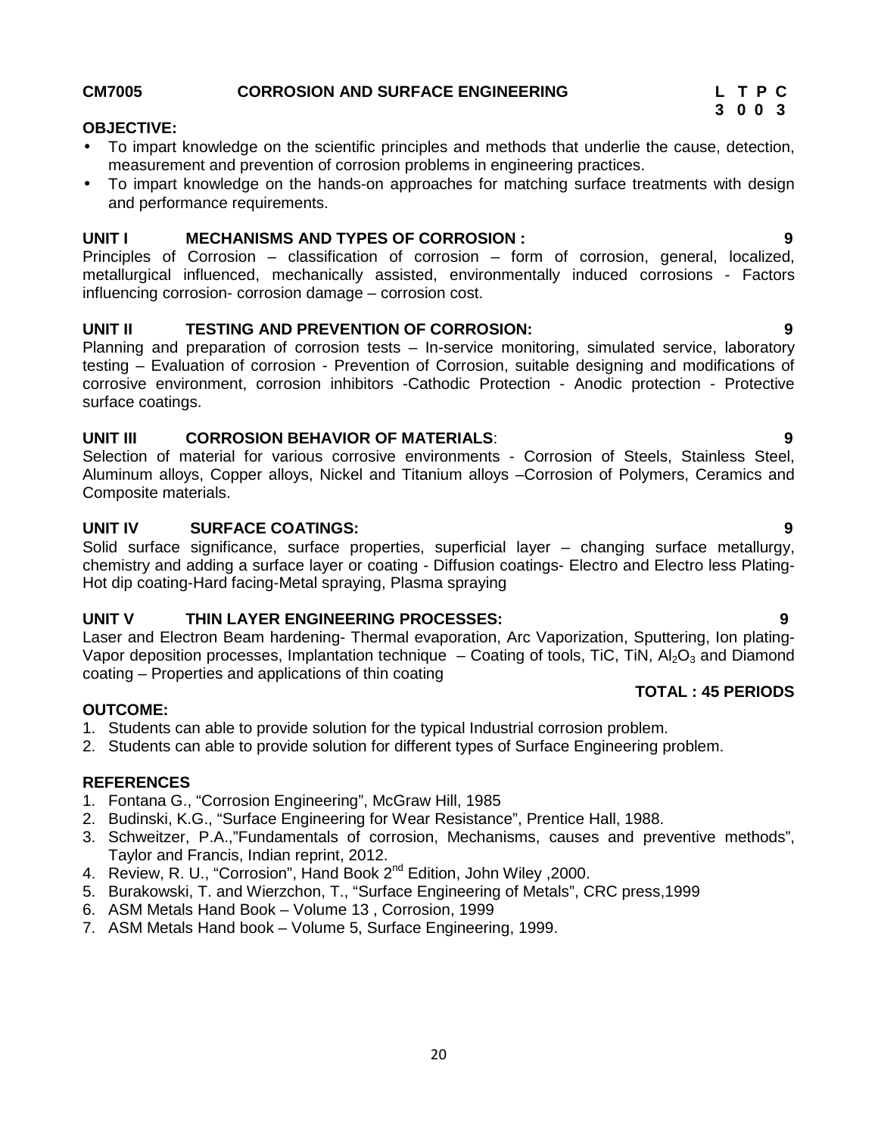### Planning and preparation of corrosion tests – In-service monitoring, simulated service, laboratory testing – Evaluation of corrosion - Prevention of Corrosion, suitable designing and modifications of corrosive environment, corrosion inhibitors -Cathodic Protection - Anodic protection - Protective surface coatings.

**UNIT II TESTING AND PREVENTION OF CORROSION: 9**

To impart knowledge on the scientific principles and methods that underlie the cause, detection,

To impart knowledge on the hands-on approaches for matching surface treatments with design

**UNIT I MECHANISMS AND TYPES OF CORROSION : 9** Principles of Corrosion – classification of corrosion – form of corrosion, general, localized,

### **UNIT III CORROSION BEHAVIOR OF MATERIALS**: **9**

influencing corrosion- corrosion damage – corrosion cost.

Selection of material for various corrosive environments - Corrosion of Steels, Stainless Steel, Aluminum alloys, Copper alloys, Nickel and Titanium alloys –Corrosion of Polymers, Ceramics and Composite materials.

# **UNIT IV SURFACE COATINGS: 9**

and performance requirements.

Solid surface significance, surface properties, superficial layer – changing surface metallurgy, chemistry and adding a surface layer or coating - Diffusion coatings- Electro and Electro less Plating- Hot dip coating-Hard facing-Metal spraying, Plasma spraying

# **UNIT V THIN LAYER ENGINEERING PROCESSES: 9**

Laser and Electron Beam hardening- Thermal evaporation, Arc Vaporization, Sputtering, Ion plating- Vapor deposition processes, Implantation technique  $-$  Coating of tools, TiC, TiN,  $A I_2 O_3$  and Diamond coating – Properties and applications of thin coating **TOTAL : 45 PERIODS**

# **OUTCOME:**

- 1. Students can able to provide solution for the typical Industrial corrosion problem.
- 2. Students can able to provide solution for different types of Surface Engineering problem.

# **REFERENCES**

- 1. Fontana G., "Corrosion Engineering", McGraw Hill, 1985
- 2. Budinski, K.G., "Surface Engineering for Wear Resistance", Prentice Hall, 1988.
- 3. Schweitzer, P.A.,"Fundamentals of corrosion, Mechanisms, causes and preventive methods", Taylor and Francis, Indian reprint, 2012.
- 4. Review, R. U., "Corrosion", Hand Book 2<sup>nd</sup> Edition, John Wiley, 2000.
- 5. Burakowski, T. and Wierzchon, T., "Surface Engineering of Metals", CRC press,1999
- 6. ASM Metals Hand Book Volume 13 , Corrosion, 1999
- 7. ASM Metals Hand book Volume 5, Surface Engineering, 1999.

### **CM7005 CORROSION AND SURFACE ENGINEERING L T P C**

measurement and prevention of corrosion problems in engineering practices.

**OBJECTIVE:**

**3 0 0 3**

metallurgical influenced, mechanically assisted, environmentally induced corrosions - Factors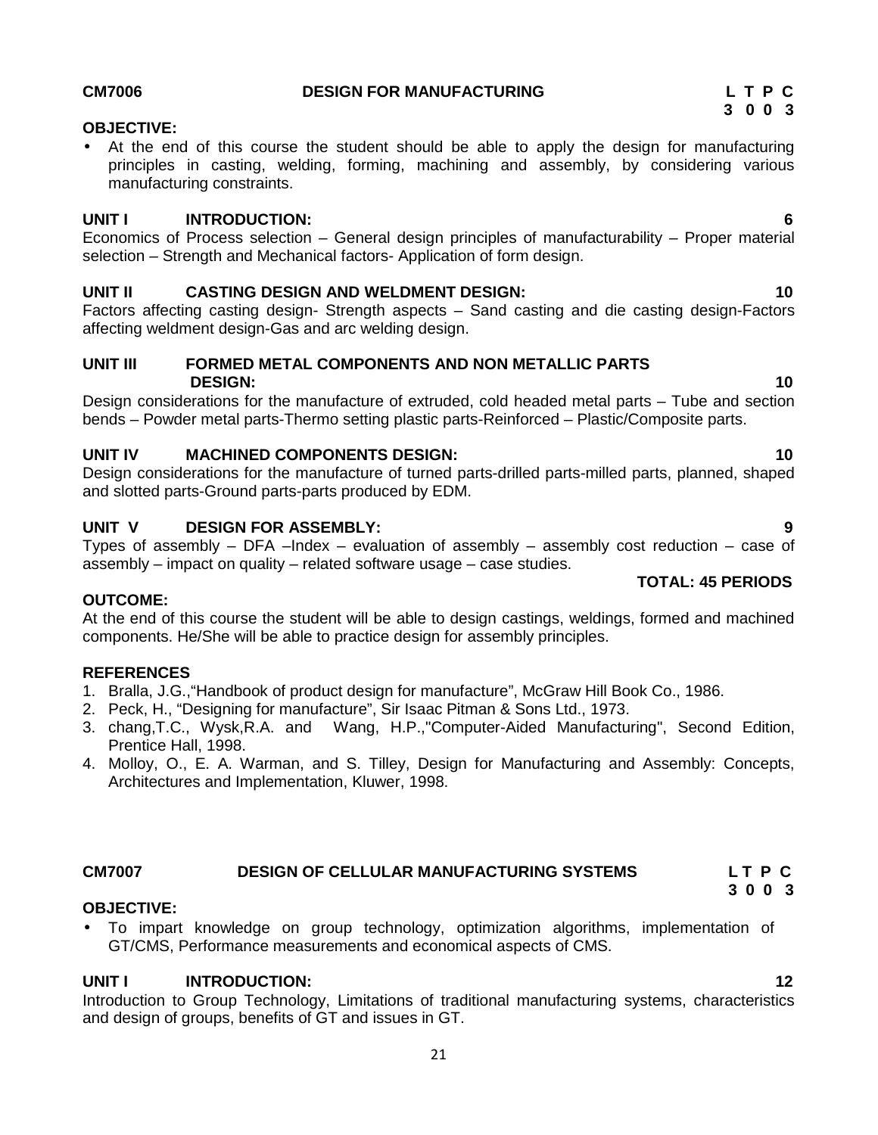# **CM7006 DESIGN FOR MANUFACTURING L T P C**

# **OBJECTIVE:**

 At the end of this course the student should be able to apply the design for manufacturing principles in casting, welding, forming, machining and assembly, by considering various manufacturing constraints.

# **UNIT I INTRODUCTION: 6**

Economics of Process selection – General design principles of manufacturability – Proper material selection – Strength and Mechanical factors- Application of form design.

# **UNIT II CASTING DESIGN AND WELDMENT DESIGN: 10**

Factors affecting casting design- Strength aspects – Sand casting and die casting design-Factors affecting weldment design-Gas and arc welding design.

# **UNIT III FORMED METAL COMPONENTS AND NON METALLIC PARTS DESIGN: 10**

Design considerations for the manufacture of extruded, cold headed metal parts – Tube and section bends – Powder metal parts-Thermo setting plastic parts-Reinforced – Plastic/Composite parts.

# **UNIT IV MACHINED COMPONENTS DESIGN: 10**

Design considerations for the manufacture of turned parts-drilled parts-milled parts, planned, shaped and slotted parts-Ground parts-parts produced by EDM.

# **UNIT V DESIGN FOR ASSEMBLY: 9**

Types of assembly  $-$  DFA  $-$ lndex  $-$  evaluation of assembly  $-$  assembly cost reduction  $-$  case of assembly – impact on quality – related software usage – case studies.

# **OUTCOME:**

At the end of this course the student will be able to design castings, weldings, formed and machined components. He/She will be able to practice design for assembly principles.

# **REFERENCES**

- 1. Bralla, J.G.,"Handbook of product design for manufacture", McGraw Hill Book Co., 1986.
- 2. Peck, H., "Designing for manufacture", Sir Isaac Pitman & Sons Ltd., 1973.
- 3. chang,T.C., Wysk,R.A. and Wang, H.P.,"Computer-Aided Manufacturing", Second Edition, Prentice Hall, 1998.
- 4. Molloy, O., E. A. Warman, and S. Tilley, Design for Manufacturing and Assembly: Concepts, Architectures and Implementation, Kluwer, 1998.

# **CM7007 DESIGN OF CELLULAR MANUFACTURING SYSTEMS L T P C**

# **OBJECTIVE:**

 To impart knowledge on group technology, optimization algorithms, implementation of GT/CMS, Performance measurements and economical aspects of CMS.

# **UNIT I INTRODUCTION: 12**

Introduction to Group Technology, Limitations of traditional manufacturing systems, characteristics and design of groups, benefits of GT and issues in GT.

### **TOTAL: 45 PERIODS**

**3 0 0 3**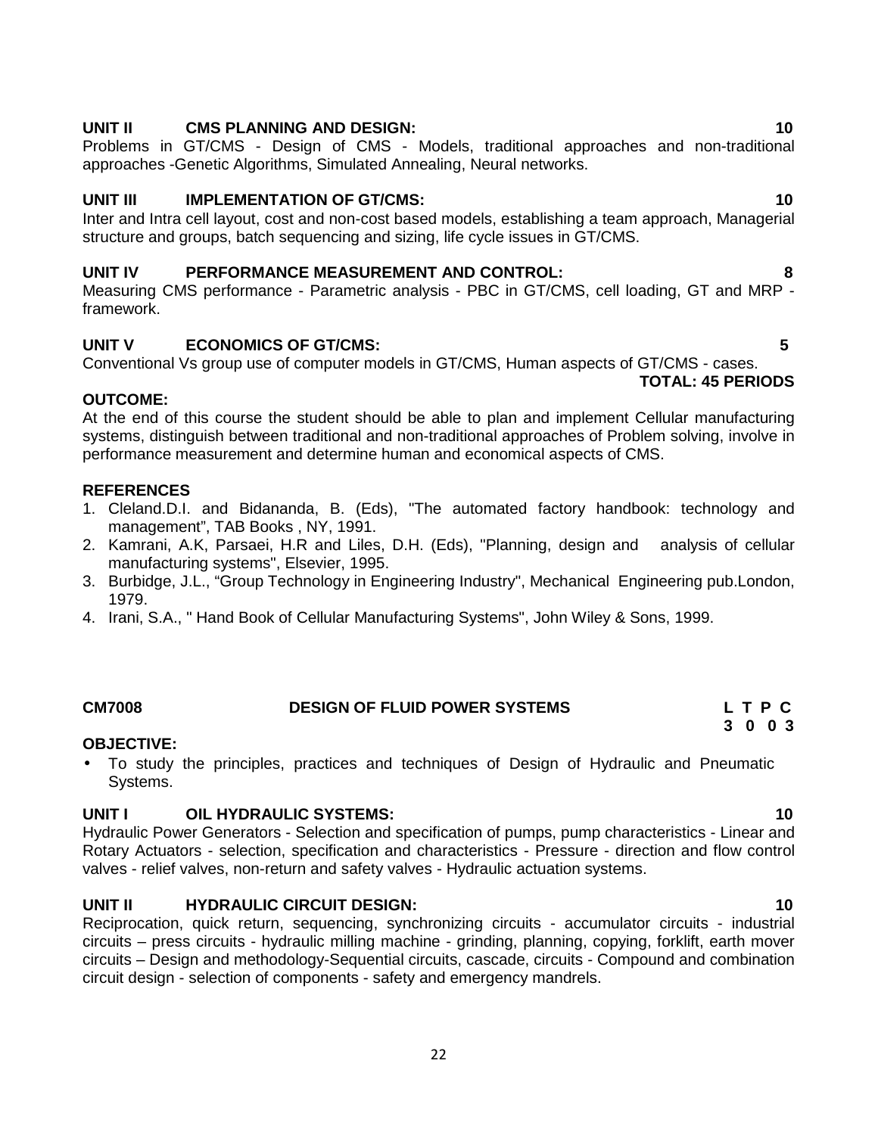# **UNIT II CMS PLANNING AND DESIGN: 10**

Problems in GT/CMS - Design of CMS - Models, traditional approaches and non-traditional approaches -Genetic Algorithms, Simulated Annealing, Neural networks.

# **UNIT III IMPLEMENTATION OF GT/CMS: 10**

Inter and Intra cell layout, cost and non-cost based models, establishing a team approach, Managerial structure and groups, batch sequencing and sizing, life cycle issues in GT/CMS.

# **UNIT IV PERFORMANCE MEASUREMENT AND CONTROL: 8**

Measuring CMS performance - Parametric analysis - PBC in GT/CMS, cell loading, GT and MRP framework.

# **UNIT V ECONOMICS OF GT/CMS: 5**

Conventional Vs group use of computer models in GT/CMS, Human aspects of GT/CMS - cases. **TOTAL: 45 PERIODS**

# **OUTCOME:**

At the end of this course the student should be able to plan and implement Cellular manufacturing systems, distinguish between traditional and non-traditional approaches of Problem solving, involve in performance measurement and determine human and economical aspects of CMS.

# **REFERENCES**

- 1. Cleland.D.I. and Bidananda, B. (Eds), "The automated factory handbook: technology and management", TAB Books , NY, 1991.
- 2. Kamrani, A.K, Parsaei, H.R and Liles, D.H. (Eds), "Planning, design and analysis of cellular manufacturing systems", Elsevier, 1995.
- 3. Burbidge, J.L., "Group Technology in Engineering Industry", Mechanical Engineering pub.London, 1979.
- 4. Irani, S.A., " Hand Book of Cellular Manufacturing Systems", John Wiley & Sons, 1999.

# **OBJECTIVE:**

 To study the principles, practices and techniques of Design of Hydraulic and Pneumatic Systems.

# **UNIT I OIL HYDRAULIC SYSTEMS: 10**

Hydraulic Power Generators - Selection and specification of pumps, pump characteristics - Linear and Rotary Actuators - selection, specification and characteristics - Pressure - direction and flow control valves - relief valves, non-return and safety valves - Hydraulic actuation systems.

# **UNIT II HYDRAULIC CIRCUIT DESIGN: 10**

Reciprocation, quick return, sequencing, synchronizing circuits - accumulator circuits - industrial circuits – press circuits - hydraulic milling machine - grinding, planning, copying, forklift, earth mover circuits – Design and methodology-Sequential circuits, cascade, circuits - Compound and combination circuit design - selection of components - safety and emergency mandrels.

#### **CM7008 DESIGN OF FLUID POWER SYSTEMS L T P C 3 0 0 3**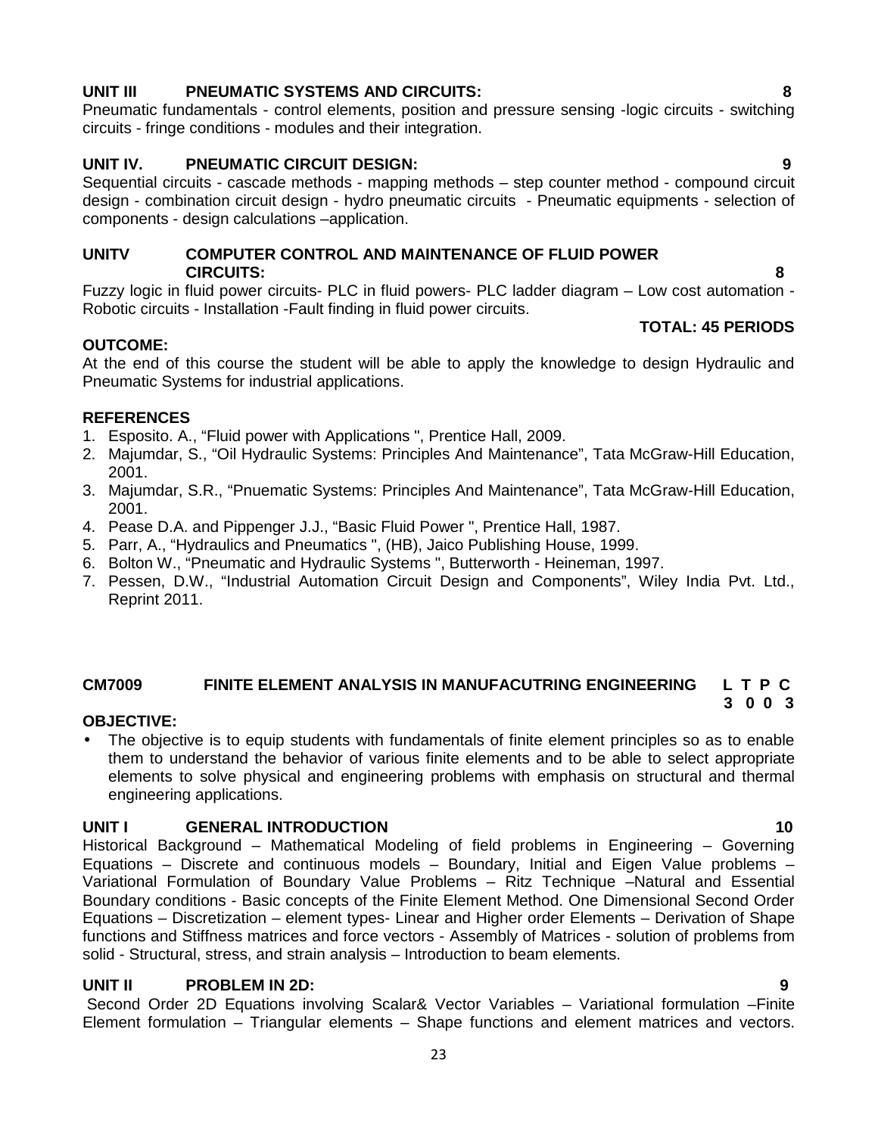# **UNIT III PNEUMATIC SYSTEMS AND CIRCUITS: 8**

Pneumatic fundamentals - control elements, position and pressure sensing -logic circuits - switching circuits - fringe conditions - modules and their integration.

# **UNIT IV. PNEUMATIC CIRCUIT DESIGN: 9**

Sequential circuits - cascade methods - mapping methods – step counter method - compound circuit design - combination circuit design - hydro pneumatic circuits - Pneumatic equipments - selection of components - design calculations –application.

### **UNITV COMPUTER CONTROL AND MAINTENANCE OF FLUID POWER CIRCUITS: 8**

Fuzzy logic in fluid power circuits- PLC in fluid powers- PLC ladder diagram – Low cost automation - Robotic circuits - Installation -Fault finding in fluid power circuits.

# **OUTCOME:**

At the end of this course the student will be able to apply the knowledge to design Hydraulic and Pneumatic Systems for industrial applications.

# **REFERENCES**

- 1. Esposito. A., "Fluid power with Applications ", Prentice Hall, 2009.
- 2. Majumdar, S., "Oil Hydraulic Systems: Principles And Maintenance", Tata McGraw-Hill Education, 2001.
- 3. Majumdar, S.R., "Pnuematic Systems: Principles And Maintenance", Tata McGraw-Hill Education, 2001.
- 4. Pease D.A. and Pippenger J.J., "Basic Fluid Power ", Prentice Hall, 1987.
- 5. Parr, A., "Hydraulics and Pneumatics ", (HB), Jaico Publishing House, 1999.
- 6. Bolton W., "Pneumatic and Hydraulic Systems ", Butterworth Heineman, 1997.
- 7. Pessen, D.W., "Industrial Automation Circuit Design and Components", Wiley India Pvt. Ltd., Reprint 2011.

#### **CM7009 FINITE ELEMENT ANALYSIS IN MANUFACUTRING ENGINEERING L T P C 3 0 0 3**

# **OBJECTIVE:**

• The objective is to equip students with fundamentals of finite element principles so as to enable them to understand the behavior of various finite elements and to be able to select appropriate elements to solve physical and engineering problems with emphasis on structural and thermal engineering applications.

# **UNIT I GENERAL INTRODUCTION 10**

Historical Background – Mathematical Modeling of field problems in Engineering – Governing Equations – Discrete and continuous models – Boundary, Initial and Eigen Value problems – Variational Formulation of Boundary Value Problems – Ritz Technique –Natural and Essential Boundary conditions - Basic concepts of the Finite Element Method. One Dimensional Second Order Equations – Discretization – element types- Linear and Higher order Elements – Derivation of Shape functions and Stiffness matrices and force vectors - Assembly of Matrices - solution of problems from solid - Structural, stress, and strain analysis – Introduction to beam elements.

# **UNIT II PROBLEM IN 2D: 9**

Second Order 2D Equations involving Scalar& Vector Variables – Variational formulation –Finite Element formulation – Triangular elements – Shape functions and element matrices and vectors.

**TOTAL: 45 PERIODS**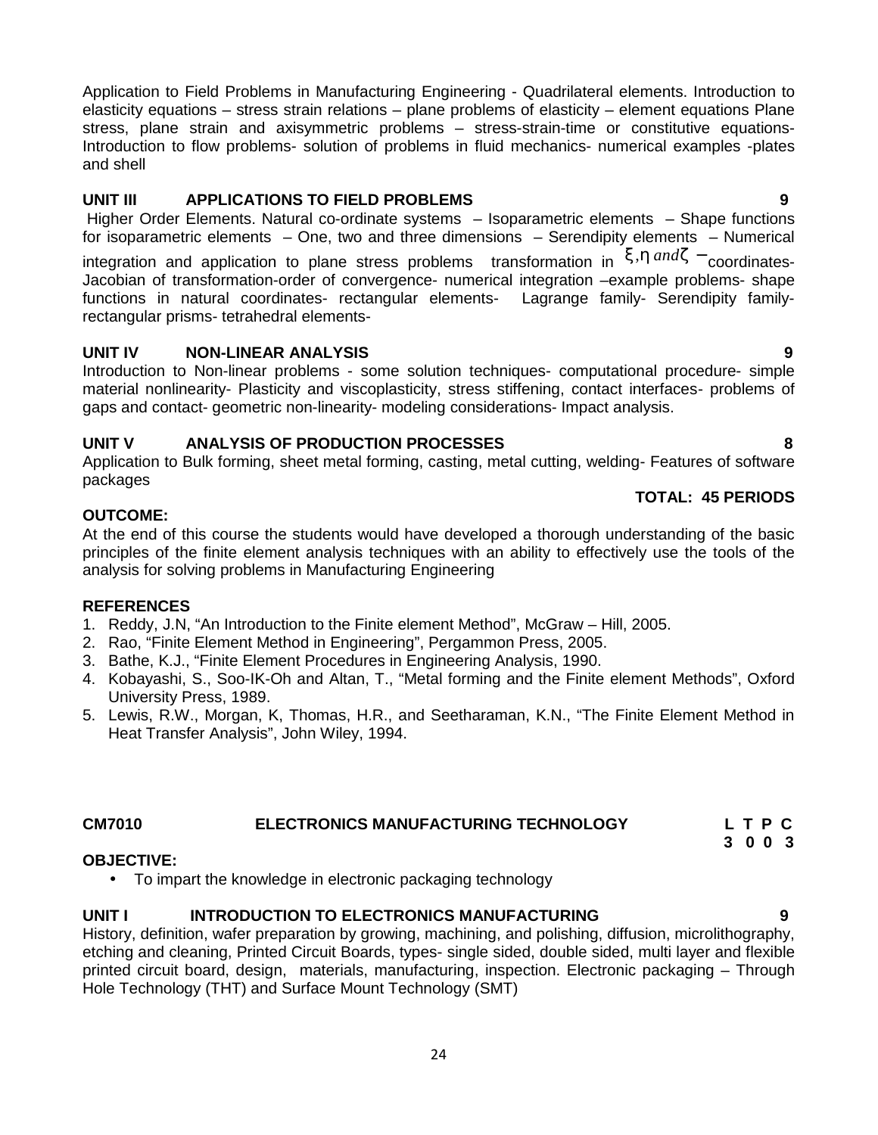Application to Field Problems in Manufacturing Engineering - Quadrilateral elements. Introduction to elasticity equations – stress strain relations – plane problems of elasticity – element equations Plane stress, plane strain and axisymmetric problems – stress-strain-time or constitutive equations-Introduction to flow problems- solution of problems in fluid mechanics- numerical examples -plates and shell Application to Field Problems in Manufacturing Engineering - Quadrilateral elements. Introduction to<br>elasticity equations – stress strain relations – plane problems of elasticity – element equations Plane<br>stress, plane str

# **UNIT III APPLICATIONS TO FIELD PROBLEMS 9**

Higher Order Elements. Natural co-ordinate systems – Isoparametric elements – Shape functions for isoparametric elements – One, two and three dimensions – Serendipity elements – Numerical

integration and application to plane stress problems transformation in  $\left\langle \cdot ,\right\rangle$  and  $\left\langle \cdot \right\rangle$  coordinates-Jacobian of transformation-order of convergence- numerical integration –example problems- shape functions in natural coordinates- rectangular elements- Lagrange family- Serendipity familyrectangular prisms- tetrahedral elements-

# **UNIT IV NON-LINEAR ANALYSIS 9**

Introduction to Non-linear problems - some solution techniques- computational procedure- simple material nonlinearity- Plasticity and viscoplasticity, stress stiffening, contact interfaces- problems of gaps and contact- geometric non-linearity- modeling considerations- Impact analysis.

# **UNIT V ANALYSIS OF PRODUCTION PROCESSES 8**

Application to Bulk forming, sheet metal forming, casting, metal cutting, welding- Features of software packages

# **TOTAL: 45 PERIODS**

# **OUTCOME:**

At the end of this course the students would have developed a thorough understanding of the basic principles of the finite element analysis techniques with an ability to effectively use the tools of the analysis for solving problems in Manufacturing Engineering

# **REFERENCES**

- 1. Reddy, J.N, "An Introduction to the Finite element Method", McGraw Hill, 2005.
- 2. Rao, "Finite Element Method in Engineering", Pergammon Press, 2005.
- 3. Bathe, K.J., "Finite Element Procedures in Engineering Analysis, 1990.
- 4. Kobayashi, S., Soo-IK-Oh and Altan, T., "Metal forming and the Finite element Methods", Oxford University Press, 1989.
- 5. Lewis, R.W., Morgan, K, Thomas, H.R., and Seetharaman, K.N., "The Finite Element Method in Heat Transfer Analysis", John Wiley, 1994.

#### **CM7010 ELECTRONICS MANUFACTURING TECHNOLOGY L T P C 3 0 0 3**

# **OBJECTIVE:**

To impart the knowledge in electronic packaging technology

# **UNIT I INTRODUCTION TO ELECTRONICS MANUFACTURING 9**

History, definition, wafer preparation by growing, machining, and polishing, diffusion, microlithography, etching and cleaning, Printed Circuit Boards, types- single sided, double sided, multi layer and flexible printed circuit board, design, materials, manufacturing, inspection. Electronic packaging – Through Hole Technology (THT) and Surface Mount Technology (SMT)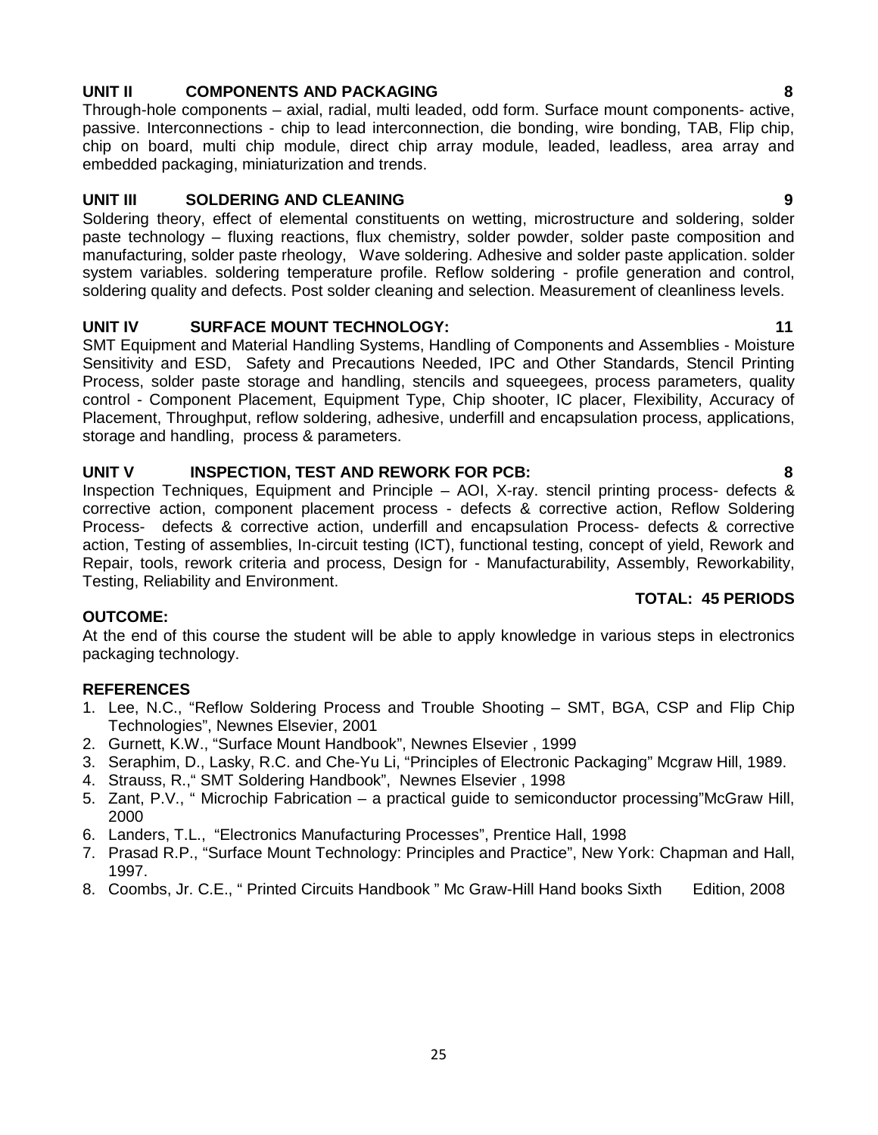# **UNIT II COMPONENTS AND PACKAGING 8**

Through-hole components – axial, radial, multi leaded, odd form. Surface mount components- active, passive. Interconnections - chip to lead interconnection, die bonding, wire bonding, TAB, Flip chip, chip on board, multi chip module, direct chip array module, leaded, leadless, area array and embedded packaging, miniaturization and trends.

# **UNIT III SOLDERING AND CLEANING 9**

Soldering theory, effect of elemental constituents on wetting, microstructure and soldering, solder paste technology – fluxing reactions, flux chemistry, solder powder, solder paste composition and manufacturing, solder paste rheology, Wave soldering. Adhesive and solder paste application. solder system variables. soldering temperature profile. Reflow soldering - profile generation and control, soldering quality and defects. Post solder cleaning and selection. Measurement of cleanliness levels.

# **UNIT IV SURFACE MOUNT TECHNOLOGY: 11**

SMT Equipment and Material Handling Systems, Handling of Components and Assemblies - Moisture Sensitivity and ESD, Safety and Precautions Needed, IPC and Other Standards, Stencil Printing Process, solder paste storage and handling, stencils and squeegees, process parameters, quality control - Component Placement, Equipment Type, Chip shooter, IC placer, Flexibility, Accuracy of Placement, Throughput, reflow soldering, adhesive, underfill and encapsulation process, applications, storage and handling, process & parameters.

# **UNIT V INSPECTION, TEST AND REWORK FOR PCB: 8**

Inspection Techniques, Equipment and Principle – AOI, X-ray. stencil printing process- defects & corrective action, component placement process - defects & corrective action, Reflow Soldering Process- defects & corrective action, underfill and encapsulation Process- defects & corrective action, Testing of assemblies, In-circuit testing (ICT), functional testing, concept of yield, Rework and Repair, tools, rework criteria and process, Design for - Manufacturability, Assembly, Reworkability, Testing, Reliability and Environment.

# **TOTAL: 45 PERIODS**

# **OUTCOME:**

At the end of this course the student will be able to apply knowledge in various steps in electronics packaging technology.

# **REFERENCES**

- 1. Lee, N.C., "Reflow Soldering Process and Trouble Shooting SMT, BGA, CSP and Flip Chip Technologies", Newnes Elsevier, 2001
- 2. Gurnett, K.W., "Surface Mount Handbook", Newnes Elsevier , 1999
- 3. Seraphim, D., Lasky, R.C. and Che-Yu Li, "Principles of Electronic Packaging" Mcgraw Hill, 1989.
- 4. Strauss, R.," SMT Soldering Handbook", Newnes Elsevier , 1998
- 5. Zant, P.V., " Microchip Fabrication a practical guide to semiconductor processing"McGraw Hill, 2000
- 6. Landers, T.L., "Electronics Manufacturing Processes", Prentice Hall, 1998
- 7. Prasad R.P., "Surface Mount Technology: Principles and Practice", New York: Chapman and Hall, 1997.
- 8. Coombs, Jr. C.E., " Printed Circuits Handbook " Mc Graw-Hill Hand books Sixth Edition, 2008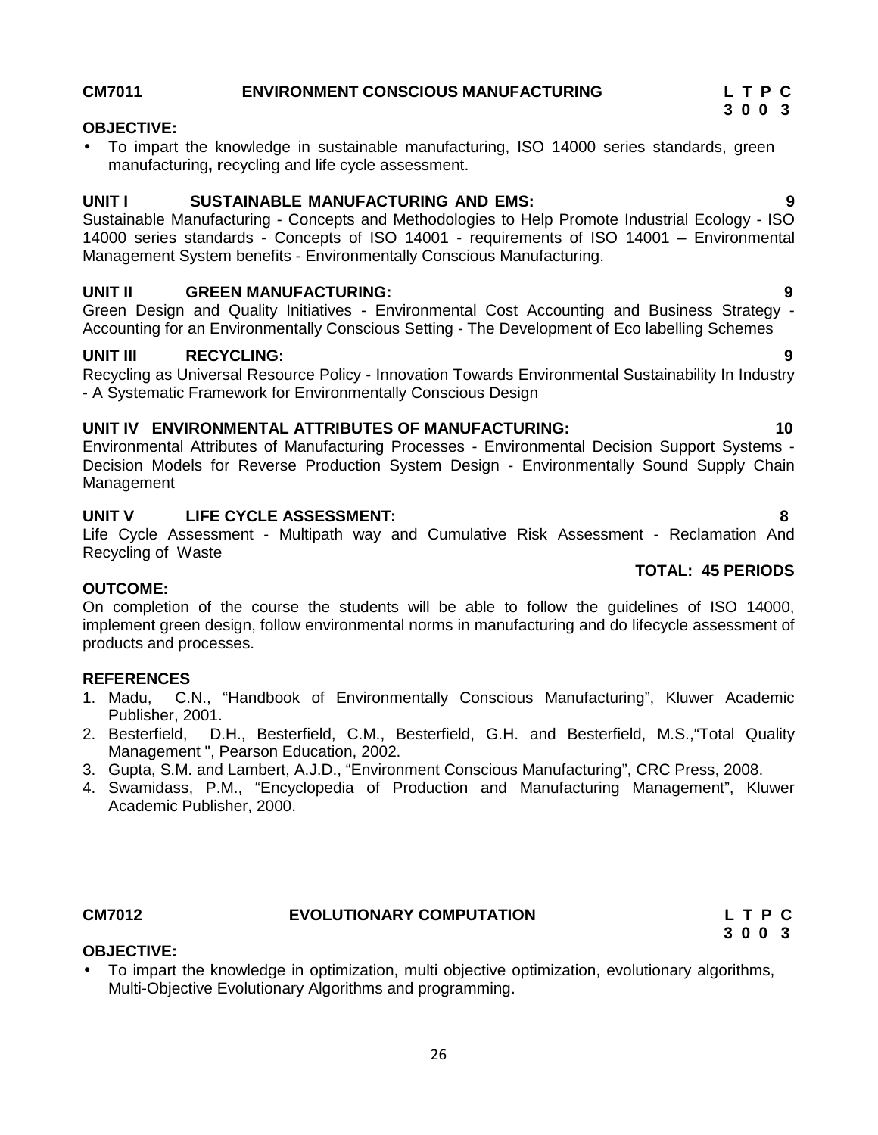# **CM7011 ENVIRONMENT CONSCIOUS MANUFACTURING L T P C**

# **OBJECTIVE:**

 To impart the knowledge in sustainable manufacturing, ISO 14000 series standards, green manufacturing**, r**ecycling and life cycle assessment.

# **UNIT I SUSTAINABLE MANUFACTURING AND EMS: 9**

Sustainable Manufacturing - Concepts and Methodologies to Help Promote Industrial Ecology - ISO 14000 series standards - Concepts of ISO 14001 - requirements of ISO 14001 – Environmental Management System benefits - Environmentally Conscious Manufacturing.

### **UNIT II GREEN MANUFACTURING: 9**

Green Design and Quality Initiatives - Environmental Cost Accounting and Business Strategy - Accounting for an Environmentally Conscious Setting - The Development of Eco labelling Schemes

# **UNIT III RECYCLING: 9**

Recycling as Universal Resource Policy - Innovation Towards Environmental Sustainability In Industry - A Systematic Framework for Environmentally Conscious Design

### **UNIT IV ENVIRONMENTAL ATTRIBUTES OF MANUFACTURING: 10**

Environmental Attributes of Manufacturing Processes - Environmental Decision Support Systems - Decision Models for Reverse Production System Design - Environmentally Sound Supply Chain Management

### **UNIT V LIFE CYCLE ASSESSMENT: 8**

Life Cycle Assessment - Multipath way and Cumulative Risk Assessment - Reclamation And Recycling of Waste

### **OUTCOME:**

On completion of the course the students will be able to follow the guidelines of ISO 14000, implement green design, follow environmental norms in manufacturing and do lifecycle assessment of products and processes.

### **REFERENCES**

- 1. Madu, C.N., "Handbook of Environmentally Conscious Manufacturing", Kluwer Academic Publisher, 2001.
- 2. Besterfield, D.H., Besterfield, C.M., Besterfield, G.H. and Besterfield, M.S.,"Total Quality Management ", Pearson Education, 2002.
- 3. Gupta, S.M. and Lambert, A.J.D., "Environment Conscious Manufacturing", CRC Press, 2008.
- 4. Swamidass, P.M., "Encyclopedia of Production and Manufacturing Management", Kluwer Academic Publisher, 2000.

# **OBJECTIVE:**

 To impart the knowledge in optimization, multi objective optimization, evolutionary algorithms, Multi-Objective Evolutionary Algorithms and programming.

**TOTAL: 45 PERIODS**

**CM7012 EVOLUTIONARY COMPUTATION L T P C 3 0 0 3**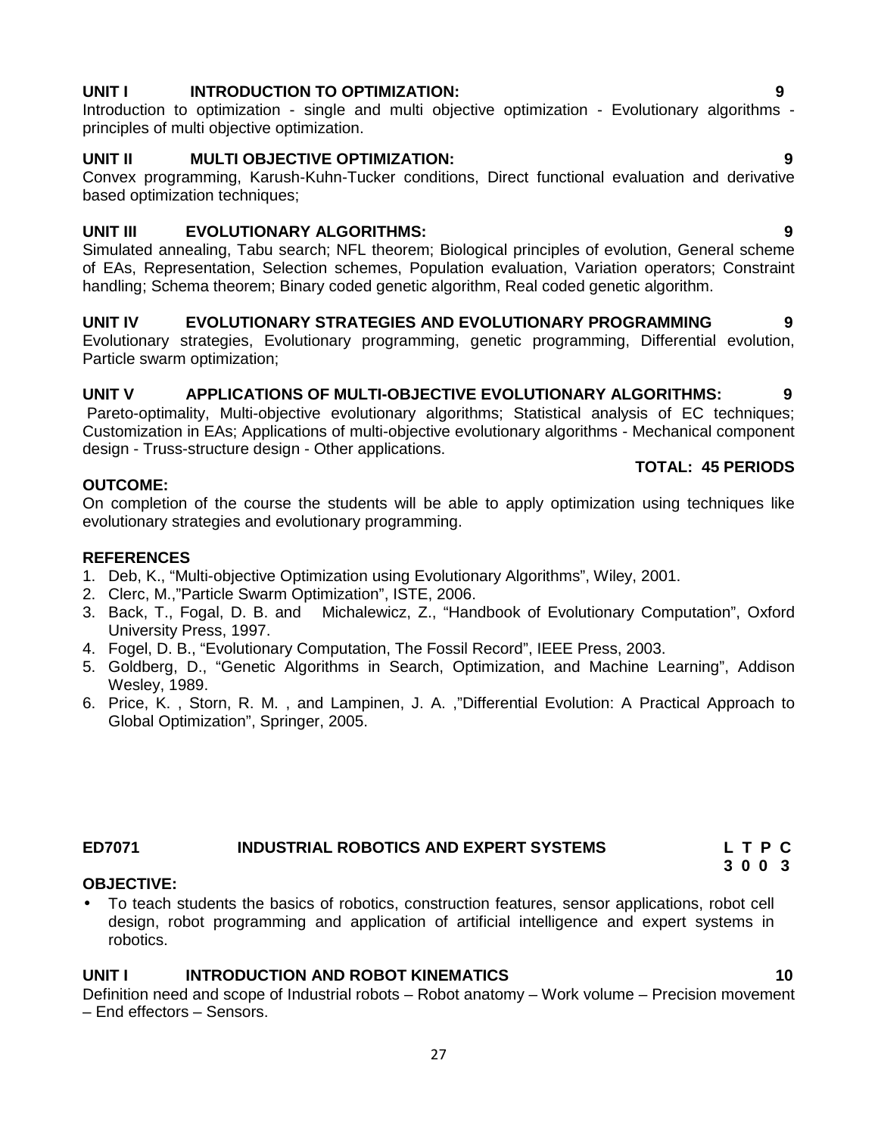### 27

# **UNIT I INTRODUCTION TO OPTIMIZATION: 9**

Introduction to optimization - single and multi objective optimization - Evolutionary algorithms principles of multi objective optimization.

# **UNIT II MULTI OBJECTIVE OPTIMIZATION: 9**

Convex programming, Karush-Kuhn-Tucker conditions, Direct functional evaluation and derivative based optimization techniques;

# **UNIT III EVOLUTIONARY ALGORITHMS: 9**

Simulated annealing, Tabu search; NFL theorem; Biological principles of evolution, General scheme of EAs, Representation, Selection schemes, Population evaluation, Variation operators; Constraint handling; Schema theorem; Binary coded genetic algorithm, Real coded genetic algorithm.

# **UNIT IV EVOLUTIONARY STRATEGIES AND EVOLUTIONARY PROGRAMMING 9**

Evolutionary strategies, Evolutionary programming, genetic programming, Differential evolution, Particle swarm optimization;

# **UNIT V APPLICATIONS OF MULTI-OBJECTIVE EVOLUTIONARY ALGORITHMS: 9**

Pareto-optimality, Multi-objective evolutionary algorithms; Statistical analysis of EC techniques: Customization in EAs; Applications of multi-objective evolutionary algorithms - Mechanical component design - Truss-structure design - Other applications.

# **TOTAL: 45 PERIODS**

On completion of the course the students will be able to apply optimization using techniques like evolutionary strategies and evolutionary programming.

# **REFERENCES**

**OUTCOME:**

- 1. Deb, K., "Multi-objective Optimization using Evolutionary Algorithms", Wiley, 2001.
- 2. Clerc, M.,"Particle Swarm Optimization", ISTE, 2006.
- 3. Back, T., Fogal, D. B. and Michalewicz, Z., "Handbook of Evolutionary Computation", Oxford University Press, 1997.
- 4. Fogel, D. B., "Evolutionary Computation, The Fossil Record", IEEE Press, 2003.
- 5. Goldberg, D., "Genetic Algorithms in Search, Optimization, and Machine Learning", Addison Wesley, 1989.
- 6. Price, K. , Storn, R. M. , and Lampinen, J. A. ,"Differential Evolution: A Practical Approach to Global Optimization", Springer, 2005.

# **ED7071 INDUSTRIAL ROBOTICS AND EXPERT SYSTEMS L T P C**

# **OBJECTIVE:**

 To teach students the basics of robotics, construction features, sensor applications, robot cell design, robot programming and application of artificial intelligence and expert systems in robotics.

# **UNIT I INTRODUCTION AND ROBOT KINEMATICS 10**

Definition need and scope of Industrial robots – Robot anatomy – Work volume – Precision movement – End effectors – Sensors.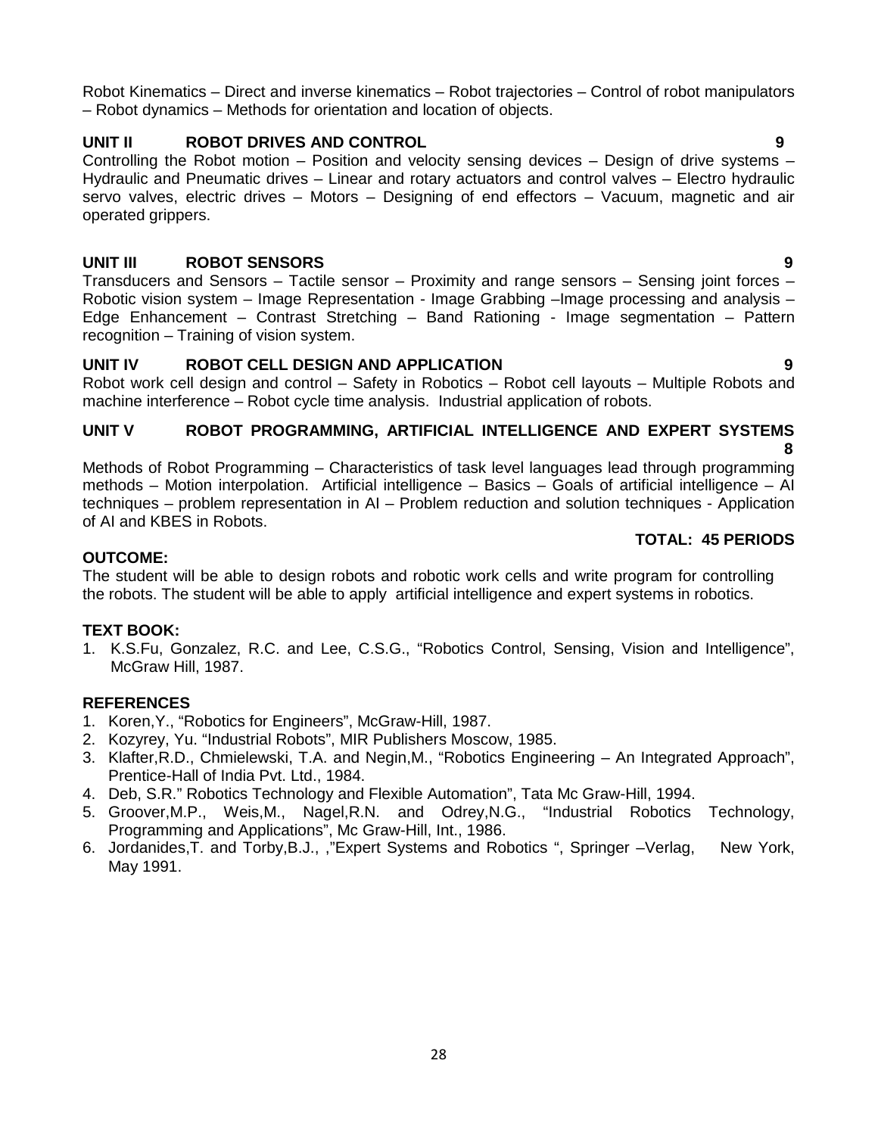Robot Kinematics – Direct and inverse kinematics – Robot trajectories – Control of robot manipulators – Robot dynamics – Methods for orientation and location of objects.

# **UNIT II ROBOT DRIVES AND CONTROL 9**

Controlling the Robot motion – Position and velocity sensing devices – Design of drive systems – Hydraulic and Pneumatic drives – Linear and rotary actuators and control valves – Electro hydraulic servo valves, electric drives – Motors – Designing of end effectors – Vacuum, magnetic and air operated grippers.

# **UNIT III ROBOT SENSORS 9**

Transducers and Sensors – Tactile sensor – Proximity and range sensors – Sensing joint forces – Robotic vision system – Image Representation - Image Grabbing –Image processing and analysis – Edge Enhancement – Contrast Stretching – Band Rationing - Image segmentation – Pattern recognition – Training of vision system.

# **UNIT IV ROBOT CELL DESIGN AND APPLICATION 9**

Robot work cell design and control – Safety in Robotics – Robot cell layouts – Multiple Robots and machine interference – Robot cycle time analysis. Industrial application of robots.

#### **UNIT V ROBOT PROGRAMMING, ARTIFICIAL INTELLIGENCE AND EXPERT SYSTEMS 8**

Methods of Robot Programming – Characteristics of task level languages lead through programming methods – Motion interpolation. Artificial intelligence – Basics – Goals of artificial intelligence – AI techniques – problem representation in AI – Problem reduction and solution techniques - Application of AI and KBES in Robots.

# **TOTAL: 45 PERIODS**

# **OUTCOME:**

The student will be able to design robots and robotic work cells and write program for controlling the robots. The student will be able to apply artificial intelligence and expert systems in robotics.

# **TEXT BOOK:**

1. K.S.Fu, Gonzalez, R.C. and Lee, C.S.G., "Robotics Control, Sensing, Vision and Intelligence", McGraw Hill, 1987.

# **REFERENCES**

- 1. Koren,Y., "Robotics for Engineers", McGraw-Hill, 1987.
- 2. Kozyrey, Yu. "Industrial Robots", MIR Publishers Moscow, 1985.
- 3. Klafter,R.D., Chmielewski, T.A. and Negin,M., "Robotics Engineering An Integrated Approach", Prentice-Hall of India Pvt. Ltd., 1984.
- 4. Deb, S.R." Robotics Technology and Flexible Automation", Tata Mc Graw-Hill, 1994.
- 5. Groover,M.P., Weis,M., Nagel,R.N. and Odrey,N.G., "Industrial Robotics Technology, Programming and Applications", Mc Graw-Hill, Int., 1986.
- 6. Jordanides,T. and Torby,B.J., ,"Expert Systems and Robotics ", Springer –Verlag, New York, May 1991.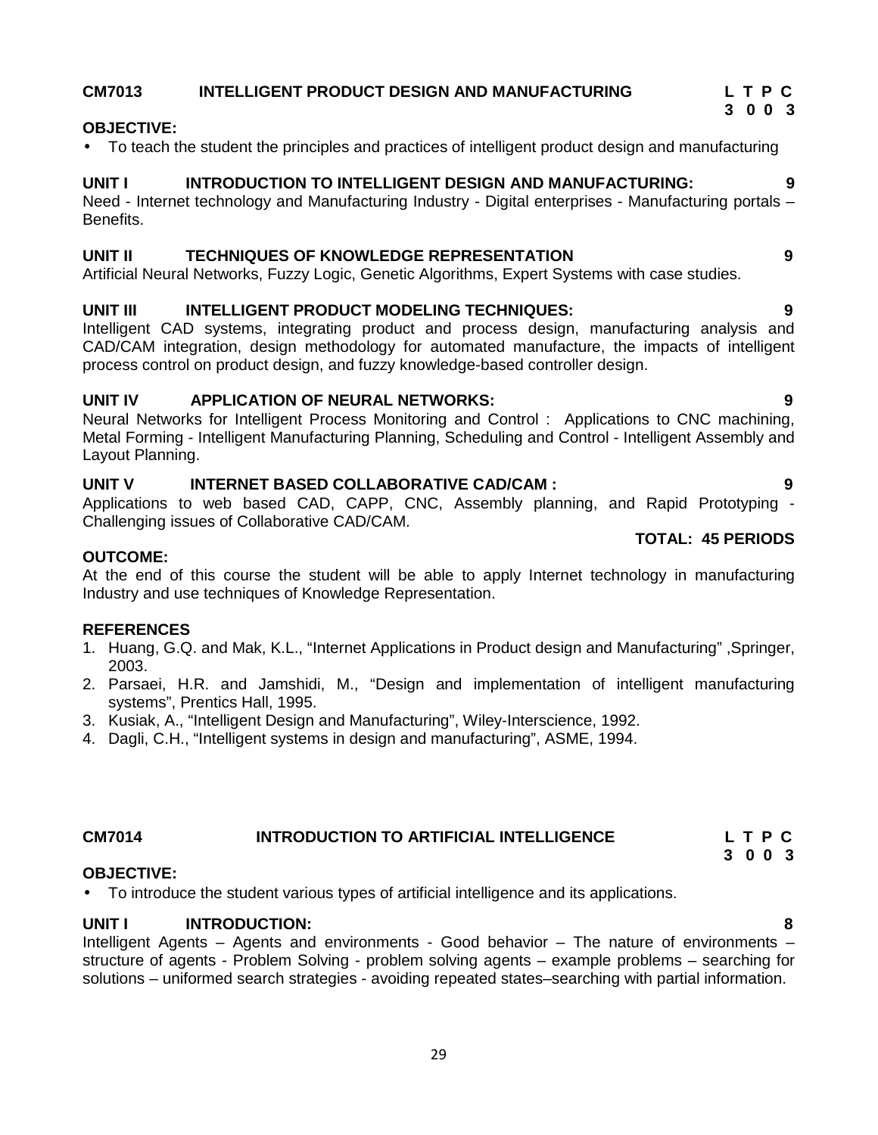# **CM7013 INTELLIGENT PRODUCT DESIGN AND MANUFACTURING L T P C**

# **OBJECTIVE:**

To teach the student the principles and practices of intelligent product design and manufacturing

# **UNIT I INTRODUCTION TO INTELLIGENT DESIGN AND MANUFACTURING: 9**

Need - Internet technology and Manufacturing Industry - Digital enterprises - Manufacturing portals – Benefits.

### **UNIT II TECHNIQUES OF KNOWLEDGE REPRESENTATION 9**

Artificial Neural Networks, Fuzzy Logic, Genetic Algorithms, Expert Systems with case studies.

# **UNIT III INTELLIGENT PRODUCT MODELING TECHNIQUES: 9**

Intelligent CAD systems, integrating product and process design, manufacturing analysis and CAD/CAM integration, design methodology for automated manufacture, the impacts of intelligent process control on product design, and fuzzy knowledge-based controller design.

# **UNIT IV APPLICATION OF NEURAL NETWORKS: 9**

Neural Networks for Intelligent Process Monitoring and Control : Applications to CNC machining, Metal Forming - Intelligent Manufacturing Planning, Scheduling and Control - Intelligent Assembly and Layout Planning.

# **UNIT V INTERNET BASED COLLABORATIVE CAD/CAM : 9**

Applications to web based CAD, CAPP, CNC, Assembly planning, and Rapid Prototyping - Challenging issues of Collaborative CAD/CAM.

### **OUTCOME:**

At the end of this course the student will be able to apply Internet technology in manufacturing Industry and use techniques of Knowledge Representation.

# **REFERENCES**

- 1. Huang, G.Q. and Mak, K.L., "Internet Applications in Product design and Manufacturing" ,Springer, 2003.
- 2. Parsaei, H.R. and Jamshidi, M., "Design and implementation of intelligent manufacturing systems", Prentics Hall, 1995.
- 3. Kusiak, A., "Intelligent Design and Manufacturing", Wiley-Interscience, 1992.
- 4. Dagli, C.H., "Intelligent systems in design and manufacturing", ASME, 1994.

#### **CM7014 INTRODUCTION TO ARTIFICIAL INTELLIGENCE L T P C 3 0 0 3**

### **OBJECTIVE:**

To introduce the student various types of artificial intelligence and its applications.

# **UNIT I INTRODUCTION: 8**

Intelligent Agents – Agents and environments - Good behavior – The nature of environments – structure of agents - Problem Solving - problem solving agents – example problems – searching for solutions – uniformed search strategies - avoiding repeated states–searching with partial information.

# **TOTAL: 45 PERIODS**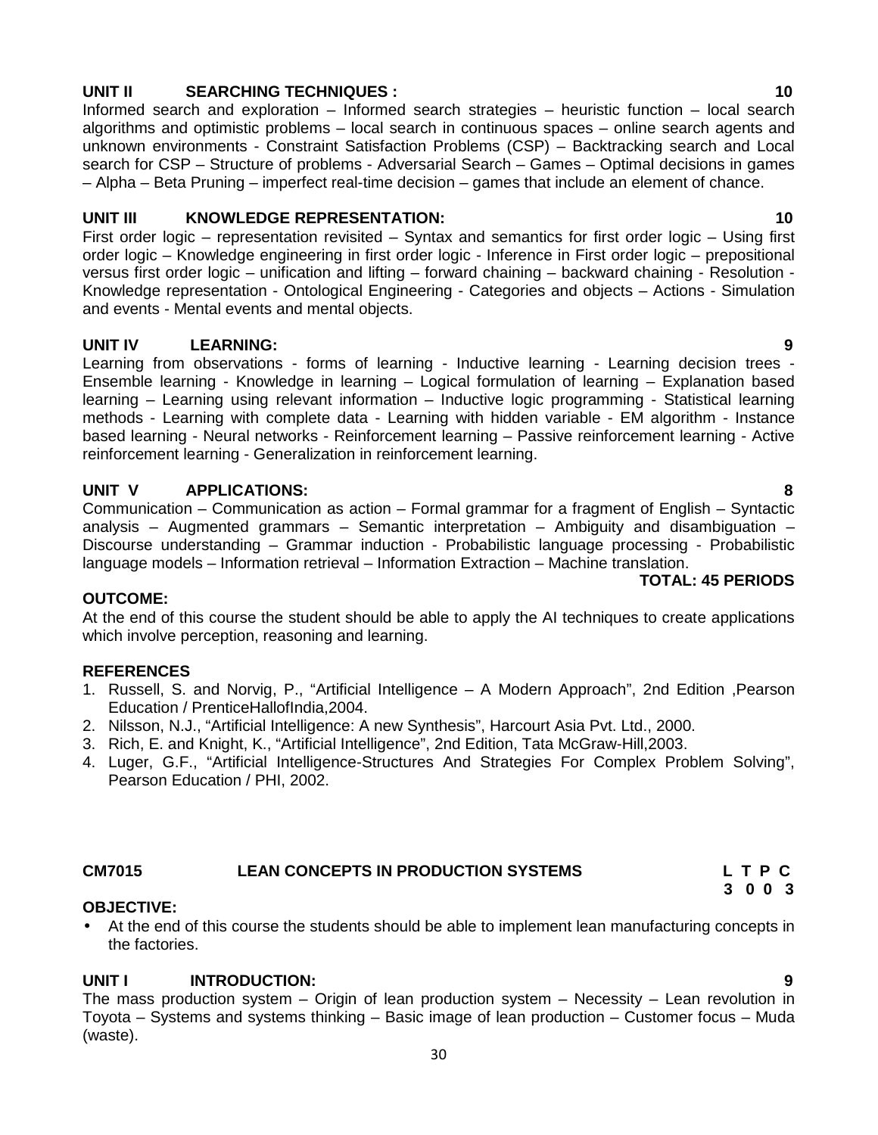# **UNIT II SEARCHING TECHNIQUES : 10**

Informed search and exploration – Informed search strategies – heuristic function – local search algorithms and optimistic problems – local search in continuous spaces – online search agents and unknown environments - Constraint Satisfaction Problems (CSP) – Backtracking search and Local search for CSP – Structure of problems - Adversarial Search – Games – Optimal decisions in games – Alpha – Beta Pruning – imperfect real-time decision – games that include an element of chance.

# **UNIT III KNOWLEDGE REPRESENTATION: 10**

First order logic – representation revisited – Syntax and semantics for first order logic – Using first order logic – Knowledge engineering in first order logic - Inference in First order logic – prepositional versus first order logic – unification and lifting – forward chaining – backward chaining - Resolution - Knowledge representation - Ontological Engineering - Categories and objects – Actions - Simulation and events - Mental events and mental objects.

# **UNIT IV LEARNING: 9**

Learning from observations - forms of learning - Inductive learning - Learning decision trees - Ensemble learning - Knowledge in learning – Logical formulation of learning – Explanation based learning – Learning using relevant information – Inductive logic programming - Statistical learning methods - Learning with complete data - Learning with hidden variable - EM algorithm - Instance based learning - Neural networks - Reinforcement learning – Passive reinforcement learning - Active reinforcement learning - Generalization in reinforcement learning.

# **UNIT V APPLICATIONS: 8**

Communication – Communication as action – Formal grammar for a fragment of English – Syntactic analysis – Augmented grammars – Semantic interpretation – Ambiguity and disambiguation – Discourse understanding – Grammar induction - Probabilistic language processing - Probabilistic language models – Information retrieval – Information Extraction – Machine translation.

### **TOTAL: 45 PERIODS**

# **OUTCOME:**

At the end of this course the student should be able to apply the AI techniques to create applications which involve perception, reasoning and learning.

# **REFERENCES**

- 1. Russell, S. and Norvig, P., "Artificial Intelligence A Modern Approach", 2nd Edition ,Pearson Education / PrenticeHallofIndia,2004.
- 2. Nilsson, N.J., "Artificial Intelligence: A new Synthesis", Harcourt Asia Pvt. Ltd., 2000.
- 3. Rich, E. and Knight, K., "Artificial Intelligence", 2nd Edition, Tata McGraw-Hill,2003.
- 4. Luger, G.F., "Artificial Intelligence-Structures And Strategies For Complex Problem Solving", Pearson Education / PHI, 2002.

### **CM7015 LEAN CONCEPTS IN PRODUCTION SYSTEMS L T P C**

### **OBJECTIVE:**

 At the end of this course the students should be able to implement lean manufacturing concepts in the factories.

# **UNIT I INTRODUCTION: 9**

The mass production system – Origin of lean production system – Necessity – Lean revolution in Toyota – Systems and systems thinking – Basic image of lean production – Customer focus – Muda (waste).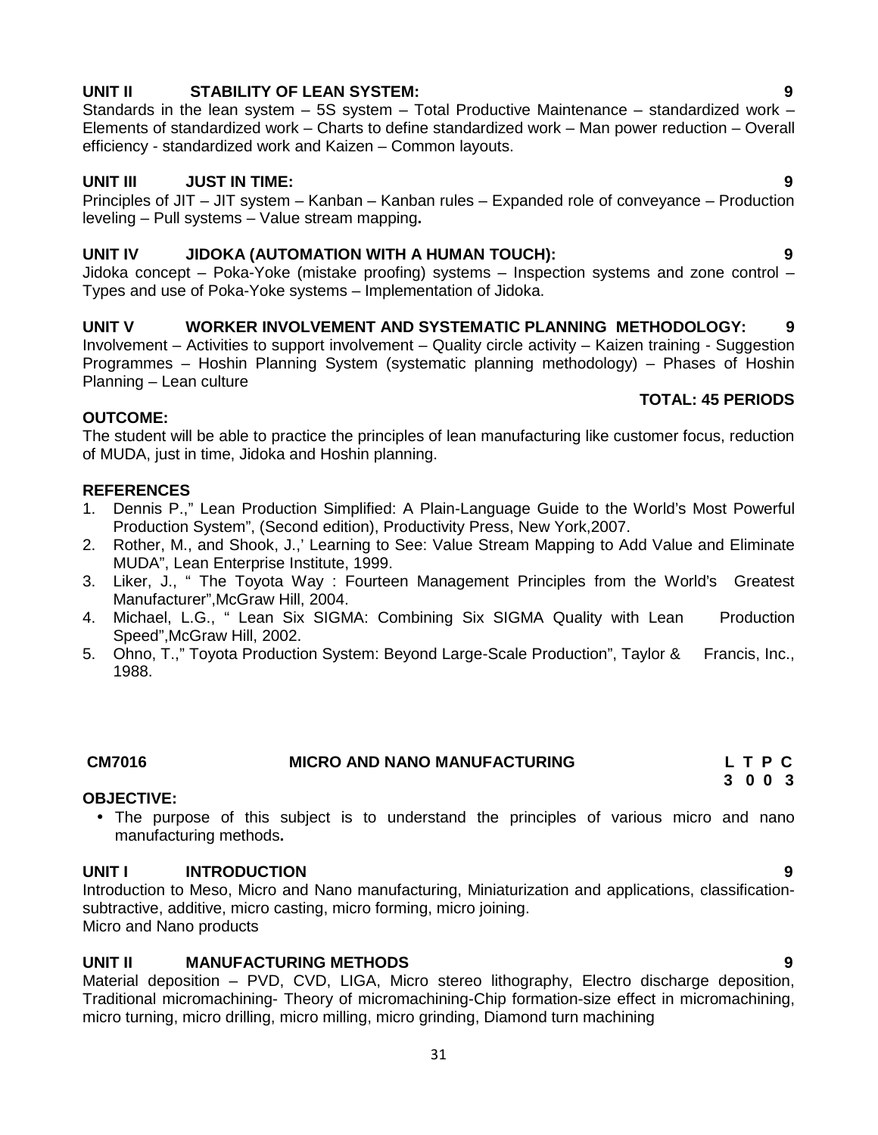# 31

# **UNIT II STABILITY OF LEAN SYSTEM: 9**

Standards in the lean system – 5S system – Total Productive Maintenance – standardized work – Elements of standardized work – Charts to define standardized work – Man power reduction – Overall efficiency - standardized work and Kaizen – Common layouts.

# **UNIT III JUST IN TIME: 9**

Principles of JIT – JIT system – Kanban – Kanban rules – Expanded role of conveyance – Production leveling – Pull systems – Value stream mapping**.**

# **UNIT IV JIDOKA (AUTOMATION WITH A HUMAN TOUCH): 9**

Jidoka concept – Poka-Yoke (mistake proofing) systems – Inspection systems and zone control – Types and use of Poka-Yoke systems – Implementation of Jidoka.

# **UNIT V WORKER INVOLVEMENT AND SYSTEMATIC PLANNING METHODOLOGY: 9**

Involvement – Activities to support involvement – Quality circle activity – Kaizen training - Suggestion Programmes – Hoshin Planning System (systematic planning methodology) – Phases of Hoshin Planning – Lean culture **TOTAL: 45 PERIODS**

# **OUTCOME:**

The student will be able to practice the principles of lean manufacturing like customer focus, reduction of MUDA, just in time, Jidoka and Hoshin planning.

# **REFERENCES**

- 1. Dennis P.," Lean Production Simplified: A Plain-Language Guide to the World's Most Powerful Production System", (Second edition), Productivity Press, New York,2007.
- 2. Rother, M., and Shook, J.,' Learning to See: Value Stream Mapping to Add Value and Eliminate MUDA", Lean Enterprise Institute, 1999.
- 3. Liker, J., " The Toyota Way : Fourteen Management Principles from the World's Greatest Manufacturer",McGraw Hill, 2004.
- 4. Michael, L.G., " Lean Six SIGMA: Combining Six SIGMA Quality with Lean Production Speed",McGraw Hill, 2002.
- 5. Ohno, T.," Toyota Production System: Beyond Large-Scale Production", Taylor & Francis, Inc., 1988.

| <b>CM7016</b> | <b>MICRO AND NANO MANUFACTURING</b> | LTPC  |
|---------------|-------------------------------------|-------|
|               |                                     | 2 N N |

# **OBJECTIVE:**

• The purpose of this subject is to understand the principles of various micro and nano manufacturing methods**.**

# **UNIT I INTRODUCTION 9**

Introduction to Meso, Micro and Nano manufacturing, Miniaturization and applications, classification subtractive, additive, micro casting, micro forming, micro joining. Micro and Nano products

# **UNIT II MANUFACTURING METHODS 9**

Material deposition – PVD, CVD, LIGA, Micro stereo lithography, Electro discharge deposition, Traditional micromachining- Theory of micromachining-Chip formation-size effect in micromachining, micro turning, micro drilling, micro milling, micro grinding, Diamond turn machining

**3 0 0 3**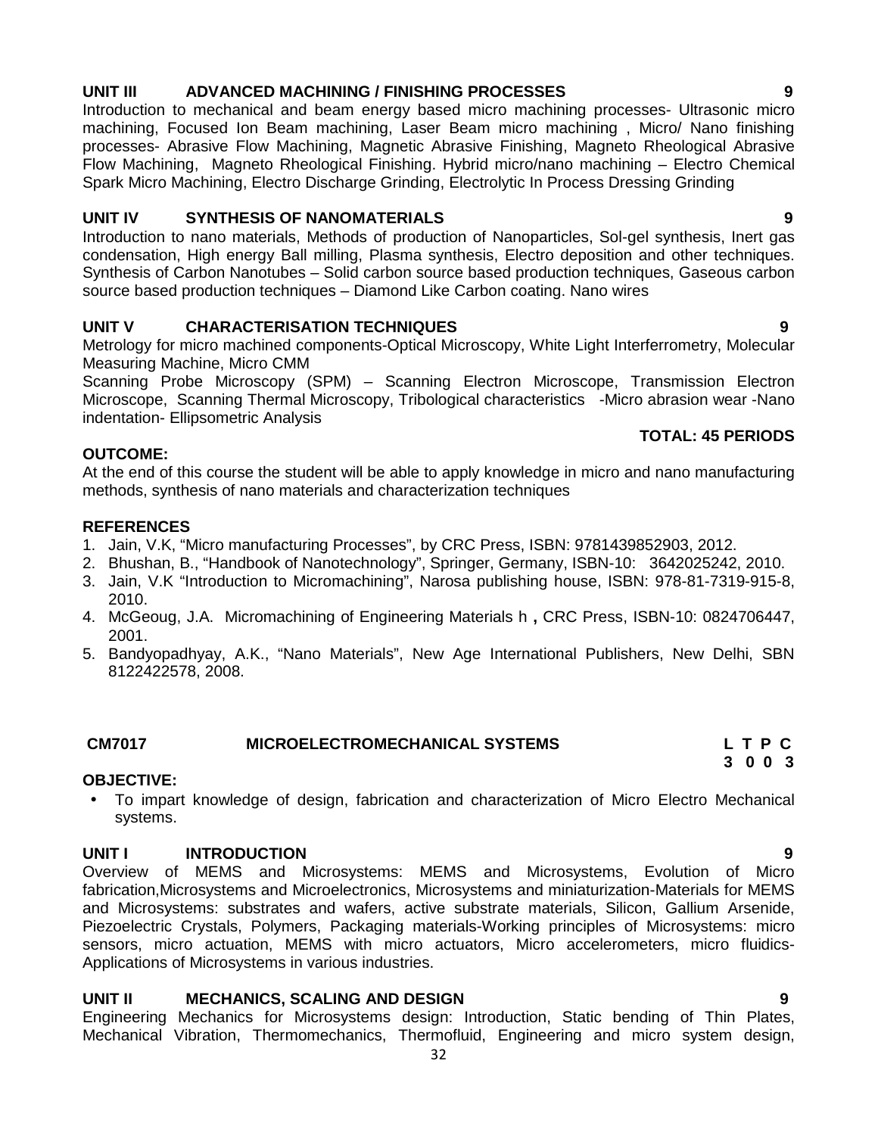#### condensation, High energy Ball milling, Plasma synthesis, Electro deposition and other techniques. Synthesis of Carbon Nanotubes – Solid carbon source based production techniques, Gaseous carbon

source based production techniques – Diamond Like Carbon coating. Nano wires

### **UNIT V CHARACTERISATION TECHNIQUES 9**

Metrology for micro machined components-Optical Microscopy, White Light Interferrometry, Molecular Measuring Machine, Micro CMM

Scanning Probe Microscopy (SPM) – Scanning Electron Microscope, Transmission Electron Microscope, Scanning Thermal Microscopy, Tribological characteristics -Micro abrasion wear -Nano indentation- Ellipsometric Analysis

#### **OUTCOME:**

At the end of this course the student will be able to apply knowledge in micro and nano manufacturing methods, synthesis of nano materials and characterization techniques

#### **REFERENCES**

- 1. Jain, V.K, "Micro manufacturing Processes", by CRC Press, ISBN: 9781439852903, 2012.
- 2. Bhushan, B., "Handbook of Nanotechnology", Springer, Germany, ISBN-10: 3642025242, 2010.
- 3. Jain, V.K "Introduction to Micromachining", Narosa publishing house, ISBN: 978-81-7319-915-8, 2010.
- 4. McGeoug, J.A. Micromachining of Engineering Materials h **,** CRC Press, ISBN-10: 0824706447, 2001.
- 5. Bandyopadhyay, A.K., "Nano Materials", New Age International Publishers, New Delhi, SBN 8122422578, 2008.

# **CM7017 MICROELECTROMECHANICAL SYSTEMS L T P C**

#### **OBJECTIVE:**

 To impart knowledge of design, fabrication and characterization of Micro Electro Mechanical systems.

#### **UNIT I INTRODUCTION 9**

Overview of MEMS and Microsystems: MEMS and Microsystems, Evolution of Micro fabrication,Microsystems and Microelectronics, Microsystems and miniaturization-Materials for MEMS and Microsystems: substrates and wafers, active substrate materials, Silicon, Gallium Arsenide, Piezoelectric Crystals, Polymers, Packaging materials-Working principles of Microsystems: micro sensors, micro actuation, MEMS with micro actuators, Micro accelerometers, micro fluidics- Applications of Microsystems in various industries.

### **UNIT II MECHANICS, SCALING AND DESIGN 9**

Engineering Mechanics for Microsystems design: Introduction, Static bending of Thin Plates, Mechanical Vibration, Thermomechanics, Thermofluid, Engineering and micro system design,

#### **UNIT III ADVANCED MACHINING / FINISHING PROCESSES 9**

Introduction to mechanical and beam energy based micro machining processes- Ultrasonic micro machining, Focused Ion Beam machining, Laser Beam micro machining , Micro/ Nano finishing processes- Abrasive Flow Machining, Magnetic Abrasive Finishing, Magneto Rheological Abrasive Flow Machining, Magneto Rheological Finishing. Hybrid micro/nano machining – Electro Chemical Spark Micro Machining, Electro Discharge Grinding, Electrolytic In Process Dressing Grinding

Introduction to nano materials, Methods of production of Nanoparticles, Sol-gel synthesis, Inert gas

# **UNIT IV SYNTHESIS OF NANOMATERIALS 9**

**TOTAL: 45 PERIODS**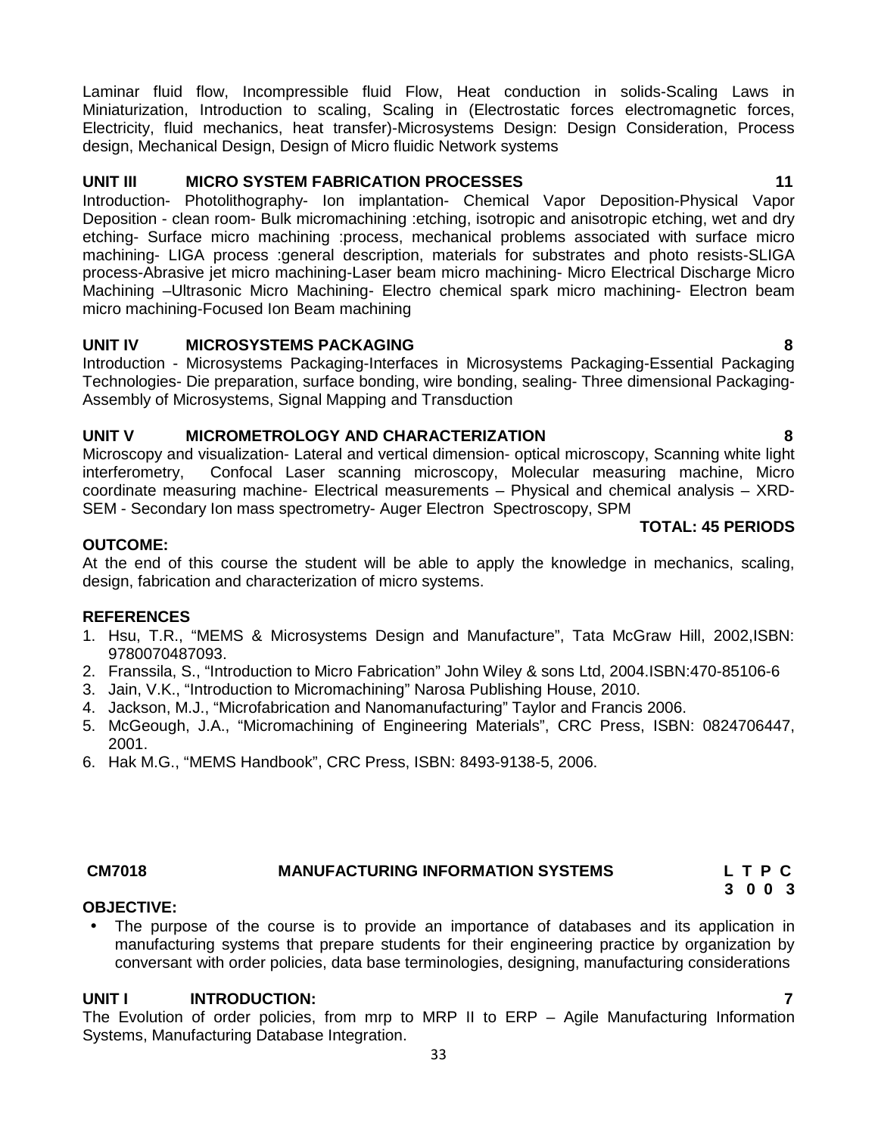Laminar fluid flow, Incompressible fluid Flow, Heat conduction in solids-Scaling Laws in Miniaturization, Introduction to scaling, Scaling in (Electrostatic forces electromagnetic forces, Electricity, fluid mechanics, heat transfer)-Microsystems Design: Design Consideration, Process design, Mechanical Design, Design of Micro fluidic Network systems

# **UNIT III MICRO SYSTEM FABRICATION PROCESSES 11**

Introduction- Photolithography- Ion implantation- Chemical Vapor Deposition-Physical Vapor Deposition - clean room- Bulk micromachining :etching, isotropic and anisotropic etching, wet and dry etching- Surface micro machining :process, mechanical problems associated with surface micro machining- LIGA process :general description, materials for substrates and photo resists-SLIGA process-Abrasive jet micro machining-Laser beam micro machining- Micro Electrical Discharge Micro Machining –Ultrasonic Micro Machining- Electro chemical spark micro machining- Electron beam micro machining-Focused Ion Beam machining

# **UNIT IV MICROSYSTEMS PACKAGING 8**

Introduction - Microsystems Packaging-Interfaces in Microsystems Packaging-Essential Packaging Technologies- Die preparation, surface bonding, wire bonding, sealing- Three dimensional Packaging- Assembly of Microsystems, Signal Mapping and Transduction

# **UNIT V MICROMETROLOGY AND CHARACTERIZATION 8**

Microscopy and visualization- Lateral and vertical dimension- optical microscopy, Scanning white light interferometry, Confocal Laser scanning microscopy, Molecular measuring machine, Micro coordinate measuring machine- Electrical measurements – Physical and chemical analysis – XRD- SEM - Secondary Ion mass spectrometry- Auger Electron Spectroscopy, SPM

# **OUTCOME:**

At the end of this course the student will be able to apply the knowledge in mechanics, scaling, design, fabrication and characterization of micro systems.

# **REFERENCES**

- 1. Hsu, T.R., "MEMS & Microsystems Design and Manufacture", Tata McGraw Hill, 2002,ISBN: 9780070487093.
- 2. Franssila, S., "Introduction to Micro Fabrication" John Wiley & sons Ltd, 2004.ISBN:470-85106-6
- 3. Jain, V.K., "Introduction to Micromachining" Narosa Publishing House, 2010.
- 4. Jackson, M.J., "Microfabrication and Nanomanufacturing" Taylor and Francis 2006.
- 5. McGeough, J.A., "Micromachining of Engineering Materials", CRC Press, ISBN: 0824706447, 2001.
- 6. Hak M.G., "MEMS Handbook", CRC Press, ISBN: 8493-9138-5, 2006.

# **CM7018 MANUFACTURING INFORMATION SYSTEMS L T P C**

**3 0 0 3**

# **OBJECTIVE:**

 The purpose of the course is to provide an importance of databases and its application in manufacturing systems that prepare students for their engineering practice by organization by conversant with order policies, data base terminologies, designing, manufacturing considerations

# **UNIT I INTRODUCTION: 7**

The Evolution of order policies, from mrp to MRP II to ERP – Agile Manufacturing Information Systems, Manufacturing Database Integration.

**TOTAL: 45 PERIODS**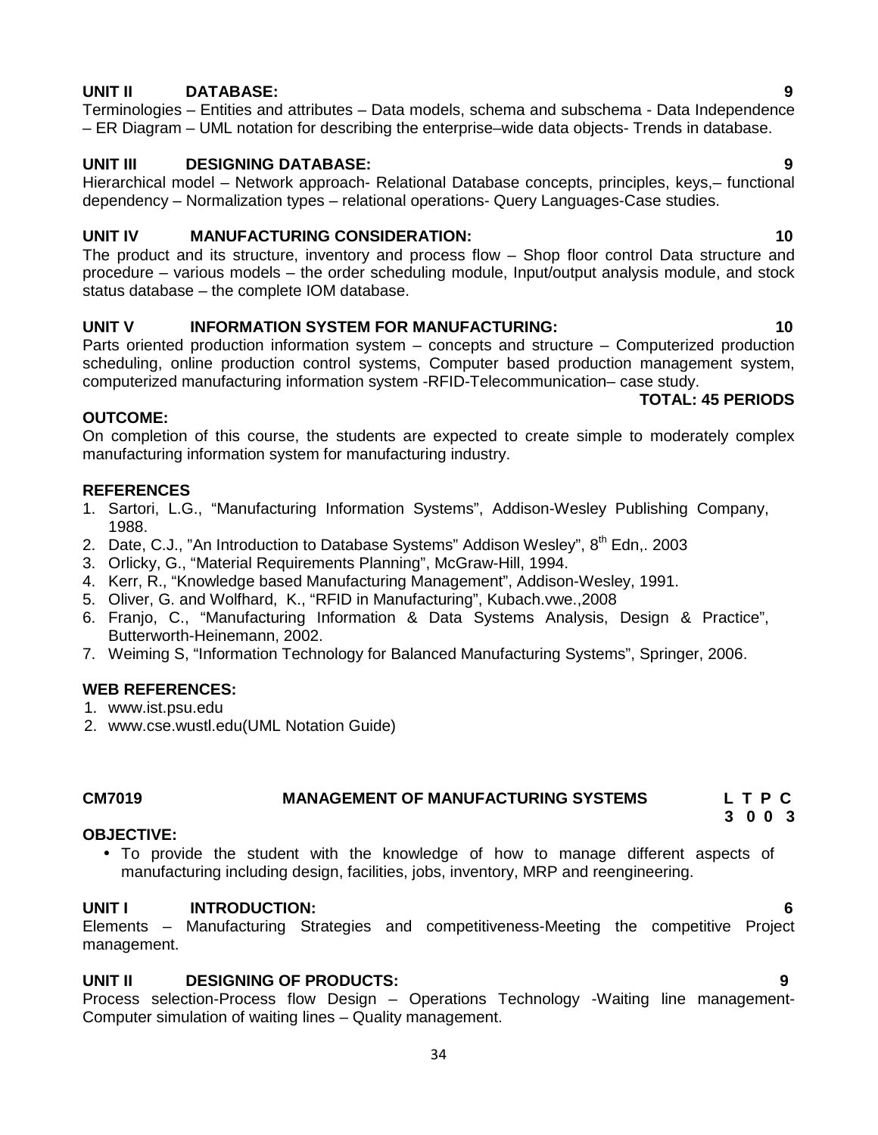# **UNIT II DATABASE: 9**

Terminologies – Entities and attributes – Data models, schema and subschema - Data Independence – ER Diagram – UML notation for describing the enterprise–wide data objects- Trends in database.

# **UNIT III DESIGNING DATABASE: 9**

Hierarchical model – Network approach- Relational Database concepts, principles, keys,– functional dependency – Normalization types – relational operations- Query Languages-Case studies.

# **UNIT IV MANUFACTURING CONSIDERATION: 10**

The product and its structure, inventory and process flow – Shop floor control Data structure and procedure – various models – the order scheduling module, Input/output analysis module, and stock status database – the complete IOM database.

# **UNIT V INFORMATION SYSTEM FOR MANUFACTURING: 10**

Parts oriented production information system – concepts and structure – Computerized production scheduling, online production control systems, Computer based production management system, computerized manufacturing information system -RFID-Telecommunication– case study.

# **OUTCOME:**

On completion of this course, the students are expected to create simple to moderately complex manufacturing information system for manufacturing industry.

# **REFERENCES**

- 1. Sartori, L.G., "Manufacturing Information Systems", Addison-Wesley Publishing Company, 1988.
- 2. Date, C.J., "An Introduction to Database Systems" Addison Wesley", 8<sup>th</sup> Edn,. 2003
- 3. Orlicky, G., "Material Requirements Planning", McGraw-Hill, 1994.
- 4. Kerr, R., "Knowledge based Manufacturing Management", Addison-Wesley, 1991.
- 5. Oliver, G. and Wolfhard, K., "RFID in Manufacturing", Kubach.vwe.,2008
- 6. Franjo, C., "Manufacturing Information & Data Systems Analysis, Design & Practice", Butterworth-Heinemann, 2002.
- 7. Weiming S, "Information Technology for Balanced Manufacturing Systems", Springer, 2006.

# **WEB REFERENCES:**

1. www.ist.psu.edu

2. www.cse.wustl.edu(UML Notation Guide)

#### **CM7019 MANAGEMENT OF MANUFACTURING SYSTEMS L T P C 3 0 0 3**

### **OBJECTIVE:**

 To provide the student with the knowledge of how to manage different aspects of manufacturing including design, facilities, jobs, inventory, MRP and reengineering.

# **UNIT I INTRODUCTION: 6**

Elements – Manufacturing Strategies and competitiveness-Meeting the competitive Project management.

# **UNIT II DESIGNING OF PRODUCTS: 9**

Process selection-Process flow Design – Operations Technology -Waiting line management- Computer simulation of waiting lines – Quality management.

# **TOTAL: 45 PERIODS**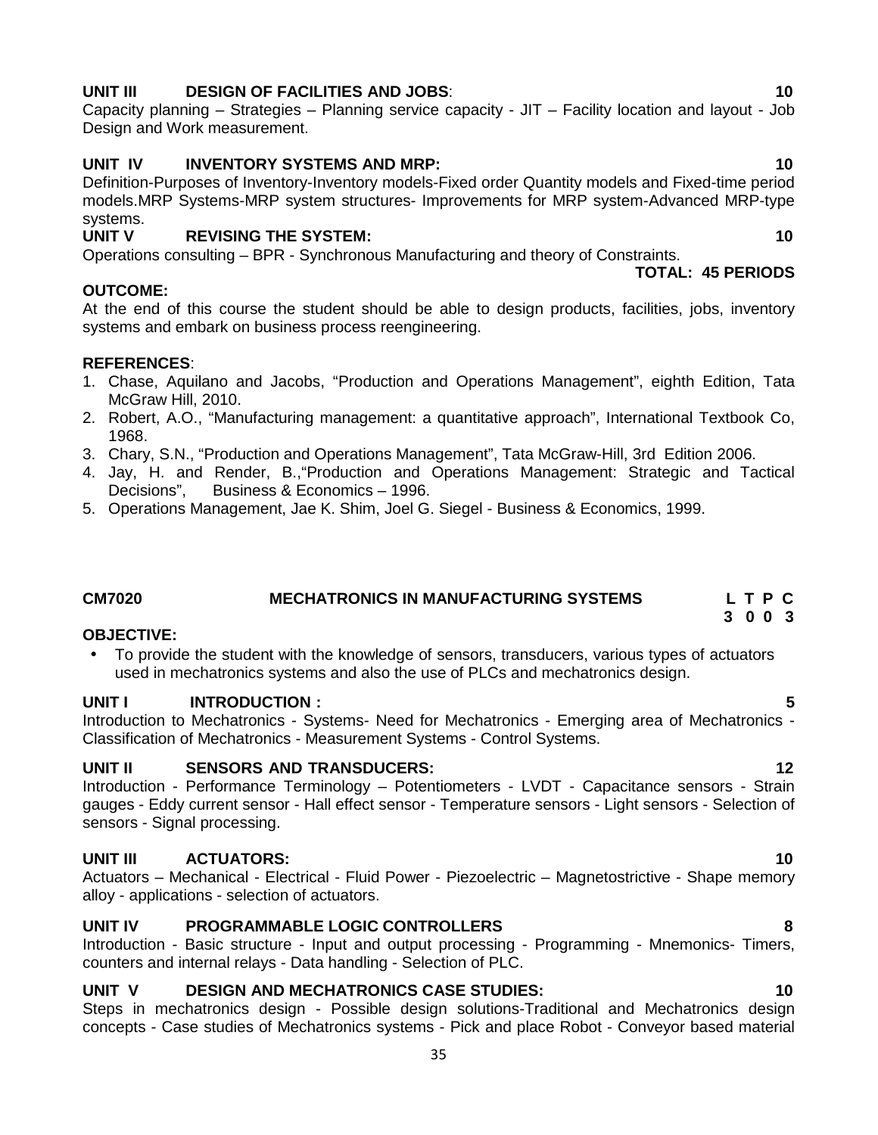# **UNIT III DESIGN OF FACILITIES AND JOBS**: **10**

Capacity planning – Strategies – Planning service capacity - JIT – Facility location and layout - Job Design and Work measurement.

# **UNIT IV INVENTORY SYSTEMS AND MRP: 10**

Definition-Purposes of Inventory-Inventory models-Fixed order Quantity models and Fixed-time period models.MRP Systems-MRP system structures- Improvements for MRP system-Advanced MRP-type

#### systems.<br>UNIT V **NEVISING THE SYSTEM: 10**

Operations consulting – BPR - Synchronous Manufacturing and theory of Constraints.

# **OUTCOME:**

At the end of this course the student should be able to design products, facilities, jobs, inventory systems and embark on business process reengineering.

# **REFERENCES**:

- 1. Chase, Aquilano and Jacobs, "Production and Operations Management", eighth Edition, Tata McGraw Hill, 2010.
- 2. Robert, A.O., "Manufacturing management: a quantitative approach", International Textbook Co, 1968.
- 3. Chary, S.N., "Production and Operations Management", Tata McGraw-Hill, 3rd Edition 2006.
- 4. Jay, H. and Render, B.,"Production and Operations Management: Strategic and Tactical Business & Economics – 1996.
- 5. Operations Management, Jae K. Shim, Joel G. Siegel Business & Economics, 1999.

# **CM7020 MECHATRONICS IN MANUFACTURING SYSTEMS L T P C**

# **OBJECTIVE:**

 To provide the student with the knowledge of sensors, transducers, various types of actuators used in mechatronics systems and also the use of PLCs and mechatronics design.

# **UNIT I INTRODUCTION : 5**

Introduction to Mechatronics - Systems- Need for Mechatronics - Emerging area of Mechatronics - Classification of Mechatronics - Measurement Systems - Control Systems.

# **UNIT II SENSORS AND TRANSDUCERS: 12**

Introduction - Performance Terminology – Potentiometers - LVDT - Capacitance sensors - Strain gauges - Eddy current sensor - Hall effect sensor - Temperature sensors - Light sensors - Selection of sensors - Signal processing.

# **UNIT III ACTUATORS: 10**

Actuators – Mechanical - Electrical - Fluid Power - Piezoelectric – Magnetostrictive - Shape memory alloy - applications - selection of actuators.

# **UNIT IV PROGRAMMABLE LOGIC CONTROLLERS 8**

Introduction - Basic structure - Input and output processing - Programming - Mnemonics- Timers, counters and internal relays - Data handling - Selection of PLC.

# **UNIT V DESIGN AND MECHATRONICS CASE STUDIES: 10**

Steps in mechatronics design - Possible design solutions-Traditional and Mechatronics design concepts - Case studies of Mechatronics systems - Pick and place Robot - Conveyor based material

**TOTAL: 45 PERIODS**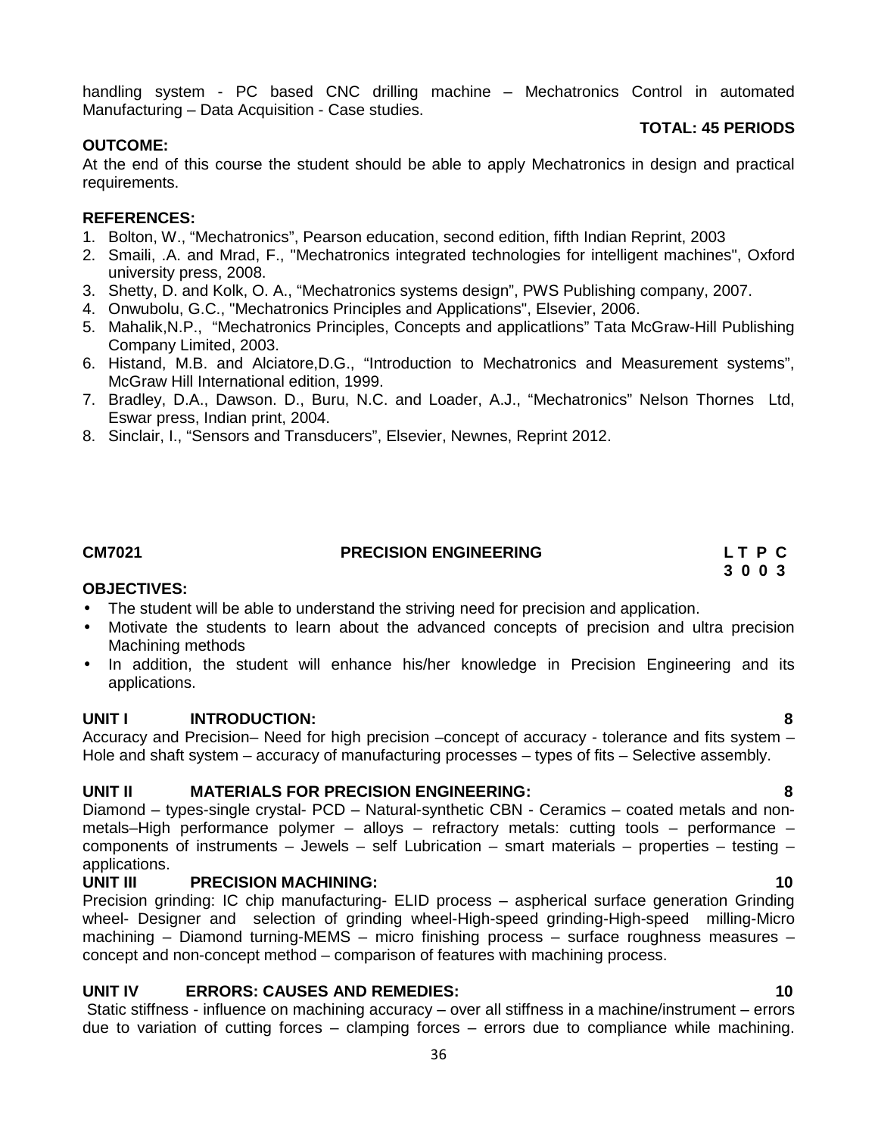handling system - PC based CNC drilling machine – Mechatronics Control in automated Manufacturing – Data Acquisition - Case studies.

### **TOTAL: 45 PERIODS**

# **OUTCOME:**

At the end of this course the student should be able to apply Mechatronics in design and practical requirements.

# **REFERENCES:**

- 1. Bolton, W., "Mechatronics", Pearson education, second edition, fifth Indian Reprint, 2003
- 2. Smaili, .A. and Mrad, F., "Mechatronics integrated technologies for intelligent machines", Oxford university press, 2008.
- 3. Shetty, D. and Kolk, O. A., "Mechatronics systems design", PWS Publishing company, 2007.
- 4. Onwubolu, G.C., "Mechatronics Principles and Applications", Elsevier, 2006.
- 5. Mahalik,N.P., "Mechatronics Principles, Concepts and applicatlions" Tata McGraw-Hill Publishing Company Limited, 2003.
- 6. Histand, M.B. and Alciatore,D.G., "Introduction to Mechatronics and Measurement systems", McGraw Hill International edition, 1999.
- 7. Bradley, D.A., Dawson. D., Buru, N.C. and Loader, A.J., "Mechatronics" Nelson Thornes Ltd, Eswar press, Indian print, 2004.
- 8. Sinclair, I., "Sensors and Transducers", Elsevier, Newnes, Reprint 2012.

### **CM7021 PRECISION ENGINEERING L T P C**

**3 0 0 3**

### **OBJECTIVES:**

- The student will be able to understand the striving need for precision and application.
- Motivate the students to learn about the advanced concepts of precision and ultra precision Machining methods
- In addition, the student will enhance his/her knowledge in Precision Engineering and its applications.

# **UNIT I INTRODUCTION: 8**

Accuracy and Precision– Need for high precision –concept of accuracy - tolerance and fits system – Hole and shaft system – accuracy of manufacturing processes – types of fits – Selective assembly.

# **UNIT II MATERIALS FOR PRECISION ENGINEERING: 8**

Diamond – types-single crystal- PCD – Natural-synthetic CBN - Ceramics – coated metals and non metals–High performance polymer – alloys – refractory metals: cutting tools – performance – components of instruments – Jewels – self Lubrication – smart materials – properties – testing – applications.

# **UNIT III PRECISION MACHINING: 10**

Precision grinding: IC chip manufacturing- ELID process – aspherical surface generation Grinding wheel- Designer and selection of grinding wheel-High-speed grinding-High-speed milling-Micro machining – Diamond turning-MEMS – micro finishing process – surface roughness measures – concept and non-concept method – comparison of features with machining process.

# **UNIT IV ERRORS: CAUSES AND REMEDIES: 10**

Static stiffness - influence on machining accuracy – over all stiffness in a machine/instrument – errors due to variation of cutting forces – clamping forces – errors due to compliance while machining.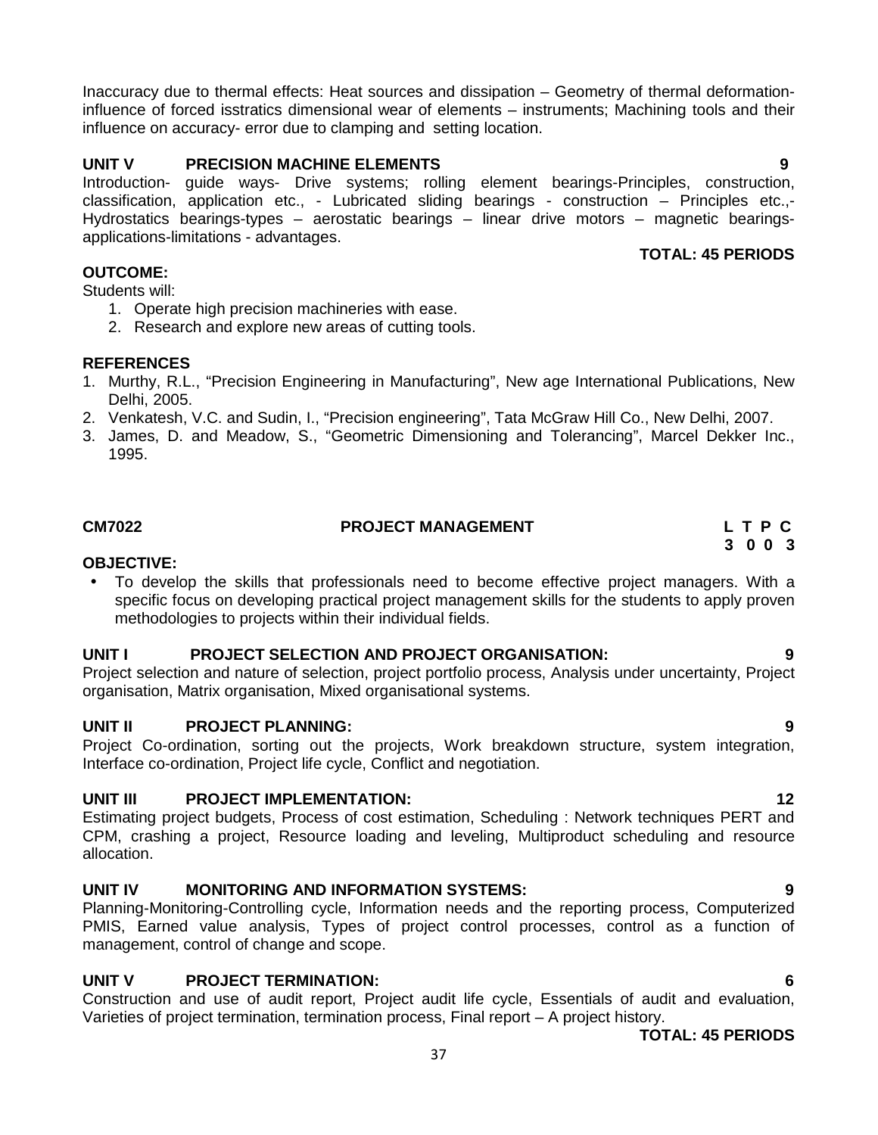Inaccuracy due to thermal effects: Heat sources and dissipation – Geometry of thermal deformationinfluence of forced isstratics dimensional wear of elements – instruments; Machining tools and their influence on accuracy- error due to clamping and setting location.

# **UNIT V PRECISION MACHINE ELEMENTS 9**

Introduction- guide ways- Drive systems; rolling element bearings-Principles, construction, classification, application etc., - Lubricated sliding bearings - construction – Principles etc.,- Hydrostatics bearings-types – aerostatic bearings – linear drive motors – magnetic bearings applications-limitations - advantages.

# **OUTCOME:**

Students will:

- 1. Operate high precision machineries with ease.
- 2. Research and explore new areas of cutting tools.

# **REFERENCES**

- 1. Murthy, R.L., "Precision Engineering in Manufacturing", New age International Publications, New Delhi, 2005.
- 2. Venkatesh, V.C. and Sudin, I., "Precision engineering", Tata McGraw Hill Co., New Delhi, 2007.
- 3. James, D. and Meadow, S., "Geometric Dimensioning and Tolerancing", Marcel Dekker Inc., 1995.

# **CM7022 PROJECT MANAGEMENT L T P C**

# **OBJECTIVE:**

 To develop the skills that professionals need to become effective project managers. With a specific focus on developing practical project management skills for the students to apply proven methodologies to projects within their individual fields.

# **UNIT I PROJECT SELECTION AND PROJECT ORGANISATION: 9**

Project selection and nature of selection, project portfolio process, Analysis under uncertainty, Project organisation, Matrix organisation, Mixed organisational systems.

# **UNIT II PROJECT PLANNING: 9**

Project Co-ordination, sorting out the projects, Work breakdown structure, system integration, Interface co-ordination, Project life cycle, Conflict and negotiation.

# **UNIT III PROJECT IMPLEMENTATION: 12**

Estimating project budgets, Process of cost estimation, Scheduling : Network techniques PERT and CPM, crashing a project, Resource loading and leveling, Multiproduct scheduling and resource allocation.

# **UNIT IV MONITORING AND INFORMATION SYSTEMS: 9**

Planning-Monitoring-Controlling cycle, Information needs and the reporting process, Computerized PMIS, Earned value analysis, Types of project control processes, control as a function of management, control of change and scope.

# **UNIT V PROJECT TERMINATION: 6**

Construction and use of audit report, Project audit life cycle, Essentials of audit and evaluation, Varieties of project termination, termination process, Final report – A project history.

**TOTAL: 45 PERIODS**

# **TOTAL: 45 PERIODS**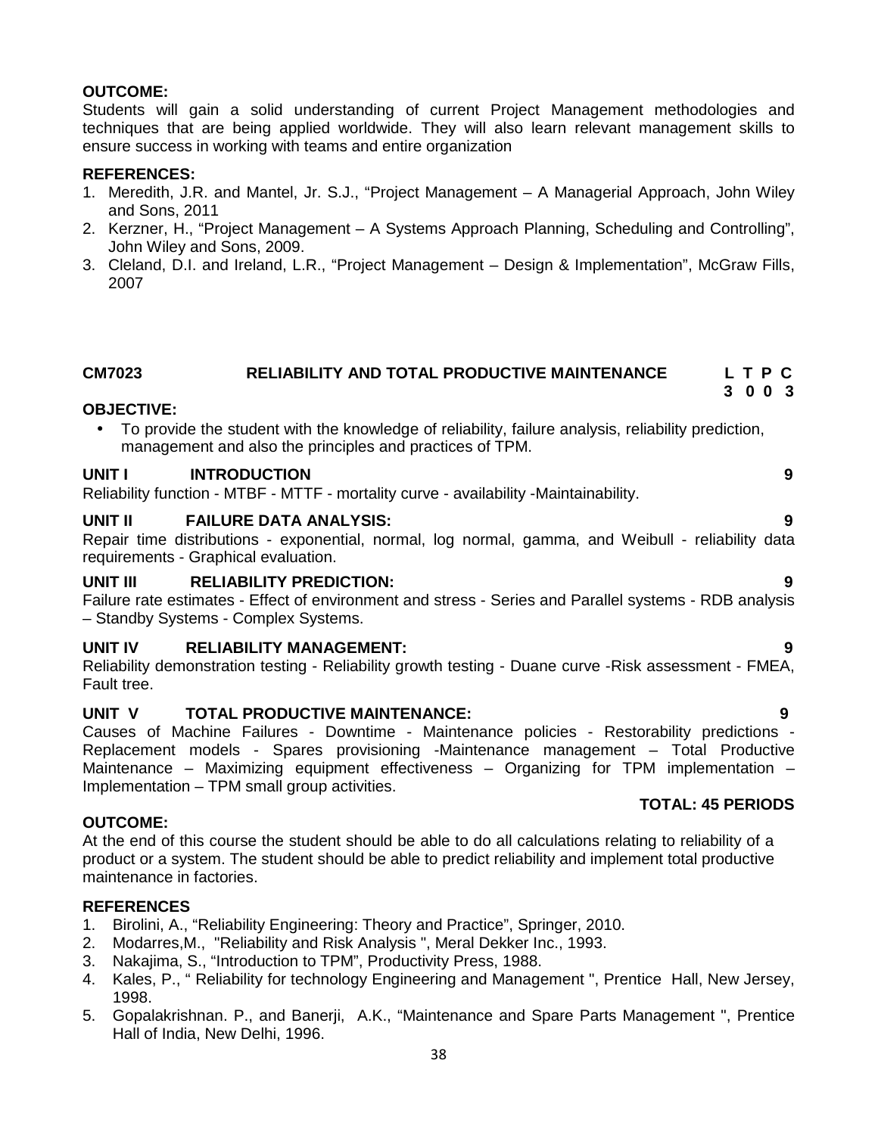# **OUTCOME:**

Students will gain a solid understanding of current Project Management methodologies and techniques that are being applied worldwide. They will also learn relevant management skills to ensure success in working with teams and entire organization

# **REFERENCES:**

- 1. Meredith, J.R. and Mantel, Jr. S.J., "Project Management A Managerial Approach, John Wiley and Sons, 2011
- 2. Kerzner, H., "Project Management A Systems Approach Planning, Scheduling and Controlling", John Wiley and Sons, 2009.
- 3. Cleland, D.I. and Ireland, L.R., "Project Management Design & Implementation", McGraw Fills, 2007

#### **CM7023 RELIABILITY AND TOTAL PRODUCTIVE MAINTENANCE L T P C 3 0 0 3**

### **OBJECTIVE:**

 To provide the student with the knowledge of reliability, failure analysis, reliability prediction, management and also the principles and practices of TPM.

### **UNIT I INTRODUCTION 9**

Reliability function - MTBF - MTTF - mortality curve - availability -Maintainability.

### **UNIT II FAILURE DATA ANALYSIS: 9**

Repair time distributions - exponential, normal, log normal, gamma, and Weibull - reliability data requirements - Graphical evaluation.

# **UNIT III RELIABILITY PREDICTION: 9**

Failure rate estimates - Effect of environment and stress - Series and Parallel systems - RDB analysis – Standby Systems - Complex Systems.

### **UNIT IV RELIABILITY MANAGEMENT: 9**

Reliability demonstration testing - Reliability growth testing - Duane curve -Risk assessment - FMEA, Fault tree.

# **UNIT V TOTAL PRODUCTIVE MAINTENANCE: 9**

Causes of Machine Failures - Downtime - Maintenance policies - Restorability predictions - Replacement models - Spares provisioning -Maintenance management – Total Productive Maintenance – Maximizing equipment effectiveness – Organizing for TPM implementation – Implementation – TPM small group activities.

### **OUTCOME:**

At the end of this course the student should be able to do all calculations relating to reliability of a product or a system. The student should be able to predict reliability and implement total productive maintenance in factories.

### **REFERENCES**

- 1. Birolini, A., "Reliability Engineering: Theory and Practice", Springer, 2010.
- 2. Modarres,M., "Reliability and Risk Analysis ", Meral Dekker Inc., 1993.
- Nakajima, S., "Introduction to TPM", Productivity Press, 1988.
- 4. Kales, P., " Reliability for technology Engineering and Management ", Prentice Hall, New Jersey, 1998.
- 5. Gopalakrishnan. P., and Banerji, A.K., "Maintenance and Spare Parts Management ", Prentice Hall of India, New Delhi, 1996.

# **TOTAL: 45 PERIODS**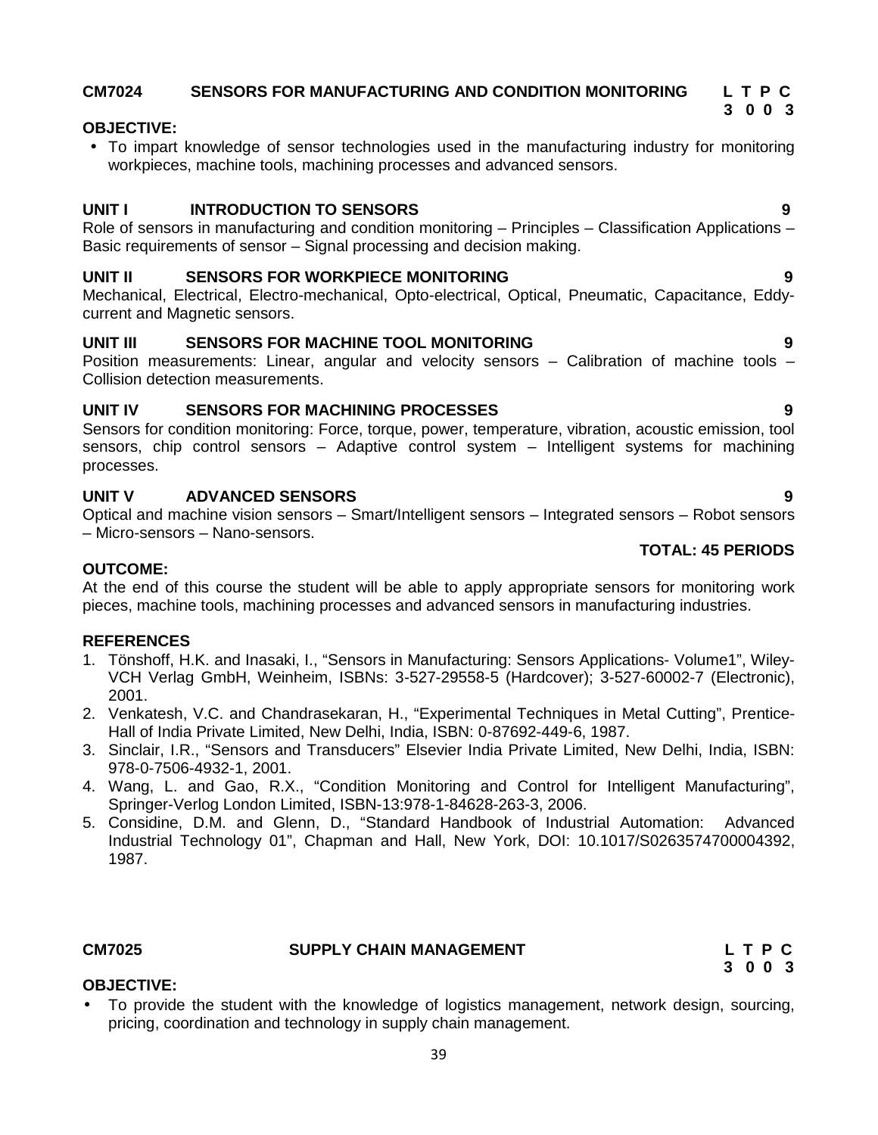# **CM7024 SENSORS FOR MANUFACTURING AND CONDITION MONITORING L T P C**

# **OBJECTIVE:**

 To impart knowledge of sensor technologies used in the manufacturing industry for monitoring workpieces, machine tools, machining processes and advanced sensors.

# **UNIT I INTRODUCTION TO SENSORS 9**

Role of sensors in manufacturing and condition monitoring – Principles – Classification Applications – Basic requirements of sensor – Signal processing and decision making.

### **UNIT II SENSORS FOR WORKPIECE MONITORING 9**

Mechanical, Electrical, Electro-mechanical, Opto-electrical, Optical, Pneumatic, Capacitance, Eddy current and Magnetic sensors.

# **UNIT III SENSORS FOR MACHINE TOOL MONITORING 9**

Position measurements: Linear, angular and velocity sensors – Calibration of machine tools – Collision detection measurements.

# **UNIT IV SENSORS FOR MACHINING PROCESSES 9**

Sensors for condition monitoring: Force, torque, power, temperature, vibration, acoustic emission, tool sensors, chip control sensors – Adaptive control system – Intelligent systems for machining processes.

# **UNIT V ADVANCED SENSORS 9**

Optical and machine vision sensors – Smart/Intelligent sensors – Integrated sensors – Robot sensors – Micro-sensors – Nano-sensors.

# **TOTAL: 45 PERIODS**

# **OUTCOME:**

At the end of this course the student will be able to apply appropriate sensors for monitoring work pieces, machine tools, machining processes and advanced sensors in manufacturing industries.

### **REFERENCES**

- 1. Tönshoff, H.K. and Inasaki, I., "Sensors in Manufacturing: Sensors Applications- Volume1", Wiley- VCH Verlag GmbH, Weinheim, ISBNs: 3-527-29558-5 (Hardcover); 3-527-60002-7 (Electronic), 2001.
- 2. Venkatesh, V.C. and Chandrasekaran, H., "Experimental Techniques in Metal Cutting", Prentice- Hall of India Private Limited, New Delhi, India, ISBN: 0-87692-449-6, 1987.
- 3. Sinclair, I.R., "Sensors and Transducers" Elsevier India Private Limited, New Delhi, India, ISBN: 978-0-7506-4932-1, 2001.
- 4. Wang, L. and Gao, R.X., "Condition Monitoring and Control for Intelligent Manufacturing", Springer-Verlog London Limited, ISBN-13:978-1-84628-263-3, 2006.
- 5. Considine, D.M. and Glenn, D., "Standard Handbook of Industrial Automation: Advanced Industrial Technology 01", Chapman and Hall, New York, DOI: 10.1017/S0263574700004392, 1987.

### **CM7025 SUPPLY CHAIN MANAGEMENT L T P C**

**3 0 0 3**

# **OBJECTIVE:**

 To provide the student with the knowledge of logistics management, network design, sourcing, pricing, coordination and technology in supply chain management.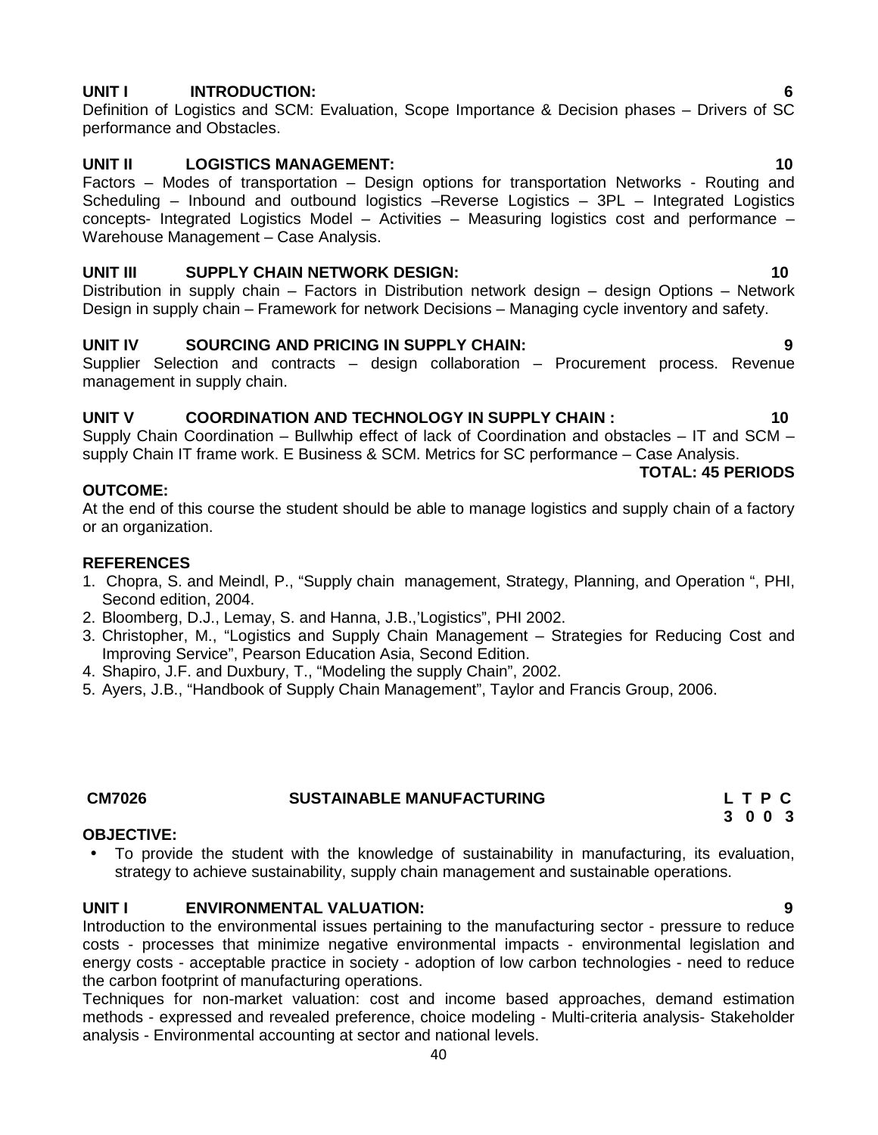# **UNIT I INTRODUCTION: 6**

Definition of Logistics and SCM: Evaluation, Scope Importance & Decision phases – Drivers of SC performance and Obstacles.

# **UNIT II LOGISTICS MANAGEMENT: 10**

Factors – Modes of transportation – Design options for transportation Networks - Routing and Scheduling – Inbound and outbound logistics –Reverse Logistics – 3PL – Integrated Logistics concepts- Integrated Logistics Model – Activities – Measuring logistics cost and performance – Warehouse Management – Case Analysis.

# **UNIT III SUPPLY CHAIN NETWORK DESIGN: 10**

Distribution in supply chain – Factors in Distribution network design – design Options – Network Design in supply chain – Framework for network Decisions – Managing cycle inventory and safety.

# **UNIT IV SOURCING AND PRICING IN SUPPLY CHAIN: 9**

Supplier Selection and contracts – design collaboration – Procurement process. Revenue management in supply chain.

# **UNIT V COORDINATION AND TECHNOLOGY IN SUPPLY CHAIN : 10**

Supply Chain Coordination – Bullwhip effect of lack of Coordination and obstacles – IT and SCM – supply Chain IT frame work. E Business & SCM. Metrics for SC performance – Case Analysis.

# **OUTCOME:**

At the end of this course the student should be able to manage logistics and supply chain of a factory or an organization.

### **REFERENCES**

- 1. Chopra, S. and Meindl, P., "Supply chain management, Strategy, Planning, and Operation ", PHI, Second edition, 2004.
- 2. Bloomberg, D.J., Lemay, S. and Hanna, J.B.,'Logistics", PHI 2002.
- 3. Christopher, M., "Logistics and Supply Chain Management Strategies for Reducing Cost and Improving Service", Pearson Education Asia, Second Edition.
- 4. Shapiro, J.F. and Duxbury, T., "Modeling the supply Chain", 2002.
- 5. Ayers, J.B., "Handbook of Supply Chain Management", Taylor and Francis Group, 2006.

# **CM7026 SUSTAINABLE MANUFACTURING L T P C**

### **OBJECTIVE:**

 To provide the student with the knowledge of sustainability in manufacturing, its evaluation, strategy to achieve sustainability, supply chain management and sustainable operations.

# **UNIT I ENVIRONMENTAL VALUATION: 9**

Introduction to the environmental issues pertaining to the manufacturing sector - pressure to reduce costs - processes that minimize negative environmental impacts - environmental legislation and energy costs - acceptable practice in society - adoption of low carbon technologies - need to reduce the carbon footprint of manufacturing operations.

Techniques for non-market valuation: cost and income based approaches, demand estimation methods - expressed and revealed preference, choice modeling - Multi-criteria analysis- Stakeholder analysis - Environmental accounting at sector and national levels.

#### **TOTAL: 45 PERIODS**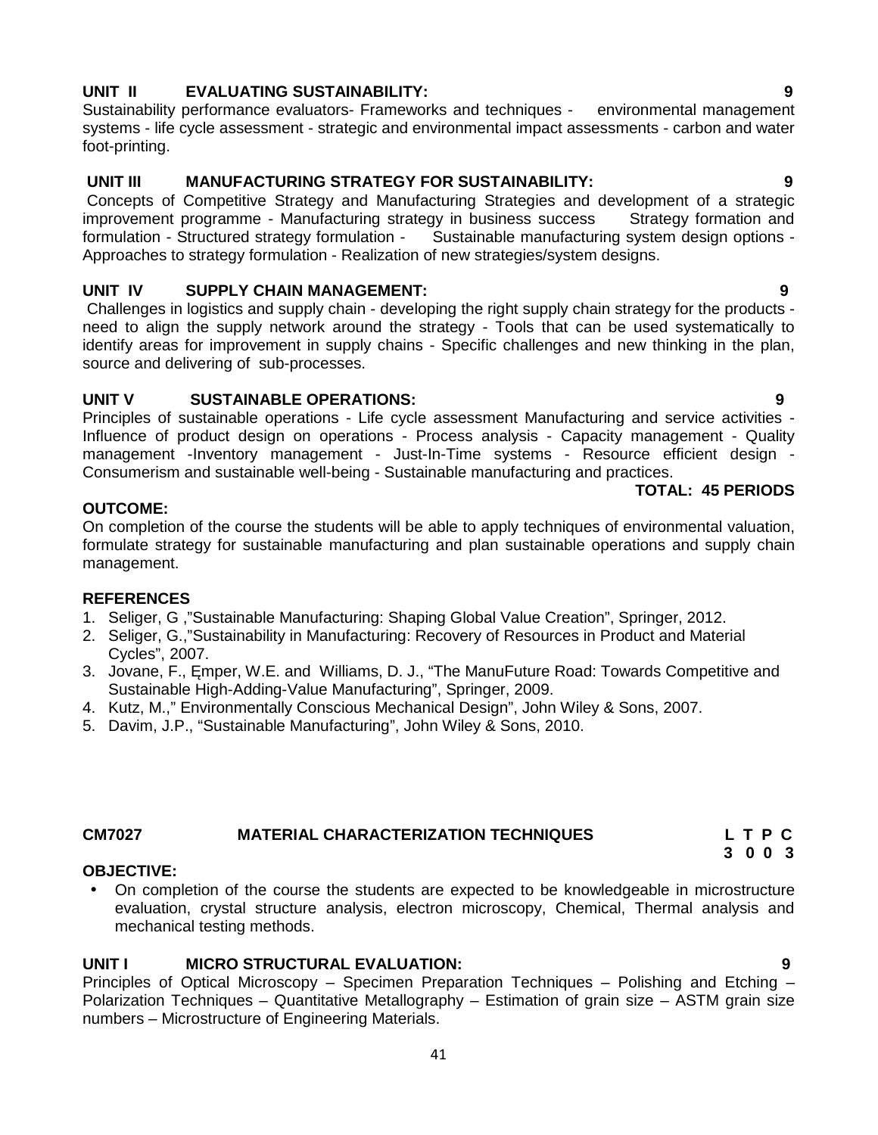### 41

# **UNIT II EVALUATING SUSTAINABILITY: 9**

Sustainability performance evaluators- Frameworks and techniques - environmental management systems - life cycle assessment - strategic and environmental impact assessments - carbon and water foot-printing.

# **UNIT III MANUFACTURING STRATEGY FOR SUSTAINABILITY: 9**

Concepts of Competitive Strategy and Manufacturing Strategies and development of a strategic improvement programme - Manufacturing strategy in business success Strategy formation and<br>formulation - Structured strategy formulation - Sustainable manufacturing system design options -Sustainable manufacturing system design options -Approaches to strategy formulation - Realization of new strategies/system designs.

# **UNIT IV SUPPLY CHAIN MANAGEMENT: 9**

Challenges in logistics and supply chain - developing the right supply chain strategy for the products need to align the supply network around the strategy - Tools that can be used systematically to identify areas for improvement in supply chains - Specific challenges and new thinking in the plan, source and delivering of sub-processes.

# **UNIT V SUSTAINABLE OPERATIONS: 9**

Principles of sustainable operations - Life cycle assessment Manufacturing and service activities - Influence of product design on operations - Process analysis - Capacity management - Quality management -Inventory management - Just-In-Time systems - Resource efficient design -Consumerism and sustainable well-being - Sustainable manufacturing and practices.

# **TOTAL: 45 PERIODS**

# **OUTCOME:**

On completion of the course the students will be able to apply techniques of environmental valuation, formulate strategy for sustainable manufacturing and plan sustainable operations and supply chain management.

# **REFERENCES**

- 1. Seliger, G ,"Sustainable Manufacturing: Shaping Global Value Creation", Springer, 2012.
- 2. Seliger, G.,"Sustainability in Manufacturing: Recovery of Resources in Product and Material Cycles", 2007.
- 3. Jovane, F., mper, W.E. and Williams, D. J., "The ManuFuture Road: Towards Competitive and Sustainable High-Adding-Value Manufacturing", Springer, 2009.
- 4. Kutz, M.," Environmentally Conscious Mechanical Design", John Wiley & Sons, 2007.
- 5. Davim, J.P., "Sustainable Manufacturing", John Wiley & Sons, 2010.

# **CM7027 MATERIAL CHARACTERIZATION TECHNIQUES L T P C**

# **OBJECTIVE:**

 On completion of the course the students are expected to be knowledgeable in microstructure evaluation, crystal structure analysis, electron microscopy, Chemical, Thermal analysis and mechanical testing methods.

# **UNIT I MICRO STRUCTURAL EVALUATION: 9**

Principles of Optical Microscopy – Specimen Preparation Techniques – Polishing and Etching – Polarization Techniques – Quantitative Metallography – Estimation of grain size – ASTM grain size numbers – Microstructure of Engineering Materials.

**3 0 0 3**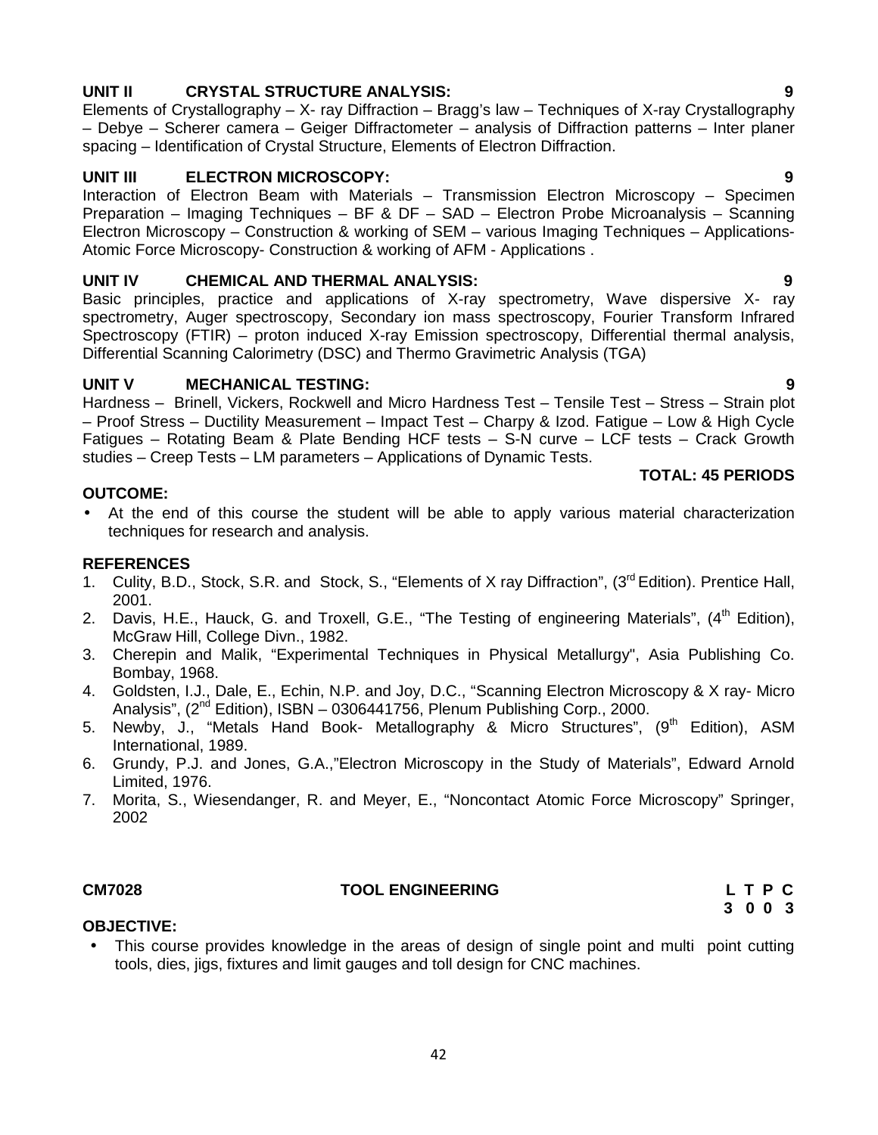# **UNIT II CRYSTAL STRUCTURE ANALYSIS: 9**

Elements of Crystallography – X- ray Diffraction – Bragg's law – Techniques of X-ray Crystallography – Debye – Scherer camera – Geiger Diffractometer – analysis of Diffraction patterns – Inter planer spacing – Identification of Crystal Structure, Elements of Electron Diffraction.

# **UNIT III ELECTRON MICROSCOPY: 9**

Interaction of Electron Beam with Materials – Transmission Electron Microscopy – Specimen Preparation – Imaging Techniques – BF & DF – SAD – Electron Probe Microanalysis – Scanning Electron Microscopy – Construction & working of SEM – various Imaging Techniques – Applications- Atomic Force Microscopy- Construction & working of AFM - Applications .

# **UNIT IV CHEMICAL AND THERMAL ANALYSIS: 9**

Basic principles, practice and applications of X-ray spectrometry, Wave dispersive X- ray spectrometry, Auger spectroscopy, Secondary ion mass spectroscopy, Fourier Transform Infrared Spectroscopy (FTIR) – proton induced X-ray Emission spectroscopy, Differential thermal analysis, Differential Scanning Calorimetry (DSC) and Thermo Gravimetric Analysis (TGA)

# **UNIT V MECHANICAL TESTING: 9**

Hardness – Brinell, Vickers, Rockwell and Micro Hardness Test – Tensile Test – Stress – Strain plot – Proof Stress – Ductility Measurement – Impact Test – Charpy & Izod. Fatigue – Low & High Cycle Fatigues – Rotating Beam & Plate Bending HCF tests – S-N curve – LCF tests – Crack Growth studies – Creep Tests – LM parameters – Applications of Dynamic Tests.

# **OUTCOME:**

 At the end of this course the student will be able to apply various material characterization techniques for research and analysis.

# **REFERENCES**

- 1. Culity, B.D., Stock, S.R. and Stock, S., "Elements of X ray Diffraction", (3<sup>rd</sup> Edition). Prentice Hall, 2001.
- 2. Davis, H.E., Hauck, G. and Troxell, G.E., "The Testing of engineering Materials", (4<sup>th</sup> Edition), McGraw Hill, College Divn., 1982.
- 3. Cherepin and Malik, "Experimental Techniques in Physical Metallurgy", Asia Publishing Co. Bombay, 1968.
- 4. Goldsten, I.J., Dale, E., Echin, N.P. and Joy, D.C., "Scanning Electron Microscopy & X ray- Micro Analysis",  $(2^{nd}$  Edition), ISBN - 0306441756, Plenum Publishing Corp., 2000.
- 5. Newby, J., "Metals Hand Book- Metallography & Micro Structures", (9<sup>th</sup> Edition), ASM International, 1989.
- 6. Grundy, P.J. and Jones, G.A.,"Electron Microscopy in the Study of Materials", Edward Arnold Limited, 1976.
- 7. Morita, S., Wiesendanger, R. and Meyer, E., "Noncontact Atomic Force Microscopy" Springer, 2002

# **CM7028 TOOL ENGINEERING L T P C**

**3 0 0 3**

# **OBJECTIVE:**

• This course provides knowledge in the areas of design of single point and multi point cutting tools, dies, jigs, fixtures and limit gauges and toll design for CNC machines.

# **TOTAL: 45 PERIODS**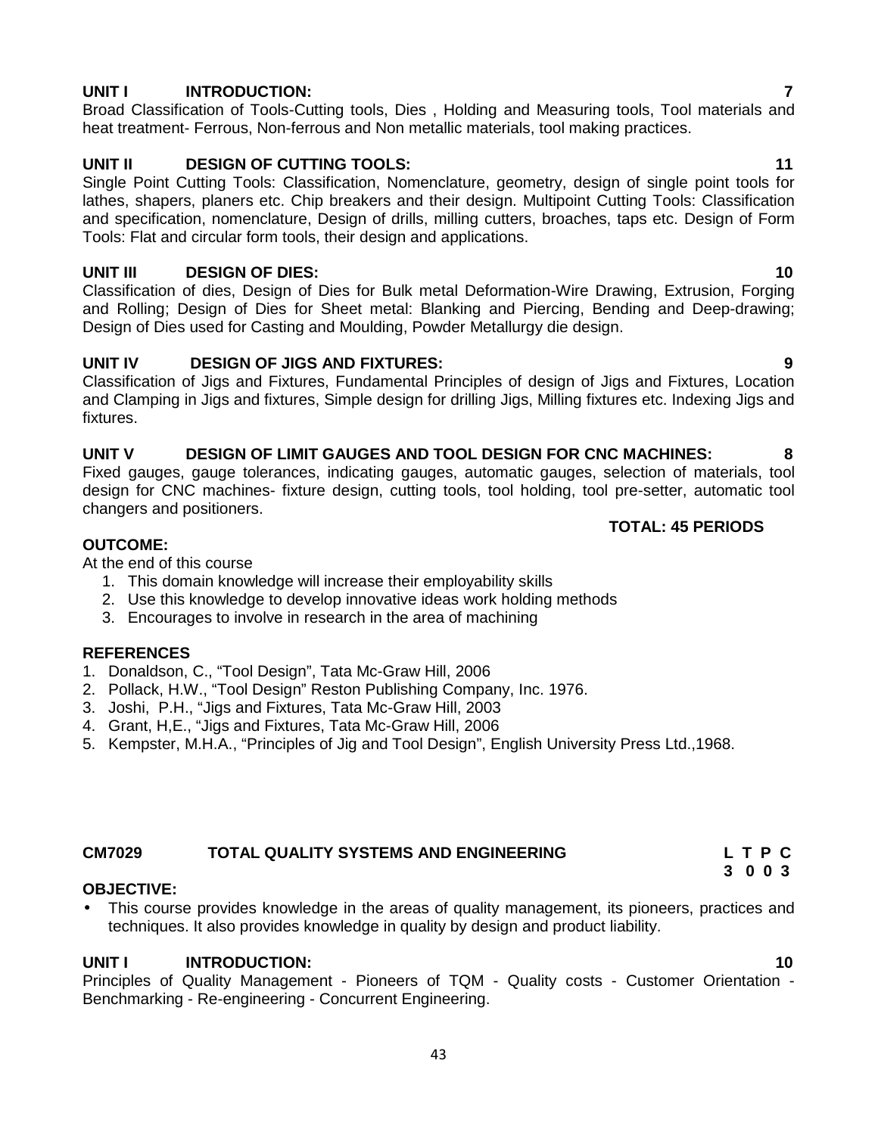# **UNIT I INTRODUCTION: 7**

Broad Classification of Tools-Cutting tools, Dies , Holding and Measuring tools, Tool materials and heat treatment- Ferrous, Non-ferrous and Non metallic materials, tool making practices.

# **UNIT II DESIGN OF CUTTING TOOLS: 11**

Single Point Cutting Tools: Classification, Nomenclature, geometry, design of single point tools for lathes, shapers, planers etc. Chip breakers and their design. Multipoint Cutting Tools: Classification and specification, nomenclature, Design of drills, milling cutters, broaches, taps etc. Design of Form Tools: Flat and circular form tools, their design and applications.

# **UNIT III DESIGN OF DIES: 10**

Classification of dies, Design of Dies for Bulk metal Deformation-Wire Drawing, Extrusion, Forging and Rolling; Design of Dies for Sheet metal: Blanking and Piercing, Bending and Deep-drawing; Design of Dies used for Casting and Moulding, Powder Metallurgy die design.

# **UNIT IV DESIGN OF JIGS AND FIXTURES: 9**

Classification of Jigs and Fixtures, Fundamental Principles of design of Jigs and Fixtures, Location and Clamping in Jigs and fixtures, Simple design for drilling Jigs, Milling fixtures etc. Indexing Jigs and fixtures.

# **UNIT V DESIGN OF LIMIT GAUGES AND TOOL DESIGN FOR CNC MACHINES: 8**

Fixed gauges, gauge tolerances, indicating gauges, automatic gauges, selection of materials, tool design for CNC machines- fixture design, cutting tools, tool holding, tool pre-setter, automatic tool changers and positioners.

### **TOTAL: 45 PERIODS**

# **OUTCOME:**

At the end of this course

- 1. This domain knowledge will increase their employability skills
- 2. Use this knowledge to develop innovative ideas work holding methods
- 3. Encourages to involve in research in the area of machining

# **REFERENCES**

- 1. Donaldson, C., "Tool Design", Tata Mc-Graw Hill, 2006
- 2. Pollack, H.W., "Tool Design" Reston Publishing Company, Inc. 1976.
- 3. Joshi, P.H., "Jigs and Fixtures, Tata Mc-Graw Hill, 2003
- 4. Grant, H,E., "Jigs and Fixtures, Tata Mc-Graw Hill, 2006
- 5. Kempster, M.H.A., "Principles of Jig and Tool Design", English University Press Ltd.,1968.

# **CM7029 TOTAL QUALITY SYSTEMS AND ENGINEERING L T P C**

# **OBJECTIVE:**

 This course provides knowledge in the areas of quality management, its pioneers, practices and techniques. It also provides knowledge in quality by design and product liability.

# **UNIT I INTRODUCTION: 10**

Principles of Quality Management - Pioneers of TQM - Quality costs - Customer Orientation - Benchmarking - Re-engineering - Concurrent Engineering.

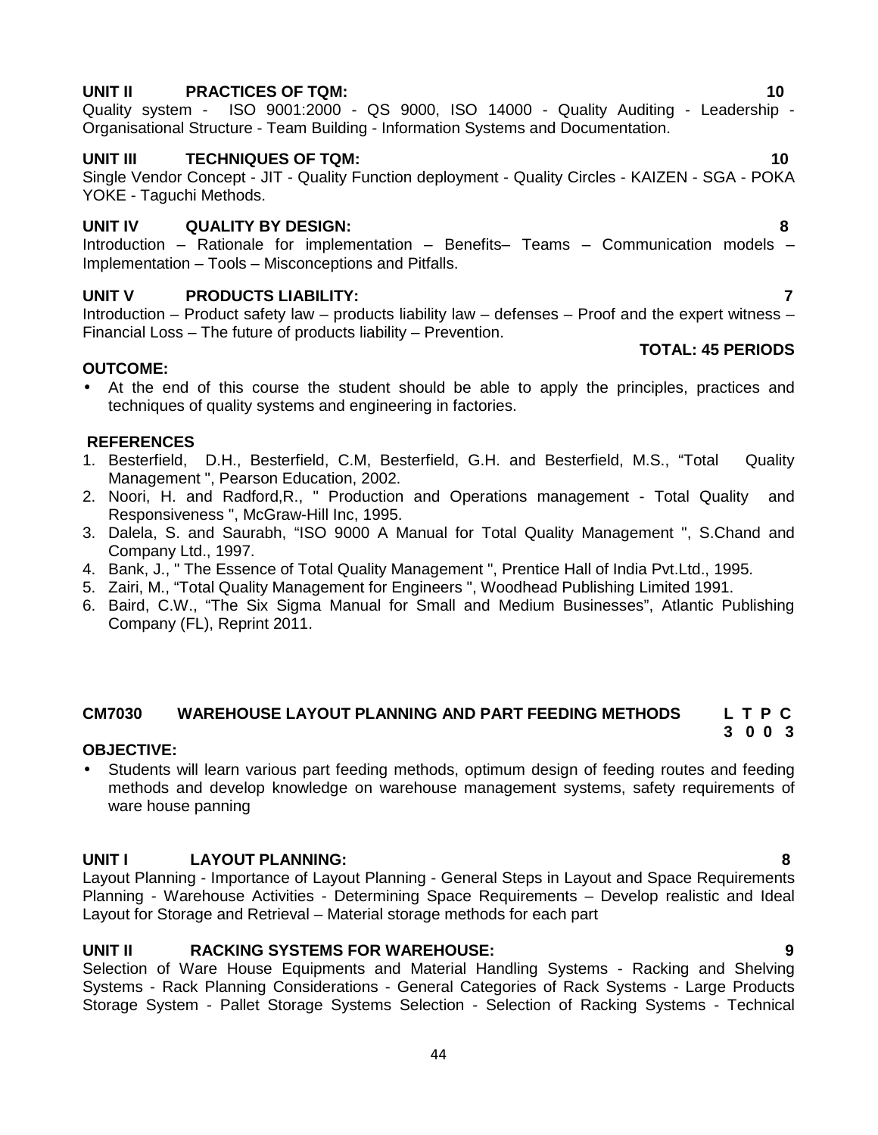#### 44

# **UNIT II PRACTICES OF TQM: 10**

Quality system - ISO 9001:2000 - QS 9000, ISO 14000 - Quality Auditing - Leadership - Organisational Structure - Team Building - Information Systems and Documentation.

# **UNIT III TECHNIQUES OF TQM: 10**

Single Vendor Concept - JIT - Quality Function deployment - Quality Circles - KAIZEN - SGA - POKA YOKE - Taguchi Methods.

# **UNIT IV QUALITY BY DESIGN: 8**

Introduction – Rationale for implementation – Benefits– Teams – Communication models – Implementation – Tools – Misconceptions and Pitfalls.

# **UNIT V PRODUCTS LIABILITY: 7**

Introduction – Product safety law – products liability law – defenses – Proof and the expert witness – Financial Loss – The future of products liability – Prevention.

### **OUTCOME:**

 At the end of this course the student should be able to apply the principles, practices and techniques of quality systems and engineering in factories.

### **REFERENCES**

- 1. Besterfield, D.H., Besterfield, C.M, Besterfield, G.H. and Besterfield, M.S., "Total Quality Management ", Pearson Education, 2002.
- 2. Noori, H. and Radford,R., " Production and Operations management Total Quality and Responsiveness ", McGraw-Hill Inc, 1995.
- 3. Dalela, S. and Saurabh, "ISO 9000 A Manual for Total Quality Management ", S.Chand and Company Ltd., 1997.
- 4. Bank, J., " The Essence of Total Quality Management ", Prentice Hall of India Pvt.Ltd., 1995.
- 5. Zairi, M., "Total Quality Management for Engineers ", Woodhead Publishing Limited 1991.
- 6. Baird, C.W., "The Six Sigma Manual for Small and Medium Businesses", Atlantic Publishing Company (FL), Reprint 2011.

#### **CM7030 WAREHOUSE LAYOUT PLANNING AND PART FEEDING METHODS L T P C 3 0 0 3**

# **OBJECTIVE:**

 Students will learn various part feeding methods, optimum design of feeding routes and feeding methods and develop knowledge on warehouse management systems, safety requirements of ware house panning

# **UNIT I LAYOUT PLANNING: 8**

Layout Planning - Importance of Layout Planning - General Steps in Layout and Space Requirements Planning - Warehouse Activities - Determining Space Requirements – Develop realistic and Ideal Layout for Storage and Retrieval – Material storage methods for each part

# **UNIT II RACKING SYSTEMS FOR WAREHOUSE: 9**

Selection of Ware House Equipments and Material Handling Systems - Racking and Shelving Systems - Rack Planning Considerations - General Categories of Rack Systems - Large Products Storage System - Pallet Storage Systems Selection - Selection of Racking Systems - Technical

**TOTAL: 45 PERIODS**